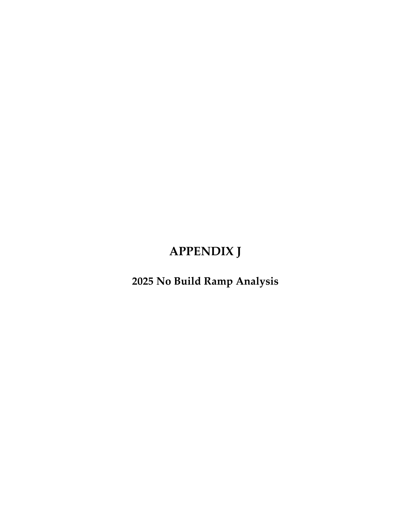## **APPENDIX J**

**2025 No Build Ramp Analysis**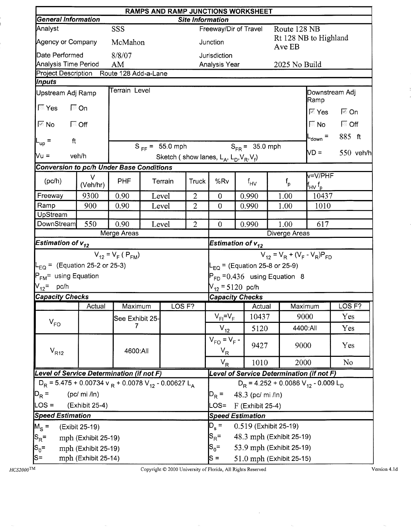|                                                                                  | RAMPS AND RAMP JUNCTIONS WORKSHEET<br><b>Site Information</b> |                         |  |                     |                |                                                     |                                               |               |                                                                          |                   |  |  |
|----------------------------------------------------------------------------------|---------------------------------------------------------------|-------------------------|--|---------------------|----------------|-----------------------------------------------------|-----------------------------------------------|---------------|--------------------------------------------------------------------------|-------------------|--|--|
| <b>General Information</b>                                                       |                                                               |                         |  |                     |                |                                                     |                                               |               |                                                                          |                   |  |  |
| Analyst                                                                          |                                                               | SSS                     |  |                     |                |                                                     | Freeway/Dir of Travel                         |               | Route 128 NB                                                             |                   |  |  |
| Agency or Company                                                                |                                                               | McMahon                 |  |                     |                | Junction                                            |                                               | Ave EB        | Rt 128 NB to Highland                                                    |                   |  |  |
| Date Performed                                                                   |                                                               | 8/8/07                  |  |                     |                | <b>Jurisdiction</b>                                 |                                               |               |                                                                          |                   |  |  |
| <b>Analysis Time Period</b>                                                      |                                                               | AM                      |  |                     |                | Analysis Year                                       |                                               |               | 2025 No Build                                                            |                   |  |  |
| Project Description Route 128 Add-a-Lane                                         |                                                               |                         |  |                     |                |                                                     |                                               |               |                                                                          |                   |  |  |
| Inputs                                                                           |                                                               | Terrain Level           |  |                     |                |                                                     |                                               |               |                                                                          |                   |  |  |
| Upstream Adj Ramp<br>$\sqrt{2}$ Yes                                              | <b>।</b> ⊙n                                                   |                         |  |                     |                |                                                     |                                               |               | Downstream Adj<br>Ramp                                                   |                   |  |  |
|                                                                                  |                                                               |                         |  |                     |                |                                                     |                                               |               | स्ति Yes                                                                 | <b>⊠ On</b>       |  |  |
| ি No                                                                             | <b>「</b> Off                                                  |                         |  |                     |                |                                                     |                                               |               | $\nabla$ No                                                              | $\Box$ Off        |  |  |
| ft<br>$L_{\text{up}}$ =                                                          |                                                               |                         |  |                     |                |                                                     |                                               |               | $L_{\text{down}}$ =                                                      | 885 ft            |  |  |
|                                                                                  |                                                               |                         |  | $S_{FF} = 55.0$ mph |                |                                                     | $S_{FR} = 35.0$ mph                           |               | ND =                                                                     | 550 veh/h         |  |  |
| Vu =                                                                             | veh/h                                                         |                         |  |                     |                | Sketch (show lanes, $L_A$ , $L_D$ , $V_R$ , $V_f$ ) |                                               |               |                                                                          |                   |  |  |
| <b>Conversion to pc/h Under Base Conditions</b>                                  |                                                               |                         |  |                     |                |                                                     |                                               |               |                                                                          |                   |  |  |
| (pc/h)                                                                           | $\vee$<br>(Veh/hr)                                            | <b>PHF</b>              |  | Terrain             | Truck          | %Rv                                                 | $f_{HV}$                                      | $f_{\sf p}$   | v=V/PHF<br>$\mathsf{f}_{\mathsf{H}\mathsf{V}}\, \mathsf{f}_{\mathsf{p}}$ |                   |  |  |
| Freeway                                                                          | 9300                                                          | 0.90                    |  | Level               | $\overline{2}$ | $\theta$                                            | 0.990                                         | 1.00          | 10437                                                                    |                   |  |  |
| Ramp                                                                             | 900                                                           | 0.90                    |  | Level               | $\overline{2}$ | $\theta$                                            | 0.990                                         | 1.00<br>1010  |                                                                          |                   |  |  |
| UpStream                                                                         |                                                               |                         |  |                     |                |                                                     |                                               |               |                                                                          |                   |  |  |
| DownStream                                                                       | 550                                                           | 0.90                    |  | Level               | $\overline{2}$ | $\overline{0}$                                      | 0.990                                         | 1.00          | 617                                                                      |                   |  |  |
|                                                                                  |                                                               | Merge Areas             |  |                     |                |                                                     |                                               | Diverge Areas |                                                                          |                   |  |  |
| Estimation of $v_{12}$                                                           |                                                               |                         |  |                     |                | Estimation of $v_{12}$                              |                                               |               |                                                                          |                   |  |  |
|                                                                                  |                                                               | $V_{12} = V_F (P_{FM})$ |  |                     |                | $V_{12} = V_R + (V_F - V_R)P_{FD}$                  |                                               |               |                                                                          |                   |  |  |
| $L_{EQ}$ = (Equation 25-2 or 25-3)                                               |                                                               |                         |  |                     |                |                                                     | $L_{EQ}$ = (Equation 25-8 or 25-9)            |               |                                                                          |                   |  |  |
| P <sub>FM</sub> = using Equation                                                 |                                                               |                         |  |                     |                | $P_{FD} = 0.436$ using Equation 8                   |                                               |               |                                                                          |                   |  |  |
| $V_{12}$ = pc/h                                                                  |                                                               |                         |  |                     |                | $V_{12}$ = 5120 pc/h                                |                                               |               |                                                                          |                   |  |  |
| <b>Capacity Checks</b>                                                           |                                                               |                         |  |                     |                |                                                     | <b>Capacity Checks</b>                        |               |                                                                          |                   |  |  |
|                                                                                  | Actual                                                        | Maximum                 |  | LOS <sub>F?</sub>   |                |                                                     | $ $ Actual                                    |               | Maximum                                                                  | LOS <sub>F?</sub> |  |  |
|                                                                                  |                                                               |                         |  |                     |                |                                                     |                                               |               |                                                                          |                   |  |  |
|                                                                                  |                                                               |                         |  | $V_{FI} = V_F$      | 10437          |                                                     | 9000                                          | Yes           |                                                                          |                   |  |  |
| $V_{FO}$                                                                         |                                                               | See Exhibit 25-<br>7    |  |                     |                | $V_{12}$                                            | 5120                                          |               | 4400:All                                                                 | Yes               |  |  |
| $V_{R12}$                                                                        |                                                               | 4600:All                |  |                     |                | $V_{FO} = V_F -$<br>$V_R$                           | 9427                                          |               | 9000                                                                     | Yes               |  |  |
|                                                                                  |                                                               |                         |  |                     |                | $V_R$                                               | 1010                                          |               | 2000                                                                     | No                |  |  |
| Level of Service Determination (if not F)                                        |                                                               |                         |  |                     |                |                                                     |                                               |               | Level of Service Determination (if not F)                                |                   |  |  |
| $D_R$ = 5.475 + 0.00734 v $_R$ + 0.0078 V <sub>12</sub> - 0.00627 L <sub>A</sub> |                                                               |                         |  |                     |                |                                                     |                                               |               | $D_R$ = 4.252 + 0.0086 V <sub>12</sub> - 0.009 L <sub>D</sub>            |                   |  |  |
| $ D_R =$                                                                         | (pc/mi / ln)                                                  |                         |  |                     |                |                                                     |                                               |               |                                                                          |                   |  |  |
| $LOS =$                                                                          | (Exhibit 25-4)                                                |                         |  |                     |                | $P_R =$<br>LOS=                                     | 48.3 (pc/ mi /ln)                             |               |                                                                          |                   |  |  |
| <b>Speed Estimation</b>                                                          |                                                               |                         |  |                     |                |                                                     | $F$ (Exhibit 25-4)<br><b>Speed Estimation</b> |               |                                                                          |                   |  |  |
| $M_S =$                                                                          | (Exibit 25-19)                                                |                         |  |                     |                | $D_{s} =$                                           | 0.519 (Exhibit 25-19)                         |               |                                                                          |                   |  |  |
|                                                                                  | mph (Exhibit 25-19)                                           |                         |  |                     |                | $S_R =$                                             | 48.3 mph (Exhibit 25-19)                      |               |                                                                          |                   |  |  |
| $ S_R =$<br>$\vert S_0 =$                                                        | mph (Exhibit 25-19)                                           |                         |  |                     |                | $S_0 =$                                             | 53.9 mph (Exhibit 25-19)                      |               |                                                                          |                   |  |  |

 $HCS2000^{\text{TM}}$ 

ŧ

Copyright © 2000 University of Florida, All Rights Reserved

 $\bar{z}$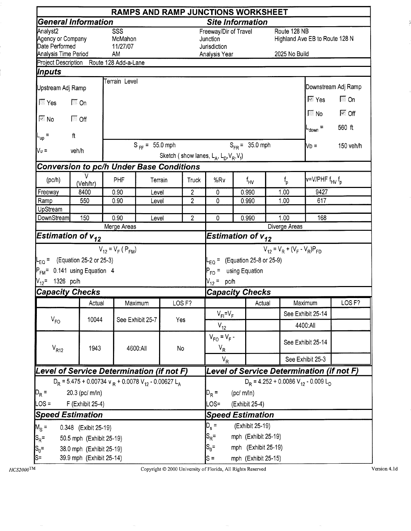|                                                 |                                                                                  |                            |                     |                            |                                | RAMPS AND RAMP JUNCTIONS WORKSHEET                  |  |                     |                       |                                                               |                             |
|-------------------------------------------------|----------------------------------------------------------------------------------|----------------------------|---------------------|----------------------------|--------------------------------|-----------------------------------------------------|--|---------------------|-----------------------|---------------------------------------------------------------|-----------------------------|
|                                                 | General Information                                                              |                            |                     |                            |                                | <b>Site Information</b>                             |  |                     |                       |                                                               |                             |
| Analyst2<br>Agency or Company<br>Date Performed |                                                                                  | SSS<br>McMahon<br>11/27/07 |                     |                            |                                | Freeway/Dir of Travel<br>Junction<br>Jurisdiction   |  |                     |                       | Route 128 NB<br>Highland Ave EB to Route 128 N                |                             |
| Analysis Time Period                            | Project Description Route 128 Add-a-Lane                                         | AM                         |                     |                            |                                | Analysis Year                                       |  |                     |                       | 2025 No Build                                                 |                             |
| Inputs                                          |                                                                                  |                            |                     |                            |                                |                                                     |  |                     |                       |                                                               |                             |
|                                                 |                                                                                  | Terrain Level              |                     |                            |                                |                                                     |  |                     |                       |                                                               |                             |
| Upstream Adj Ramp                               |                                                                                  |                            |                     |                            |                                |                                                     |  |                     |                       |                                                               | Downstream Adj Ramp         |
| $\sqrt{2}$ Yes                                  | $\Box$ On                                                                        |                            |                     |                            |                                |                                                     |  |                     |                       | l⊠ Yes                                                        | $\sqrt{2}$ On               |
| $\overline{\mathbb{N}}$ No                      | $\Box$ Off                                                                       |                            |                     |                            |                                |                                                     |  |                     |                       | $\blacksquare$ No                                             | $\overline{\mathbb{M}}$ Off |
| -up                                             | $\pmb{\mathsf{ft}}$                                                              |                            |                     |                            |                                |                                                     |  |                     |                       | $_{\text{down}}$ =                                            | 560 ft                      |
| Vυ =                                            | veh/h                                                                            |                            | $S_{FF} = 55.0$ mph |                            |                                |                                                     |  | $S_{FR} = 35.0$ mph |                       | Nd =                                                          | 150 veh/h                   |
|                                                 |                                                                                  |                            |                     |                            |                                | Sketch (show lanes, $L_A$ , $L_D$ , $V_R$ , $V_f$ ) |  |                     |                       |                                                               |                             |
|                                                 | <b>Conversion to pc/h Under Base Conditions</b>                                  |                            |                     |                            |                                |                                                     |  |                     |                       |                                                               |                             |
| (pc/h)                                          | v<br>(Veh/hr)                                                                    | PHF                        |                     | Terrain                    | Truck                          | %Rv                                                 |  | $f_{\text{HV}}$     | $f_{\rm p}$           | $V = V / PHF fHV fp$                                          |                             |
| Freeway                                         | 8400                                                                             | 0.90                       | Level               |                            | $\overline{2}$                 | $\mathbf 0$                                         |  | 0.990               | 1.00                  | 9427                                                          |                             |
| Ramp                                            | 550                                                                              | 0.90                       | Level               |                            | $\overline{2}$                 | 0                                                   |  | 0.990               | 1.00                  | 617                                                           |                             |
| UpStream                                        |                                                                                  |                            |                     |                            |                                |                                                     |  |                     |                       |                                                               |                             |
| DownStream                                      | 150                                                                              | 0.90<br>Merge Areas        | Level               |                            | $\overline{2}$                 | 0                                                   |  | 0.990               | 1.00<br>Diverge Areas | 168                                                           |                             |
|                                                 | Estimation of $\bm{{\mathsf{v}}}_{\bm{12}}$                                      |                            |                     |                            |                                | Estimation of $v_{12}$                              |  |                     |                       |                                                               |                             |
|                                                 |                                                                                  | $V_{12} = V_F (P_{FM})$    |                     |                            |                                |                                                     |  |                     |                       | $V_{12} = V_R + (V_F - V_R)P_{FD}$                            |                             |
|                                                 | $L_{EQ}$ = (Equation 25-2 or 25-3)                                               |                            |                     |                            |                                | $L_{EQ}$ = (Equation 25-8 or 25-9)                  |  |                     |                       |                                                               |                             |
|                                                 | $P_{FM}$ = 0.141 using Equation 4                                                |                            |                     |                            |                                | $P_{FD}$ =                                          |  |                     |                       |                                                               |                             |
| $V_{12}$ = 1326 pc/h                            |                                                                                  |                            |                     |                            |                                | using Equation<br>$V_{12} = pc/h$                   |  |                     |                       |                                                               |                             |
| <b>Capacity Checks</b>                          |                                                                                  |                            |                     |                            |                                | <b>Capacity Checks</b>                              |  |                     |                       |                                                               |                             |
|                                                 |                                                                                  |                            |                     | LOS <sub>F?</sub>          |                                |                                                     |  |                     |                       |                                                               | LOS <sub>F?</sub>           |
|                                                 | Actual                                                                           |                            | Maximum             |                            |                                |                                                     |  | Actual              |                       | Maximum                                                       |                             |
| $V_{FO}$                                        | 10044                                                                            |                            | See Exhibit 25-7    | Yes                        |                                | $V_{FI} = V_F$                                      |  |                     |                       | See Exhibit 25-14                                             |                             |
|                                                 |                                                                                  |                            |                     |                            |                                | $V_{12}$<br>$V_{FO} = V_F -$                        |  |                     |                       | 4400:All                                                      |                             |
| $V_{R12}$                                       | 1943                                                                             |                            | 4600:All            | No                         |                                | $V_R$                                               |  |                     |                       | See Exhibit 25-14                                             |                             |
|                                                 |                                                                                  |                            |                     |                            |                                | $V_R$                                               |  |                     |                       | See Exhibit 25-3                                              |                             |
|                                                 | Level of Service Determination (if not F)                                        |                            |                     |                            |                                |                                                     |  |                     |                       | Level of Service Determination (if not F)                     |                             |
|                                                 | $D_R$ = 5.475 + 0.00734 v $_R$ + 0.0078 V <sub>12</sub> - 0.00627 L <sub>A</sub> |                            |                     |                            |                                |                                                     |  |                     |                       | $D_R$ = 4.252 + 0.0086 V <sub>12</sub> - 0.009 L <sub>D</sub> |                             |
| $D_R =$                                         | 20.3 (pc/ m/ln)                                                                  |                            |                     |                            |                                |                                                     |  | (pc/m/ln)           |                       |                                                               |                             |
| $LOS =$                                         | F (Exhibit 25-4)                                                                 |                            |                     |                            |                                | LOS=                                                |  | (Exhibit 25-4)      |                       |                                                               |                             |
|                                                 | <b>Speed Estimation</b>                                                          |                            |                     |                            |                                | <b>Speed Estimation</b>                             |  |                     |                       |                                                               |                             |
| $M_S =$                                         | 0.348 (Exibit 25-19)                                                             |                            |                     | $D_s =$<br>(Exhibit 25-19) |                                |                                                     |  |                     |                       |                                                               |                             |
| $S_R =$                                         | 50.5 mph (Exhibit 25-19)                                                         |                            |                     |                            |                                | $ S_R =$<br>mph (Exhibit 25-19)                     |  |                     |                       |                                                               |                             |
| $S_0 =$                                         | 38.0 mph (Exhibit 25-19)                                                         |                            |                     |                            | $S_0 =$<br>mph (Exhibit 25-19) |                                                     |  |                     |                       |                                                               |                             |
| ¦S=                                             | 39.9 mph (Exhibit 25-14)                                                         |                            |                     |                            |                                | $s =$<br>mph (Exhibit 25-15)                        |  |                     |                       |                                                               |                             |

 $H\!C\!S\!2000^{\mathrm{TM}}$ 

Copyright © 2000 University of Florida, All Rights Reserved

Version 4.1d

Å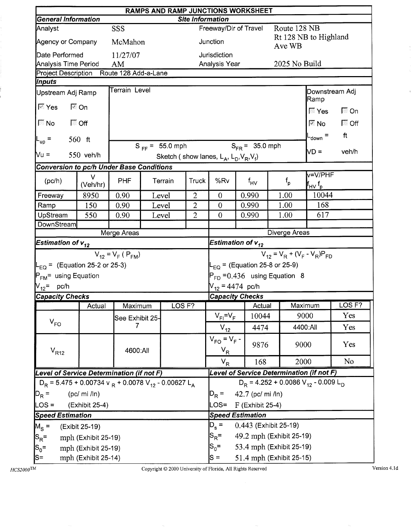|                                                                                  | RAMPS AND RAMP JUNCTIONS WORKSHEET<br><b>Site Information</b> |                         |  |                     |                |                                                                                 |                         |               |                                                               |                |  |  |
|----------------------------------------------------------------------------------|---------------------------------------------------------------|-------------------------|--|---------------------|----------------|---------------------------------------------------------------------------------|-------------------------|---------------|---------------------------------------------------------------|----------------|--|--|
| <b>General Information</b>                                                       |                                                               |                         |  |                     |                |                                                                                 |                         |               |                                                               |                |  |  |
| Analyst                                                                          |                                                               | <b>SSS</b>              |  |                     |                |                                                                                 | Freeway/Dir of Travel   | Route 128 NB  |                                                               |                |  |  |
| Agency or Company                                                                |                                                               | McMahon                 |  |                     |                | Junction                                                                        |                         | Ave WB        | Rt 128 NB to Highland                                         |                |  |  |
| Date Performed                                                                   |                                                               | 11/27/07                |  |                     |                | Jurisdiction                                                                    |                         |               |                                                               |                |  |  |
| Analysis Time Period                                                             |                                                               | AM                      |  |                     |                | Analysis Year                                                                   |                         |               | 2025 No Build                                                 |                |  |  |
| Project Description Route 128 Add-a-Lane                                         |                                                               |                         |  |                     |                |                                                                                 |                         |               |                                                               |                |  |  |
| Inputs                                                                           |                                                               | <b>Terrain Level</b>    |  |                     |                |                                                                                 |                         |               |                                                               | Downstream Adj |  |  |
| Upstream Adj Ramp<br>⊠ Yes                                                       | ।⊠ On                                                         |                         |  |                     |                |                                                                                 |                         |               | Ramp                                                          |                |  |  |
|                                                                                  |                                                               |                         |  |                     |                |                                                                                 |                         |               | $\overline{\mathbb{N}}$ Yes                                   | $\Box$ On      |  |  |
| $\overline{\mathbb{N}}$ No                                                       | ि Off                                                         |                         |  |                     |                |                                                                                 |                         |               | $\boxtimes$ No                                                | $\Box$ Off     |  |  |
| $L_{up}$ =                                                                       | $560$ ft                                                      |                         |  |                     |                |                                                                                 |                         |               | L <sub>down</sub> =                                           | ft             |  |  |
| Vu =                                                                             |                                                               |                         |  | $S_{FF} = 55.0$ mph |                |                                                                                 | $S_{FR} = 35.0$ mph     |               | VD =                                                          | veh/h          |  |  |
|                                                                                  | 550 veh/h                                                     |                         |  |                     |                | Sketch (show lanes, $L_A$ , $L_D$ , $V_R$ , $V_f$ )                             |                         |               |                                                               |                |  |  |
| <b>Conversion to pc/h Under Base Conditions</b>                                  |                                                               |                         |  |                     |                |                                                                                 |                         |               | v=V/PHF                                                       |                |  |  |
| (pc/h)                                                                           | $\vee$<br>(Veh/hr)                                            | <b>PHF</b>              |  | Terrain             | <b>Truck</b>   | %Rv                                                                             | $f_{\mathsf{HV}}$       | $f_{\sf p}$   | lf <sub>HV</sub> f <sub>p</sub>                               |                |  |  |
| Freeway                                                                          | 8950                                                          | 0.90                    |  | Level               | $\overline{2}$ | $\theta$                                                                        | 0.990                   | 1.00          | 10044                                                         |                |  |  |
| Ramp                                                                             | 150                                                           | 0.90                    |  | Level               | $\overline{2}$ | $\overline{0}$                                                                  | 0.990                   | 1.00          | 168                                                           |                |  |  |
| UpStream                                                                         | 550                                                           | 0.90                    |  | Level               | $\overline{2}$ | $\overline{0}$                                                                  | 0.990                   | 617           |                                                               |                |  |  |
| DownStream                                                                       |                                                               |                         |  |                     |                |                                                                                 |                         |               |                                                               |                |  |  |
|                                                                                  |                                                               | Merge Areas             |  |                     |                |                                                                                 |                         | Diverge Areas |                                                               |                |  |  |
| Estimation of $v_{12}$                                                           |                                                               |                         |  |                     |                | Estimation of $v_{12}$                                                          |                         |               |                                                               |                |  |  |
|                                                                                  |                                                               | $V_{12} = V_F (P_{FM})$ |  |                     |                | $V_{12} = V_R + (V_F - V_R)P_{FD}$<br>$L_{\text{EQ}}$ = (Equation 25-8 or 25-9) |                         |               |                                                               |                |  |  |
| $L_{EQ}$ = (Equation 25-2 or 25-3)                                               |                                                               |                         |  |                     |                |                                                                                 |                         |               |                                                               |                |  |  |
| P <sub>FM</sub> = using Equation                                                 |                                                               |                         |  |                     |                | $P_{FD} = 0.436$ using Equation 8                                               |                         |               |                                                               |                |  |  |
| V <sub>12</sub> = pc/h                                                           |                                                               |                         |  |                     |                | $V_{12} = 4474$ pc/h                                                            |                         |               |                                                               |                |  |  |
| <b>Capacity Checks</b>                                                           |                                                               |                         |  |                     |                |                                                                                 | <b>Capacity Checks</b>  |               |                                                               |                |  |  |
|                                                                                  | Actual                                                        | Maximum                 |  | LOGF?               |                |                                                                                 | $\top$ Actual           |               | Maximum                                                       | LOS F?         |  |  |
| $V_{FO}$                                                                         |                                                               | See Exhibit 25-         |  |                     |                | $V_{FI} = V_F$                                                                  | 10044                   |               | 9000                                                          | Yes            |  |  |
|                                                                                  |                                                               | 7                       |  |                     |                | $V_{12}$                                                                        | 4474                    |               | 4400:All                                                      | Yes            |  |  |
| $\rm V_{R12}$                                                                    |                                                               | 4600:All                |  |                     |                | $V_{FO} = V_F -$<br>$V_R$                                                       | 9876                    |               | 9000                                                          | Yes            |  |  |
|                                                                                  |                                                               |                         |  |                     |                | $V_{\rm R}$                                                                     | 168                     |               | 2000                                                          | N <sub>o</sub> |  |  |
| Level of Service Determination (if not F)                                        |                                                               |                         |  |                     |                |                                                                                 |                         |               | Level of Service Determination (if not F)                     |                |  |  |
| $D_R$ = 5.475 + 0.00734 v $_R$ + 0.0078 V <sub>12</sub> - 0.00627 L <sub>A</sub> |                                                               |                         |  |                     |                |                                                                                 |                         |               | $D_R$ = 4.252 + 0.0086 V <sub>12</sub> - 0.009 L <sub>D</sub> |                |  |  |
| $D_R =$                                                                          | (pc/mi /ln)                                                   |                         |  |                     |                | $D_R =$                                                                         | 42.7 (pc/ mi /ln)       |               |                                                               |                |  |  |
| $LOS =$                                                                          | (Exhibit 25-4)                                                |                         |  |                     |                | LOS=                                                                            | F (Exhibit 25-4)        |               |                                                               |                |  |  |
| <b>Speed Estimation</b>                                                          |                                                               |                         |  |                     |                |                                                                                 | <b>Speed Estimation</b> |               |                                                               |                |  |  |
| $M_S =$                                                                          | (Exibit 25-19)                                                |                         |  |                     |                | $D_s =$<br>0.443 (Exhibit 25-19)                                                |                         |               |                                                               |                |  |  |
| $S_R =$                                                                          | mph (Exhibit 25-19)                                           |                         |  |                     |                | 49.2 mph (Exhibit 25-19)<br>$S_{\mathsf{R}}^{\vphantom{1}}$ =                   |                         |               |                                                               |                |  |  |
| $ S_0=$                                                                          | mph (Exhibit 25-19)                                           |                         |  |                     |                | $S_0 =$<br>53.4 mph (Exhibit 25-19)                                             |                         |               |                                                               |                |  |  |
| S=                                                                               | mph (Exhibit 25-14)                                           |                         |  |                     |                | 51.4 mph (Exhibit 25-15)<br>$S =$                                               |                         |               |                                                               |                |  |  |
|                                                                                  |                                                               |                         |  |                     |                |                                                                                 |                         |               |                                                               |                |  |  |

Copyright © 2000 University of Florida, All Rights Reserved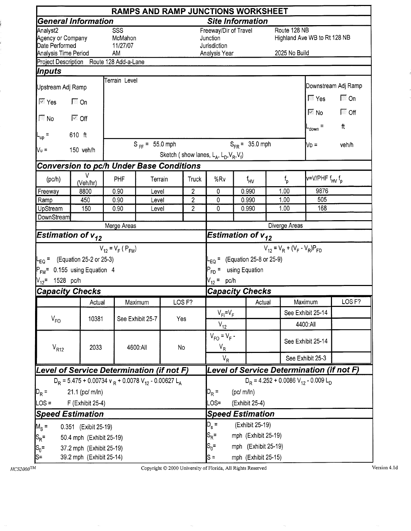|                                                                         |                                                                                  |                                  |                     |     |                            |                                                                    |  | RAMPS AND RAMP JUNCTIONS WORKSHEET |                                    |                                                                      |                             |  |  |
|-------------------------------------------------------------------------|----------------------------------------------------------------------------------|----------------------------------|---------------------|-----|----------------------------|--------------------------------------------------------------------|--|------------------------------------|------------------------------------|----------------------------------------------------------------------|-----------------------------|--|--|
|                                                                         | <b>General Information</b>                                                       |                                  |                     |     |                            | <b>Site Information</b>                                            |  |                                    |                                    |                                                                      |                             |  |  |
| Analyst2<br>Agency or Company<br>Date Performed<br>Analysis Time Period |                                                                                  | SSS<br>McMahon<br>11/27/07<br>AM |                     |     |                            | Freeway/Dir of Travel<br>Junction<br>Jurisdiction<br>Analysis Year |  |                                    | Route 128 NB<br>2025 No Build      | Highland Ave WB to Rt 128 NB                                         |                             |  |  |
|                                                                         | Project Description Route 128 Add-a-Lane                                         |                                  |                     |     |                            |                                                                    |  |                                    |                                    |                                                                      |                             |  |  |
| Inputs                                                                  |                                                                                  |                                  |                     |     |                            |                                                                    |  |                                    |                                    |                                                                      |                             |  |  |
| Upstream Adj Ramp                                                       |                                                                                  | Terrain Level                    |                     |     |                            |                                                                    |  |                                    |                                    |                                                                      | Downstream Adj Ramp         |  |  |
| $\overline{\mathbb{M}}$ Yes                                             | $\Box$ On                                                                        |                                  |                     |     |                            |                                                                    |  |                                    |                                    | $\sqrt{2}$ Yes<br>$\overline{\mathbb{F}}$ No $\overline{\mathbb{F}}$ | $\Box$ On<br>$\sqrt{2}$ Off |  |  |
| $\sqrt{N}$ No                                                           | $\overline{\bowtie}$ Off                                                         |                                  |                     |     |                            |                                                                    |  |                                    |                                    | $-$ <sub>down</sub> =                                                | ft                          |  |  |
| L <sub>up</sub> =                                                       | 610 ft                                                                           |                                  |                     |     |                            |                                                                    |  |                                    |                                    |                                                                      |                             |  |  |
| Vu =                                                                    | 150 veh/h                                                                        |                                  | $S_{FF} = 55.0$ mph |     |                            | Sketch (show lanes, $L_A$ , $L_D$ , $V_R$ , $V_f$ )                |  | $S_{FR} = 35.0$ mph                |                                    | No =                                                                 | veh/h                       |  |  |
|                                                                         | <b>Conversion to pc/h Under Base Conditions</b>                                  |                                  |                     |     |                            |                                                                    |  |                                    |                                    |                                                                      |                             |  |  |
| (pc/h)                                                                  | v<br>(Veh/hr)                                                                    | PHF                              | Terrain             |     | Truck                      | %Rv                                                                |  | f <sub>HV</sub>                    | $f_{\rm p}$                        | v=V/PHF f <sub>HV</sub> f <sub>p</sub>                               |                             |  |  |
| Freeway                                                                 | 8800                                                                             | 0.90                             | Level               |     | $\overline{2}$             | 0                                                                  |  | 0.990                              | 1.00                               | 9876                                                                 |                             |  |  |
| Ramp                                                                    | 450                                                                              | 0.90                             | Level               |     | $\overline{c}$             | 0                                                                  |  | 0.990                              | 1.00                               | 505                                                                  |                             |  |  |
| UpStream                                                                | 150                                                                              | 0.90                             | Level               |     | $\overline{2}$             | 0                                                                  |  | 0.990                              | 1.00                               | 168                                                                  |                             |  |  |
| <b>DownStream</b>                                                       |                                                                                  | Merge Areas                      |                     |     |                            |                                                                    |  |                                    |                                    | Diverge Areas                                                        |                             |  |  |
| Estimation of $v_{12}$                                                  |                                                                                  |                                  |                     |     |                            | Estimation of $v_{12}$                                             |  |                                    |                                    |                                                                      |                             |  |  |
|                                                                         |                                                                                  | $V_{12} = V_F (P_{FM})$          |                     |     |                            |                                                                    |  |                                    | $V_{12} = V_R + (V_F - V_R)P_{FD}$ |                                                                      |                             |  |  |
|                                                                         | $L_{EQ}$ = (Equation 25-2 or 25-3)                                               |                                  |                     |     |                            |                                                                    |  | $-EQ$ = (Equation 25-8 or 25-9)    |                                    |                                                                      |                             |  |  |
|                                                                         | P <sub>FM</sub> = 0.155 using Equation 4                                         |                                  |                     |     |                            |                                                                    |  |                                    |                                    |                                                                      |                             |  |  |
| V <sub>12</sub> = 1528 pc/h                                             |                                                                                  |                                  |                     |     |                            | P <sub>FD</sub> = using Equation<br>$V_{12} = pc/h$                |  |                                    |                                    |                                                                      |                             |  |  |
| <b>Capacity Checks</b>                                                  |                                                                                  |                                  |                     |     |                            | <b>Capacity Checks</b>                                             |  |                                    |                                    |                                                                      |                             |  |  |
|                                                                         | Actual                                                                           |                                  | Maximum             |     | LOS <sub>F?</sub>          |                                                                    |  | Actual                             |                                    | Maximum                                                              | LOS <sub>F?</sub>           |  |  |
|                                                                         |                                                                                  |                                  |                     |     |                            |                                                                    |  |                                    |                                    | See Exhibit 25-14                                                    |                             |  |  |
| $V_{FO}$                                                                | 10381                                                                            |                                  | See Exhibit 25-7    | Yes |                            | $V_{FI} = V_F$                                                     |  |                                    |                                    |                                                                      |                             |  |  |
|                                                                         |                                                                                  |                                  |                     |     |                            | $V_{12}$<br>$V_{FO} = V_F -$                                       |  |                                    |                                    | 4400:All                                                             |                             |  |  |
| $V_{R12}$                                                               | 2033                                                                             |                                  | 4600:All            | No  |                            | $V_R$                                                              |  |                                    |                                    | See Exhibit 25-14                                                    |                             |  |  |
|                                                                         |                                                                                  |                                  |                     |     |                            | $V_R$                                                              |  |                                    |                                    | See Exhibit 25-3                                                     |                             |  |  |
|                                                                         | Level of Service Determination (if not F)                                        |                                  |                     |     |                            |                                                                    |  |                                    |                                    | Level of Service Determination (if not F)                            |                             |  |  |
|                                                                         | $D_R$ = 5.475 + 0.00734 v $_R$ + 0.0078 V <sub>12</sub> - 0.00627 L <sub>A</sub> |                                  |                     |     |                            |                                                                    |  |                                    |                                    | $D_R = 4.252 + 0.0086 V_{12} - 0.009 L_D$                            |                             |  |  |
| $ D_R =$                                                                | 21.1 (pc/ m/ln)                                                                  |                                  |                     |     |                            |                                                                    |  | (pc/m/ln)                          |                                    |                                                                      |                             |  |  |
| LOS =                                                                   | F (Exhibit 25-4)                                                                 |                                  |                     |     |                            | $OS=$                                                              |  | (Exhibit 25-4)                     |                                    |                                                                      |                             |  |  |
| <b>Speed Estimation</b>                                                 |                                                                                  |                                  |                     |     |                            |                                                                    |  | <b>Speed Estimation</b>            |                                    |                                                                      |                             |  |  |
| $M_S =$                                                                 | 0.351 (Exibit 25-19)                                                             |                                  |                     |     | $D_s =$<br>(Exhibit 25-19) |                                                                    |  |                                    |                                    |                                                                      |                             |  |  |
| $S_{\mathsf{R}}$ =                                                      | 50.4 mph (Exhibit 25-19)                                                         |                                  |                     |     |                            | $S_R =$<br>mph (Exhibit 25-19)                                     |  |                                    |                                    |                                                                      |                             |  |  |
| $S_0 =$                                                                 | 37.2 mph (Exhibit 25-19)                                                         |                                  |                     |     |                            | $S_0 =$<br>mph (Exhibit 25-19)                                     |  |                                    |                                    |                                                                      |                             |  |  |
| ls=                                                                     | 39.2 mph (Exhibit 25-14)                                                         |                                  |                     |     |                            | $S =$                                                              |  | mph (Exhibit 25-15)                |                                    |                                                                      |                             |  |  |

í

í

Copyright  $@$  2000 University of Florida, All Rights Reserved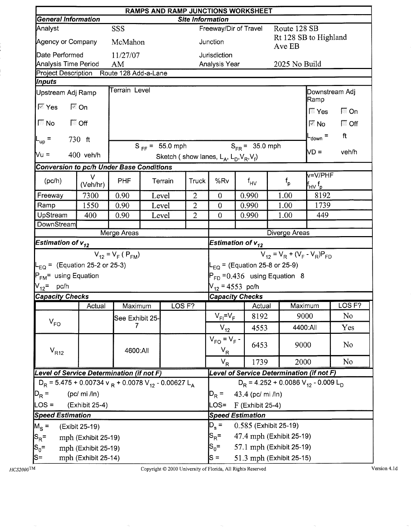|                                                                                  |                     |                         |                     |                         |                                                     | <b>RAMPS AND RAMP JUNCTIONS WORKSHEET</b> |               |                                           |                   |  |  |
|----------------------------------------------------------------------------------|---------------------|-------------------------|---------------------|-------------------------|-----------------------------------------------------|-------------------------------------------|---------------|-------------------------------------------|-------------------|--|--|
| <b>General Information</b>                                                       |                     |                         |                     | <b>Site Information</b> |                                                     |                                           |               |                                           |                   |  |  |
| Analyst<br>Agency or Company                                                     |                     | <b>SSS</b><br>McMahon   |                     |                         | Junction                                            | Freeway/Dir of Travel                     | Route 128 SB  | Rt 128 SB to Highland                     |                   |  |  |
| Date Performed                                                                   |                     | 11/27/07                |                     |                         | Jurisdiction                                        |                                           | Ave EB        |                                           |                   |  |  |
| <b>Analysis Time Period</b>                                                      |                     | AM                      |                     |                         | Analysis Year                                       |                                           |               | 2025 No Build                             |                   |  |  |
| Project Description Route 128 Add-a-Lane                                         |                     |                         |                     |                         |                                                     |                                           |               |                                           |                   |  |  |
| Inputs                                                                           |                     |                         |                     |                         |                                                     |                                           |               |                                           |                   |  |  |
| Upstream Adj Ramp                                                                |                     | Terrain Level           |                     |                         |                                                     |                                           |               | Ramp                                      | Downstream Adj    |  |  |
| l <sup>t</sup> Yes                                                               | l <sup>⊠</sup> On   |                         |                     |                         |                                                     |                                           |               | $\sqrt{2}$ Yes                            | $\Box$ On         |  |  |
| $\nabla$ No<br><b>INDER</b> Off                                                  |                     |                         |                     |                         |                                                     |                                           |               | l <sup>⊠</sup> No                         | $\Box$ Off        |  |  |
| $L_{\text{up}}$ =                                                                | 730 ft              |                         |                     |                         |                                                     |                                           |               | $_{\text{down}}$ =                        | ft                |  |  |
| Nu =                                                                             | 400 veh/h           |                         | $S_{FF} = 55.0$ mph |                         | Sketch (show lanes, $L_A$ , $L_D$ , $V_R$ , $V_f$ ) | $S_{FR} = 35.0$ mph                       |               | ND =                                      | veh/h             |  |  |
| <b>Conversion to pc/h Under Base Conditions</b>                                  |                     |                         |                     |                         |                                                     |                                           |               |                                           |                   |  |  |
| (pc/h)                                                                           | $\vee$<br>(Veh/hr)  | <b>PHF</b>              | Terrain             | <b>Truck</b>            | %Rv                                                 | $f_{HV}$                                  | $f_{\sf p}$   | v=V/PHF<br>f <sub>HV</sub> f <sub>p</sub> |                   |  |  |
| Freeway                                                                          | 7300                | 0.90                    | Level               | $\overline{2}$          | $\overline{0}$                                      | 0.990                                     | 1.00          | 8192                                      |                   |  |  |
| Ramp                                                                             | 1550                | 0.90                    | Level               | $\overline{2}$          | $\overline{0}$                                      | 0.990                                     | 1.00          | 1739                                      |                   |  |  |
| UpStream                                                                         | 400                 | 0.90                    | Level               | $\overline{2}$          | $\mathbf{0}$                                        | 0.990                                     | 1.00          | 449                                       |                   |  |  |
| DownStream                                                                       |                     |                         |                     |                         |                                                     |                                           |               |                                           |                   |  |  |
|                                                                                  |                     | Merge Areas             |                     |                         |                                                     |                                           | Diverge Areas |                                           |                   |  |  |
| Estimation of $\bm{{\mathsf{v}}}_{\bm{12}}$                                      |                     |                         |                     |                         |                                                     | Estimation of $v_{12}$                    |               |                                           |                   |  |  |
|                                                                                  |                     | $V_{12} = V_F (P_{FM})$ |                     |                         | $V_{12} = V_R + (V_F - V_R)P_{FD}$                  |                                           |               |                                           |                   |  |  |
| $L_{EQ}$ = (Equation 25-2 or 25-3)                                               |                     |                         |                     |                         | $L_{\text{EQ}}$ = (Equation 25-8 or 25-9)           |                                           |               |                                           |                   |  |  |
| P <sub>FM</sub> = using Equation                                                 |                     |                         |                     |                         | $P_{FD}$ = 0.436 using Equation 8                   |                                           |               |                                           |                   |  |  |
| V <sub>12</sub> = pc/h                                                           |                     |                         |                     |                         | $V_{12}$ = 4553 pc/h                                |                                           |               |                                           |                   |  |  |
| <b>Capacity Checks</b>                                                           |                     |                         |                     |                         |                                                     | <b>Capacity Checks</b>                    |               |                                           |                   |  |  |
|                                                                                  | Actual              | Maximum                 | LOS <sub>F?</sub>   |                         |                                                     | Actual                                    |               | Maximum                                   | LOS <sub>F?</sub> |  |  |
| $V_{FO}$                                                                         |                     | See Exhibit 25-         |                     |                         | $V_{FI} = V_F$                                      | 8192                                      |               | 9000                                      | No.               |  |  |
|                                                                                  |                     | 7                       |                     |                         | $V_{12}$                                            | 4553                                      |               | 4400:All                                  | Yes               |  |  |
| $\rm V_{R12}$                                                                    |                     | 4600:All                |                     |                         | $V_{FO} = V_F -$<br>$V_R$                           | 6453                                      |               | 9000                                      | No                |  |  |
|                                                                                  |                     |                         |                     |                         | $V_R$                                               | 1739                                      |               | 2000                                      | No                |  |  |
| Level of Service Determination (if not F)                                        |                     |                         |                     |                         |                                                     |                                           |               | Level of Service Determination (if not F) |                   |  |  |
| $D_R$ = 5.475 + 0.00734 v $_R$ + 0.0078 V <sub>12</sub> - 0.00627 L <sub>A</sub> |                     |                         |                     |                         |                                                     |                                           |               | $D_R = 4.252 + 0.0086 V_{12} - 0.009 L_D$ |                   |  |  |
| $D_R =$                                                                          | (pc/mi /ln)         |                         |                     |                         | $D_R =$                                             | 43.4 (pc/ mi /ln)                         |               |                                           |                   |  |  |
| $\textsf{LOS} =$                                                                 | (Exhibit 25-4)      |                         |                     |                         | LOS=                                                | $F$ (Exhibit 25-4)                        |               |                                           |                   |  |  |
| <b>Speed Estimation</b>                                                          |                     |                         |                     |                         |                                                     | <b>Speed Estimation</b>                   |               |                                           |                   |  |  |
| $M_S =$                                                                          | (Exibit 25-19)      |                         |                     |                         | 0.585 (Exhibit 25-19)<br>$D_{s}$ =                  |                                           |               |                                           |                   |  |  |
| $S_R =$                                                                          | mph (Exhibit 25-19) |                         |                     |                         | $S_{\rm R}$ =<br>47.4 mph (Exhibit 25-19)           |                                           |               |                                           |                   |  |  |
| $ S_0=$                                                                          | mph (Exhibit 25-19) |                         |                     |                         | $S_0 =$<br>57.1 mph (Exhibit 25-19)                 |                                           |               |                                           |                   |  |  |
| S=                                                                               | mph (Exhibit 25-14) |                         |                     |                         | 51.3 mph (Exhibit 25-15)<br>$S =$                   |                                           |               |                                           |                   |  |  |

Copyright © 2000 University of Florida, All Rights Reserved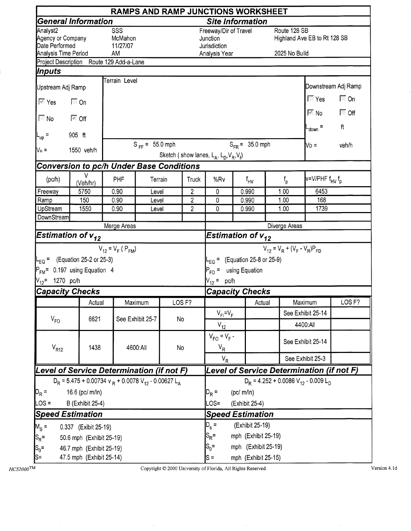|                                                                         |                                                                                  |                                  |                              |                   |                                  |                                                                                                                          |                | RAMPS AND RAMP JUNCTIONS WORKSHEET |                               |                                                    |                     |
|-------------------------------------------------------------------------|----------------------------------------------------------------------------------|----------------------------------|------------------------------|-------------------|----------------------------------|--------------------------------------------------------------------------------------------------------------------------|----------------|------------------------------------|-------------------------------|----------------------------------------------------|---------------------|
|                                                                         | <b>General Information</b>                                                       |                                  |                              |                   |                                  | <b>Site Information</b>                                                                                                  |                |                                    |                               |                                                    |                     |
| Analyst2<br>Agency or Company<br>Date Performed<br>Analysis Time Period |                                                                                  | SSS<br>McMahon<br>11/27/07<br>AM |                              |                   |                                  | Freeway/Dir of Travel<br>Junction<br>Jurisdiction<br>Analysis Year                                                       |                |                                    | Route 128 SB<br>2025 No Build | Highland Ave EB to Rt 128 SB                       |                     |
|                                                                         | Project Description Route 129 Add-a-Lane                                         |                                  |                              |                   |                                  |                                                                                                                          |                |                                    |                               |                                                    |                     |
| Inputs                                                                  |                                                                                  |                                  |                              |                   |                                  |                                                                                                                          |                |                                    |                               |                                                    |                     |
| Upstream Adj Ramp                                                       |                                                                                  | Terrain Level                    |                              |                   |                                  |                                                                                                                          |                |                                    |                               |                                                    | Downstream Adj Ramp |
| $\overline{\mathbb{M}}$ Yes                                             | $\Box$ On                                                                        |                                  |                              |                   |                                  |                                                                                                                          |                |                                    |                               | $\mathbb{F}$ Yes                                   | $\Box$ On           |
| $\overline{\mathbb{F}}$ No                                              | ि Off                                                                            |                                  |                              |                   |                                  |                                                                                                                          |                |                                    |                               | $\overline{\mathbb{M}}$ No $\overline{\mathbb{M}}$ | $\Box$ Off          |
| $L_{\text{up}}$ =                                                       | 905 ft                                                                           |                                  |                              |                   |                                  |                                                                                                                          |                |                                    |                               | $_{\text{down}}$ =                                 | ft                  |
| $V_{u}$ =                                                               | 1550 veh/h                                                                       |                                  | $S_{FF} = 55.0$ mph          |                   |                                  | Sketch (show lanes, $L_A$ , $L_D$ , $V_R$ , $V_f$ )                                                                      |                | $S_{FB} = 35.0$ mph                |                               | $\mathsf{N}_{\mathsf{D}}$ =                        | veh/h               |
|                                                                         | Conversion to pc/h Under Base Conditions                                         |                                  |                              |                   |                                  |                                                                                                                          |                |                                    |                               |                                                    |                     |
| (pc/h)                                                                  | v<br>(Veh/hr)                                                                    | PHF                              | Terrain                      |                   | <b>Truck</b>                     | %Rv                                                                                                                      |                | $f_{HV}$                           | $f_{\sf p}$                   | v=V/PHF f <sub>HV</sub> f <sub>p</sub>             |                     |
| Freeway                                                                 | 5750                                                                             | 0.90                             | Level                        |                   | $\overline{2}$                   | $\mathbf 0$                                                                                                              | 0.990          |                                    | 1.00                          | 6453                                               |                     |
| Ramp<br>UpStream                                                        | 150<br>1550                                                                      | 0.90<br>0.90                     | Level<br>Level               |                   | $\overline{2}$<br>$\overline{c}$ | 0<br>0                                                                                                                   | 0.990<br>0.990 |                                    | 1.00<br>1.00                  | 168<br>1739                                        |                     |
| DownStream                                                              |                                                                                  |                                  |                              |                   |                                  |                                                                                                                          |                |                                    |                               |                                                    |                     |
|                                                                         |                                                                                  | Merge Areas                      |                              |                   |                                  |                                                                                                                          |                |                                    | Diverge Areas                 |                                                    |                     |
| Estimation of $v_{12}$                                                  |                                                                                  |                                  |                              |                   |                                  | Estimation of $\bm{{\mathsf{v}}}_{\bm{12}}$                                                                              |                |                                    |                               |                                                    |                     |
| V <sub>12</sub> = 1270 pc/h                                             | $-EO = (Equation 25-2 or 25-3)$<br>P <sub>FM</sub> = 0.197 using Equation 4      | $V_{12} = V_F (P_{FM})$          |                              |                   |                                  | $V_{12} = V_R + (V_F - V_R)P_{FD}$<br>$L_{EQ}$ = (Equation 25-8 or 25-9)<br>$P_{FD}$ = using Equation<br>$V_{12} = pc/h$ |                |                                    |                               |                                                    |                     |
| <b>Capacity Checks</b>                                                  |                                                                                  |                                  |                              |                   |                                  | <b>Capacity Checks</b>                                                                                                   |                |                                    |                               |                                                    |                     |
|                                                                         | Actual                                                                           |                                  | Maximum                      | LOS <sub>F?</sub> |                                  |                                                                                                                          |                | Actual                             |                               | Maximum                                            | LOS <sub>F?</sub>   |
|                                                                         |                                                                                  |                                  |                              |                   |                                  | $V_{FI} = V_F$                                                                                                           |                |                                    |                               | See Exhibit 25-14                                  |                     |
| $V_{FO}$                                                                | 6621                                                                             |                                  | See Exhibit 25-7             | No                |                                  | $V_{12}$                                                                                                                 |                |                                    |                               | 4400:All                                           |                     |
| $V_{R12}$                                                               | 1438                                                                             |                                  | 4600:All                     | No                |                                  | $V_{FO} = V_F -$<br>$V_R$                                                                                                |                |                                    |                               | See Exhibit 25-14                                  |                     |
|                                                                         |                                                                                  |                                  |                              |                   |                                  | $V_R$                                                                                                                    |                |                                    |                               | See Exhibit 25-3                                   |                     |
|                                                                         | Level of Service Determination (if not F)                                        |                                  |                              |                   |                                  |                                                                                                                          |                |                                    |                               | Level of Service Determination (if not F)          |                     |
|                                                                         | $D_R$ = 5.475 + 0.00734 v $_R$ + 0.0078 V <sub>12</sub> - 0.00627 L <sub>A</sub> |                                  |                              |                   |                                  |                                                                                                                          |                |                                    |                               | $D_R = 4.252 + 0.0086 V_{12} - 0.009 L_D$          |                     |
| $D_R =$                                                                 | 16.6 (pc/ m/ln)                                                                  |                                  |                              |                   |                                  | $\mathsf{D}_{\mathsf{R}}$ =                                                                                              | (pc/m/ln)      |                                    |                               |                                                    |                     |
| LOS =                                                                   | <b>B</b> (Exhibit 25-4)                                                          |                                  |                              |                   |                                  |                                                                                                                          |                | (Exhibit 25-4)                     |                               |                                                    |                     |
|                                                                         | <b>Speed Estimation</b>                                                          |                                  |                              |                   |                                  | <b>Speed Estimation</b>                                                                                                  |                |                                    |                               |                                                    |                     |
| $M_S =$                                                                 | 0.337 (Exibit 25-19)                                                             |                                  | $D_{s} =$<br>(Exhibit 25-19) |                   |                                  |                                                                                                                          |                |                                    |                               |                                                    |                     |
| $S_R =$                                                                 | 50.6 mph (Exhibit 25-19)                                                         |                                  |                              |                   |                                  | $S_{\mathsf{R}}$ =<br>mph (Exhibit 25-19)                                                                                |                |                                    |                               |                                                    |                     |
| $S_0 =$                                                                 | 46.7 mph (Exhibit 25-19)                                                         |                                  |                              |                   |                                  | $S_0 =$<br>mph (Exhibit 25-19)                                                                                           |                |                                    |                               |                                                    |                     |
| S=                                                                      | 47.5 mph (Exhibit 25-14)                                                         |                                  |                              |                   |                                  | $s =$<br>mph (Exhibit 25-15)                                                                                             |                |                                    |                               |                                                    |                     |

 $HCS2000$ TM

Copyright  $@$  2000 University of Florida, All Rights Reserved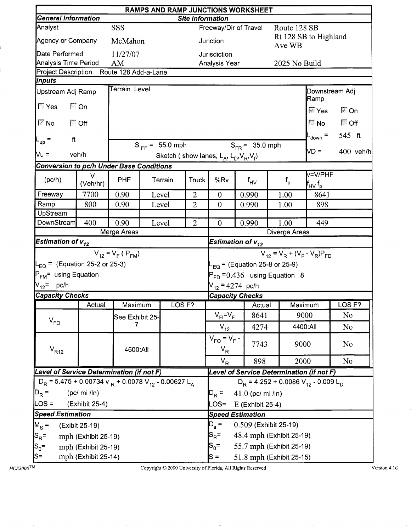|                                                                                  |                     |                         |         |                     |                         |                                                                          | RAMPS AND RAMP JUNCTIONS WORKSHEET  |  |                      |                                                                          |                   |             |
|----------------------------------------------------------------------------------|---------------------|-------------------------|---------|---------------------|-------------------------|--------------------------------------------------------------------------|-------------------------------------|--|----------------------|--------------------------------------------------------------------------|-------------------|-------------|
| <b>General Information</b>                                                       |                     |                         |         |                     | <b>Site Information</b> |                                                                          |                                     |  |                      |                                                                          |                   |             |
| Analyst                                                                          |                     | SSS                     |         |                     |                         |                                                                          | Freeway/Dir of Travel               |  | Route 128 SB         | Rt 128 SB to Highland                                                    |                   |             |
| Agency or Company                                                                |                     | McMahon                 |         |                     |                         | Junction                                                                 |                                     |  | Ave WB               |                                                                          |                   |             |
| Date Performed                                                                   |                     | 11/27/07                |         |                     |                         | Jurisdiction                                                             |                                     |  |                      |                                                                          |                   |             |
| Analysis Time Period                                                             |                     | AM                      |         |                     |                         | Analysis Year                                                            |                                     |  | 2025 No Build        |                                                                          |                   |             |
| Project Description Route 128 Add-a-Lane<br>Inputs                               |                     |                         |         |                     |                         |                                                                          |                                     |  |                      |                                                                          |                   |             |
| Upstream Adj Ramp                                                                |                     | Terrain Level           |         |                     |                         |                                                                          |                                     |  |                      | Downstream Adj                                                           |                   |             |
| $\mathbb{F}$ Yes                                                                 | 厂 On                |                         |         |                     |                         |                                                                          |                                     |  |                      | Ramp<br>$\overline{\mathbb{M}}$ Yes                                      | l <sup>⊠</sup> On |             |
| $\overline{\mathbb{M}}$ No                                                       | $\Box$ Off          |                         |         |                     |                         |                                                                          |                                     |  |                      | ि No                                                                     | $\Box$ Off        |             |
| ft                                                                               |                     |                         |         |                     |                         |                                                                          |                                     |  |                      | $t_{\text{down}}$ =                                                      | 545 ft            |             |
| $L_{\text{up}}$ =                                                                |                     |                         |         | $S_{FF}$ = 55.0 mph |                         |                                                                          | $S_{FR} = 35.0$ mph                 |  |                      | VD =                                                                     |                   | $400$ veh/h |
| $Vu =$                                                                           | veh/h               |                         |         |                     |                         | Sketch (show lanes, $L_A$ , $L_D$ , $V_R$ , $V_f$ )                      |                                     |  |                      |                                                                          |                   |             |
| <b>Conversion to pc/h Under Base Conditions</b>                                  |                     |                         |         |                     |                         |                                                                          |                                     |  |                      |                                                                          |                   |             |
| (pc/h)                                                                           | $\vee$<br>(Veh/hr)  | PHF                     |         | Terrain             | Truck                   | %Rv                                                                      | $f_{HV}$                            |  | $f_{\sf p}$          | v=V/PHF<br>$\mathsf{f}_{\mathsf{H}\mathsf{V}}\, \mathsf{f}_{\mathsf{p}}$ |                   |             |
| Freeway                                                                          | 7700                | 0.90                    |         | Level               | $\overline{2}$          | $\boldsymbol{0}$                                                         | 0.990                               |  | 1.00                 | 8641                                                                     |                   |             |
| Ramp                                                                             | 800                 | 0.90                    |         | Level               | $\overline{2}$          | $\overline{0}$                                                           | 0.990                               |  | 1.00                 | 898                                                                      |                   |             |
| UpStream                                                                         |                     |                         |         |                     |                         |                                                                          |                                     |  |                      |                                                                          |                   |             |
| DownStream                                                                       | 400                 | 0.90                    |         | Level               | $\overline{2}$          | $\overline{0}$                                                           | 0.990                               |  | 1.00                 | 449                                                                      |                   |             |
| Estimation of v <sub>12</sub>                                                    |                     | Merge Areas             |         |                     |                         |                                                                          |                                     |  | <b>Diverge Areas</b> |                                                                          |                   |             |
|                                                                                  |                     |                         |         |                     |                         | Estimation of $v_{12}$                                                   |                                     |  |                      |                                                                          |                   |             |
|                                                                                  |                     | $V_{12} = V_F (P_{FM})$ |         |                     |                         | $V_{12} = V_R + (V_F - V_R)P_{FD}$<br>$L_{EQ}$ = (Equation 25-8 or 25-9) |                                     |  |                      |                                                                          |                   |             |
| $L_{\text{EQ}}$ = (Equation 25-2 or 25-3)                                        |                     |                         |         |                     |                         |                                                                          |                                     |  |                      |                                                                          |                   |             |
| P <sub>FM</sub> = using Equation                                                 |                     |                         |         |                     |                         | $P_{FD}$ = 0.436 using Equation 8                                        |                                     |  |                      |                                                                          |                   |             |
| V <sub>12</sub> = pc/h                                                           |                     |                         |         |                     |                         | $V_{12}$ = 4274 pc/h                                                     |                                     |  |                      |                                                                          |                   |             |
| <b>Capacity Checks</b>                                                           | Actual              | Maximum                 |         | LOS <sub>F?</sub>   |                         |                                                                          | <b>Capacity Checks</b>              |  | Maximum              |                                                                          | LOS <sub>F?</sub> |             |
|                                                                                  |                     |                         |         |                     |                         | $V_{FI} = V_F$                                                           | <b>Actual</b><br>8641               |  | 9000                 |                                                                          | No                |             |
| $V_{FO}$                                                                         |                     | See Exhibit 25-<br>7    |         |                     |                         |                                                                          | 4274                                |  | 4400:All             |                                                                          | N <sub>0</sub>    |             |
|                                                                                  |                     |                         |         |                     |                         | $V_{12}$<br>$V_{FO} = V_F -$                                             | 7743                                |  | 9000                 |                                                                          | No                |             |
| $\rm V_{R12}$                                                                    |                     | 4600:All                |         |                     |                         | $V_R$                                                                    |                                     |  |                      |                                                                          |                   |             |
|                                                                                  |                     |                         |         |                     |                         | $V_R$                                                                    | 898                                 |  | 2000                 |                                                                          | N <sub>o</sub>    |             |
| Level of Service Determination (if not F)                                        |                     |                         |         |                     |                         |                                                                          |                                     |  |                      | Level of Service Determination (if not F)                                |                   |             |
| $D_R$ = 5.475 + 0.00734 v $_R$ + 0.0078 V <sub>12</sub> - 0.00627 L <sub>A</sub> |                     |                         |         |                     |                         |                                                                          |                                     |  |                      | $D_R$ = 4.252 + 0.0086 V <sub>12</sub> - 0.009 L <sub>D</sub>            |                   |             |
| $D_R =$                                                                          | $(pc/mi$ / $ln)$    |                         | $D_R =$ | 41.0 (pc/ mi /ln)   |                         |                                                                          |                                     |  |                      |                                                                          |                   |             |
| $\textsf{LOS} =$                                                                 | (Exhibit 25-4)      |                         |         |                     |                         | LOS=                                                                     | E (Exhibit 25-4)                    |  |                      |                                                                          |                   |             |
| <b>Speed Estimation</b>                                                          |                     |                         |         |                     |                         | <b>Speed Estimation</b>                                                  |                                     |  |                      |                                                                          |                   |             |
| $M_S =$                                                                          | (Exibit 25-19)      |                         |         |                     |                         | $D_{s}$ =<br>0.509 (Exhibit 25-19)                                       |                                     |  |                      |                                                                          |                   |             |
| $ S_R =$                                                                         | mph (Exhibit 25-19) |                         |         |                     |                         | $S_{\mathsf{R}}^{\vphantom{1}}$ =<br>48.4 mph (Exhibit 25-19)            |                                     |  |                      |                                                                          |                   |             |
| $ S_0=$                                                                          | mph (Exhibit 25-19) |                         |         |                     |                         |                                                                          | $S_0 =$<br>55.7 mph (Exhibit 25-19) |  |                      |                                                                          |                   |             |
| S=                                                                               | mph (Exhibit 25-14) |                         |         |                     |                         | 51.8 mph (Exhibit 25-15)<br>$S =$                                        |                                     |  |                      |                                                                          |                   |             |

Copyright  $\odot$  2000 University of Florida, All Rights Reserved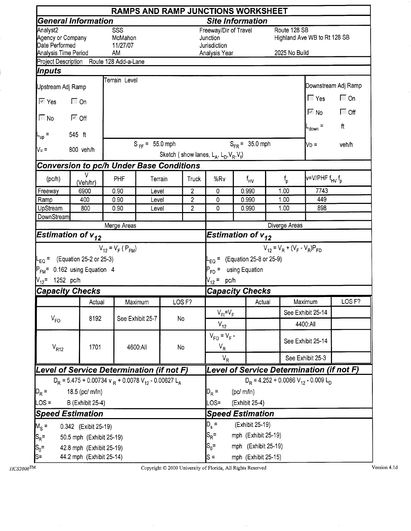|                                                                         |                                                                                  |                                  |                              |    |                         | <b>RAMPS AND RAMP JUNCTIONS WORKSHEET</b>                                |  |                     |                               |                                                               |                     |  |
|-------------------------------------------------------------------------|----------------------------------------------------------------------------------|----------------------------------|------------------------------|----|-------------------------|--------------------------------------------------------------------------|--|---------------------|-------------------------------|---------------------------------------------------------------|---------------------|--|
|                                                                         | <b>General Information</b>                                                       |                                  |                              |    |                         | <b>Site Information</b>                                                  |  |                     |                               |                                                               |                     |  |
| Analyst2<br>Agency or Company<br>Date Performed<br>Analysis Time Period |                                                                                  | SSS<br>McMahon<br>11/27/07<br>AM |                              |    |                         | Freeway/Dir of Travel<br>Junction<br>Jurisdiction<br>Analysis Year       |  |                     | Route 128 SB<br>2025 No Build | Highland Ave WB to Rt 128 SB                                  |                     |  |
|                                                                         | Project Description Route 128 Add-a-Lane                                         |                                  |                              |    |                         |                                                                          |  |                     |                               |                                                               |                     |  |
| Inputs                                                                  |                                                                                  |                                  |                              |    |                         |                                                                          |  |                     |                               |                                                               |                     |  |
| Upstream Adj Ramp                                                       |                                                                                  | Terrain Level                    |                              |    |                         |                                                                          |  |                     |                               |                                                               | Downstream Adj Ramp |  |
| $\overline{\mathbb{M}}$ Yes                                             | $\Box$ On                                                                        |                                  |                              |    |                         |                                                                          |  |                     |                               | $\sqrt{2}$ Yes                                                | $\Box$ On           |  |
| $\overline{\mathbb{F}}$ No                                              | $\overline{\triangledown}$ Off                                                   |                                  |                              |    |                         |                                                                          |  |                     |                               | $\overline{\mathbb{M}}$ No $\overline{\mathbb{M}}$            | $\Box$ Off<br>ft    |  |
| $L_{\text{up}}$ =                                                       | 545 ft                                                                           |                                  |                              |    |                         |                                                                          |  |                     |                               | $L_{\text{down}}$ =                                           |                     |  |
| Vu =                                                                    | 800 veh/h                                                                        |                                  | $S_{FF} = 55.0$ mph          |    |                         | Sketch (show lanes, $L_A$ , $L_D$ , $V_R$ , $V_f$ )                      |  | $S_{FR} = 35.0$ mph |                               | $N_D =$                                                       | veh/h               |  |
|                                                                         | <b>Conversion to pc/h Under Base Conditions</b>                                  |                                  |                              |    |                         |                                                                          |  |                     |                               |                                                               |                     |  |
| (pc/h)                                                                  | V<br>(Veh/hr)                                                                    | PHF                              | Terrain                      |    | Truck                   | %Rv                                                                      |  | $f_{\text{HV}}$     | $f_{\rm p}$                   | v=V/PHF f <sub>HV</sub> f <sub>p</sub>                        |                     |  |
| Freeway                                                                 | 6900                                                                             | 0.90                             | Level                        |    | $\overline{\mathbf{c}}$ | $\mathbf 0$                                                              |  | 0.990               | 1.00                          | 7743                                                          |                     |  |
| Ramp                                                                    | 400                                                                              | 0.90                             | Level                        |    | $\overline{2}$          | $\mathbf 0$                                                              |  | 0.990               | 1.00                          | 449                                                           |                     |  |
| UpStream<br>DownStream                                                  | 800                                                                              | 0.90                             | Level                        |    | $\overline{2}$          | 0                                                                        |  | 0.990               | 1.00                          | 898                                                           |                     |  |
|                                                                         |                                                                                  | Merge Areas                      |                              |    |                         |                                                                          |  |                     | Diverge Areas                 |                                                               |                     |  |
| Estimation of $v_{12}$                                                  |                                                                                  |                                  |                              |    |                         | Estimation of $v_{12}$                                                   |  |                     |                               |                                                               |                     |  |
|                                                                         |                                                                                  | $V_{12} = V_F (P_{FM})$          |                              |    |                         | $V_{12} = V_R + (V_F - V_R)P_{FD}$<br>$E_{EQ}$ = (Equation 25-8 or 25-9) |  |                     |                               |                                                               |                     |  |
|                                                                         | $L_{EO}$ = (Equation 25-2 or 25-3)                                               |                                  |                              |    |                         |                                                                          |  |                     |                               |                                                               |                     |  |
|                                                                         | $P_{FM}$ = 0.162 using Equation 4                                                |                                  |                              |    |                         | $P_{FD}$ = using Equation                                                |  |                     |                               |                                                               |                     |  |
| $V_{12}$ = 1252 pc/h                                                    |                                                                                  |                                  |                              |    |                         | $V_{12}$ = pc/h                                                          |  |                     |                               |                                                               |                     |  |
| <b>Capacity Checks</b>                                                  |                                                                                  |                                  |                              |    |                         | <b>Capacity Checks</b>                                                   |  |                     |                               |                                                               |                     |  |
|                                                                         | Actual                                                                           |                                  | Maximum                      |    | LOS <sub>F?</sub>       |                                                                          |  | Actual              |                               | Maximum                                                       | LOS <sub>F?</sub>   |  |
| $V_{FO}$                                                                | 8192                                                                             |                                  | See Exhibit 25-7             | No |                         | $V_{FI} = V_F$                                                           |  |                     |                               | See Exhibit 25-14                                             |                     |  |
|                                                                         |                                                                                  |                                  |                              |    |                         | $V_{12}$                                                                 |  |                     |                               | 4400:All                                                      |                     |  |
| $V_{R12}$                                                               | 1701                                                                             |                                  | 4600:All                     | No |                         | $V_{FO} = V_F -$<br>$V_R$                                                |  |                     |                               | See Exhibit 25-14                                             |                     |  |
|                                                                         |                                                                                  |                                  |                              |    |                         | $V_R$                                                                    |  |                     |                               | See Exhibit 25-3                                              |                     |  |
|                                                                         | Level of Service Determination (if not F)                                        |                                  |                              |    |                         |                                                                          |  |                     |                               | Level of Service Determination (if not F)                     |                     |  |
|                                                                         | $D_R$ = 5.475 + 0.00734 v $_R$ + 0.0078 V <sub>12</sub> - 0.00627 L <sub>A</sub> |                                  |                              |    |                         |                                                                          |  |                     |                               | $D_R$ = 4.252 + 0.0086 V <sub>12</sub> - 0.009 L <sub>D</sub> |                     |  |
| $D_R =$                                                                 | 18.5 (pc/ m/ln)                                                                  |                                  |                              |    |                         |                                                                          |  | (pc/m/n)            |                               |                                                               |                     |  |
| $LOS =$                                                                 | <b>B</b> (Exhibit 25-4)                                                          |                                  |                              |    |                         | $D_R =$<br>$OS=$                                                         |  | (Exhibit 25-4)      |                               |                                                               |                     |  |
|                                                                         | <b>Speed Estimation</b>                                                          |                                  |                              |    |                         | <b>Speed Estimation</b>                                                  |  |                     |                               |                                                               |                     |  |
| $M_S =$                                                                 | 0.342 (Exibit 25-19)                                                             |                                  | $D_{s}$ =<br>(Exhibit 25-19) |    |                         |                                                                          |  |                     |                               |                                                               |                     |  |
| $ S_R =$                                                                | 50.5 mph (Exhibit 25-19)                                                         |                                  |                              |    |                         | $S_R =$<br>mph (Exhibit 25-19)                                           |  |                     |                               |                                                               |                     |  |
| $ S_0=$                                                                 | 42.8 mph (Exhibit 25-19)                                                         |                                  |                              |    |                         | $S_0 =$<br>mph (Exhibit 25-19)                                           |  |                     |                               |                                                               |                     |  |
| ls=                                                                     | 44.2 mph (Exhibit 25-14)                                                         |                                  |                              |    |                         | mph (Exhibit 25-15)<br>$S =$                                             |  |                     |                               |                                                               |                     |  |

Copyright © 2000 University of Florida, All Rights Reserved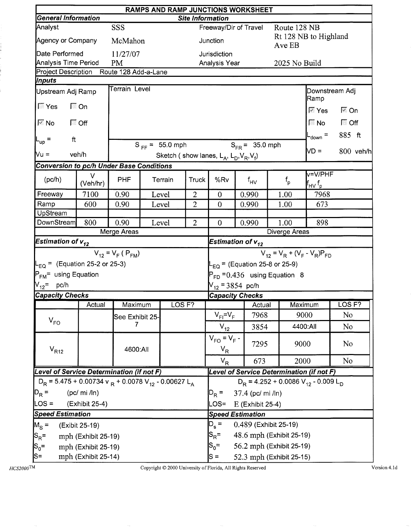|                                                                                  |                     |                         |                     |                         |                                                     | RAMPS AND RAMP JUNCTIONS WORKSHEET |                       |                                                                     |                            |  |  |
|----------------------------------------------------------------------------------|---------------------|-------------------------|---------------------|-------------------------|-----------------------------------------------------|------------------------------------|-----------------------|---------------------------------------------------------------------|----------------------------|--|--|
| <b>General Information</b>                                                       |                     |                         |                     | <b>Site Information</b> |                                                     |                                    |                       |                                                                     |                            |  |  |
| Analyst                                                                          |                     | <b>SSS</b>              |                     |                         |                                                     | Freeway/Dir of Travel              |                       | Route 128 NB<br>Rt 128 NB to Highland                               |                            |  |  |
| Agency or Company                                                                |                     | McMahon                 |                     |                         | Junction                                            |                                    | Ave EB                |                                                                     |                            |  |  |
| Date Performed                                                                   |                     | 11/27/07                |                     |                         | Jurisdiction                                        |                                    |                       |                                                                     |                            |  |  |
| <b>Analysis Time Period</b><br>Project Description Route 128 Add-a-Lane          |                     | <b>PM</b>               |                     |                         | Analysis Year                                       |                                    |                       | 2025 No Build                                                       |                            |  |  |
| Inputs                                                                           |                     |                         |                     |                         |                                                     |                                    |                       |                                                                     |                            |  |  |
| Upstream Adj Ramp                                                                |                     | Terrain Level           |                     |                         |                                                     |                                    |                       | <b>Ramp</b>                                                         | Downstream Adj             |  |  |
| $ \Gamma$ Yes                                                                    | <b>।</b> On         |                         |                     |                         |                                                     |                                    |                       | $\overline{M}$ Yes                                                  | $\overline{\mathbb{M}}$ On |  |  |
| ।⊠ No                                                                            | $\Box$ Off          |                         |                     |                         |                                                     |                                    |                       | $\blacksquare$ No                                                   | $\Box$ Off                 |  |  |
| ft<br>$L_{\text{up}}$ =                                                          |                     |                         |                     |                         |                                                     |                                    |                       | $L_{\text{down}}$ =                                                 | 885 ft                     |  |  |
|                                                                                  |                     |                         | $S_{FF}$ = 55.0 mph |                         |                                                     | $S_{FR}$ = 35.0 mph                |                       | VD =                                                                | $800$ veh/h                |  |  |
| Mu =                                                                             | veh/h               |                         |                     |                         | Sketch (show lanes, $L_A$ , $L_D$ , $V_R$ , $V_f$ ) |                                    |                       |                                                                     |                            |  |  |
| <b>Conversion to pc/h Under Base Conditions</b>                                  |                     |                         |                     |                         |                                                     |                                    |                       |                                                                     |                            |  |  |
| (pc/h)                                                                           | V<br>(Veh/hr)       | <b>PHF</b>              | Terrain             | Truck                   | %Rv                                                 | $f_{HV}$                           | $f_{\sf p}$           | v=V/PHF<br>$\mathsf{f}_{\mathsf{H}\mathsf{V}}\mathsf{f}_\mathsf{p}$ |                            |  |  |
| Freeway                                                                          | 7100                | 0.90                    | Level               | $\overline{2}$          | $\mathbf{0}$                                        | 0.990                              | 1.00                  | 7968                                                                |                            |  |  |
| Ramp                                                                             | 600                 | 0.90                    | Level               | $\overline{2}$          | $\overline{0}$                                      | 0.990                              | 1.00                  | 673                                                                 |                            |  |  |
| <b>UpStream</b>                                                                  |                     |                         |                     |                         |                                                     |                                    |                       |                                                                     |                            |  |  |
| <b>DownStream</b>                                                                | 800                 | 0.90<br>Merge Areas     | Level               | $\overline{2}$          | $\overline{0}$                                      | 0.990                              | 1.00<br>Diverge Areas | 898                                                                 |                            |  |  |
| Estimation of $\mathsf{v}_{\mathsf{12}}^*$                                       |                     |                         |                     |                         |                                                     | Estimation of $v_{12}$             |                       |                                                                     |                            |  |  |
|                                                                                  |                     | $V_{12} = V_F (P_{FM})$ |                     |                         | $V_{12} = V_R + (V_F - V_R)P_{FD}$                  |                                    |                       |                                                                     |                            |  |  |
| $L_{EQ}$ = (Equation 25-2 or 25-3)                                               |                     |                         |                     |                         |                                                     | $L_{EQ}$ = (Equation 25-8 or 25-9) |                       |                                                                     |                            |  |  |
| P <sub>FM</sub> = using Equation                                                 |                     |                         |                     |                         | $P_{FD}$ = 0.436 using Equation 8                   |                                    |                       |                                                                     |                            |  |  |
| $V_{12}$ = pc/h                                                                  |                     |                         |                     |                         | $V_{12}$ = 3854 pc/h                                |                                    |                       |                                                                     |                            |  |  |
| <b>Capacity Checks</b>                                                           |                     |                         |                     |                         |                                                     | <b>Capacity Checks</b>             |                       |                                                                     |                            |  |  |
|                                                                                  | Actual              | Maximum                 | LOS <sub>F?</sub>   |                         |                                                     | Actual                             |                       | Maximum                                                             | LOS <sub>F?</sub>          |  |  |
| $V_{FO}$                                                                         |                     | See Exhibit 25-         |                     |                         | $V_{FI} = V_F$                                      | 7968                               |                       | 9000                                                                | No                         |  |  |
|                                                                                  |                     | 7                       |                     |                         | $V_{12}$                                            | 3854                               |                       | 4400:All                                                            | N <sub>0</sub>             |  |  |
| $V_{R12}$                                                                        |                     | 4600:All                |                     |                         | $V_{FO} = V_F -$<br>$V_R$                           | 7295                               |                       | 9000                                                                | N <sub>0</sub>             |  |  |
|                                                                                  |                     |                         |                     |                         | $V_R$                                               | 673                                |                       | 2000                                                                | No.                        |  |  |
| Level of Service Determination (if not F)                                        |                     |                         |                     |                         |                                                     |                                    |                       | Level of Service Determination (if not F)                           |                            |  |  |
| $D_R$ = 5.475 + 0.00734 v $_R$ + 0.0078 V <sub>12</sub> - 0.00627 L <sub>A</sub> |                     |                         |                     |                         |                                                     |                                    |                       | $D_R = 4.252 + 0.0086 V_{12} - 0.009 L_D$                           |                            |  |  |
| $D_R =$                                                                          | $(pc/mi$ /ln)       |                         |                     |                         | $D_R =$                                             | 37.4 (pc/ mi /ln)                  |                       |                                                                     |                            |  |  |
| $LOS =$                                                                          | (Exhibit 25-4)      |                         |                     |                         | LOS=                                                | E (Exhibit 25-4)                   |                       |                                                                     |                            |  |  |
| <b>Speed Estimation</b>                                                          |                     |                         |                     |                         |                                                     | <b>Speed Estimation</b>            |                       |                                                                     |                            |  |  |
| $M_S =$                                                                          | (Exibit 25-19)      |                         |                     |                         | $D_s =$<br>0.489 (Exhibit 25-19)                    |                                    |                       |                                                                     |                            |  |  |
| $S_R =$                                                                          | mph (Exhibit 25-19) |                         |                     |                         | $S_{\mathsf{R}}$ =<br>48.6 mph (Exhibit 25-19)      |                                    |                       |                                                                     |                            |  |  |
| $ S_0=$                                                                          | mph (Exhibit 25-19) |                         |                     |                         | 56.2 mph (Exhibit 25-19)<br>$S_0 =$                 |                                    |                       |                                                                     |                            |  |  |
| S=                                                                               | mph (Exhibit 25-14) |                         |                     |                         | 52.3 mph (Exhibit 25-15)<br>$S =$                   |                                    |                       |                                                                     |                            |  |  |

i<br>I

į

Copyright  $@$  2000 University of Florida, All Rights Reserved

Version  $4.1\mathrm{d}$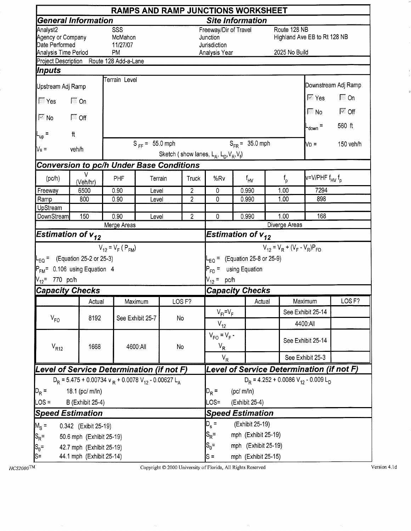|                                                                         |                                                                                  |                                  |                     |    |                                |                                                                    |           | <b>RAMPS AND RAMP JUNCTIONS WORKSHEET</b> |                               |                                                    |                                       |
|-------------------------------------------------------------------------|----------------------------------------------------------------------------------|----------------------------------|---------------------|----|--------------------------------|--------------------------------------------------------------------|-----------|-------------------------------------------|-------------------------------|----------------------------------------------------|---------------------------------------|
|                                                                         | <b>General Information</b>                                                       |                                  |                     |    |                                | <b>Site Information</b>                                            |           |                                           |                               |                                                    |                                       |
| Analyst2<br>Agency or Company<br>Date Performed<br>Analysis Time Period |                                                                                  | SSS<br>McMahon<br>11/27/07<br>PM |                     |    |                                | Freeway/Dir of Travel<br>Junction<br>Jurisdiction<br>Analysis Year |           |                                           | Route 128 NB<br>2025 No Build | Highland Ave EB to Rt 128 NB                       |                                       |
|                                                                         | Project Description Route 128 Add-a-Lane                                         |                                  |                     |    |                                |                                                                    |           |                                           |                               |                                                    |                                       |
| Inputs                                                                  |                                                                                  |                                  |                     |    |                                |                                                                    |           |                                           |                               |                                                    |                                       |
| Upstream Adj Ramp                                                       |                                                                                  | Terrain Level                    |                     |    |                                |                                                                    |           |                                           |                               |                                                    | Downstream Adj Ramp                   |
| $\Box$ Yes                                                              | $\Box$ On                                                                        |                                  |                     |    |                                |                                                                    |           |                                           |                               | $\overline{\mathbb{M}}$ Yes                        | $\Box$ On                             |
| $\overline{\approx}$ No                                                 | $\sqrt{a}$ Off                                                                   |                                  |                     |    |                                |                                                                    |           |                                           |                               | $\overline{\mathbb{R}}$ No $\overline{\mathbb{R}}$ | $\overline{\mathbb{M}}$ Off<br>560 ft |
| $L_{\text{up}}$ =                                                       | $\ensuremath{\mathsf{ft}}$                                                       |                                  |                     |    |                                |                                                                    |           |                                           |                               | L <sub>down</sub> =                                |                                       |
| $Vu$ =                                                                  | veh/h                                                                            |                                  | $S_{FF} = 55.0$ mph |    |                                | Sketch (show lanes, $L_A$ , $L_D$ , $V_R$ , $V_f$ )                |           | $S_{FR} = 35.0$ mph                       |                               | No =                                               | 150 veh/h                             |
|                                                                         | <b>Conversion to pc/h Under Base Conditions</b>                                  |                                  |                     |    |                                |                                                                    |           |                                           |                               |                                                    |                                       |
| (pc/h)                                                                  | V<br>(Veh/hr)                                                                    | PHF                              | Terrain             |    | Truck                          | %Rv                                                                |           | $f_{HV}$                                  | $f_{\sf p}$                   | v=V/PHF f <sub>HV</sub> f <sub>p</sub>             |                                       |
| Freeway                                                                 | 6500                                                                             | 0.90                             | Level               |    | $\overline{2}$                 | $\mathbf 0$                                                        |           | 0.990                                     | 1.00                          | 7294                                               |                                       |
| Ramp<br>UpStream                                                        | 800                                                                              | 0.90                             | Level               |    | $\overline{2}$                 | 0                                                                  |           | 0.990                                     | 1.00                          | 898                                                |                                       |
| DownStream                                                              | 150                                                                              | 0.90                             | Level               |    | $\overline{2}$                 | 0                                                                  |           | 0.990                                     | 1.00                          | 168                                                |                                       |
|                                                                         |                                                                                  | Merge Areas                      |                     |    |                                |                                                                    |           |                                           | Diverge Areas                 |                                                    |                                       |
|                                                                         | Estimation of $\bm{{\mathsf{v}}}_{\bm{12}}$                                      |                                  |                     |    |                                | Estimation of $v_{12}$                                             |           |                                           |                               |                                                    |                                       |
| $N_{12}$ = 770 pc/h                                                     | $L_{\text{EO}} =$ (Equation 25-2 or 25-3)<br>$P_{FM}$ = 0.106 using Equation 4   | $V_{12} = V_F (P_{FM})$          |                     |    |                                | $P_{FD}$ = using Equation<br>$V_{12} = pc/h$                       |           | $L_{EQ}$ = (Equation 25-8 or 25-9)        |                               | $V_{12} = V_R + (V_F - V_R)P_{FD}$                 |                                       |
| <b>Capacity Checks</b>                                                  |                                                                                  |                                  |                     |    |                                | <b>Capacity Checks</b>                                             |           |                                           |                               |                                                    |                                       |
|                                                                         | Actual                                                                           |                                  | Maximum             |    | LOS <sub>F?</sub>              |                                                                    |           | Actual                                    |                               | Maximum                                            | LOS <sub>F?</sub>                     |
|                                                                         | 8192                                                                             |                                  | See Exhibit 25-7    | No |                                | $V_{FI} = V_F$                                                     |           |                                           |                               | See Exhibit 25-14                                  |                                       |
| $V_{FO}$                                                                |                                                                                  |                                  |                     |    |                                | $V_{12}$                                                           |           |                                           |                               | 4400:All                                           |                                       |
| $V_{R12}$                                                               | 1668                                                                             |                                  | 4600:All            | No |                                | $V_{FO} = V_F -$<br>$V_R$                                          |           |                                           |                               | See Exhibit 25-14                                  |                                       |
|                                                                         |                                                                                  |                                  |                     |    |                                | $V_R$                                                              |           |                                           |                               | See Exhibit 25-3                                   |                                       |
|                                                                         | Level of Service Determination (if not F)                                        |                                  |                     |    |                                |                                                                    |           |                                           |                               | Level of Service Determination (if not F)          |                                       |
|                                                                         | $D_R$ = 5.475 + 0.00734 v $_R$ + 0.0078 V <sub>12</sub> - 0.00627 L <sub>A</sub> |                                  |                     |    |                                |                                                                    |           |                                           |                               | $D_R = 4.252 + 0.0086 V_{12} - 0.009 L_D$          |                                       |
| $D_R =$                                                                 | 18.1 (pc/ m/ln)                                                                  |                                  |                     |    |                                | $D_R =$                                                            | (pc/m/ln) |                                           |                               |                                                    |                                       |
| LOS =                                                                   | <b>B</b> (Exhibit 25-4)                                                          |                                  |                     |    |                                | $.OS =$                                                            |           | (Exhibit 25-4)                            |                               |                                                    |                                       |
|                                                                         | <b>Speed Estimation</b>                                                          |                                  |                     |    |                                | <b>Speed Estimation</b>                                            |           |                                           |                               |                                                    |                                       |
| $M_{\rm s}$ =                                                           | 0.342 (Exibit 25-19)                                                             |                                  |                     |    | $D_{s}$ =<br>(Exhibit 25-19)   |                                                                    |           |                                           |                               |                                                    |                                       |
| $ S_R =$                                                                | 50.6 mph (Exhibit 25-19)                                                         |                                  |                     |    |                                | $S_R =$<br>mph (Exhibit 25-19)                                     |           |                                           |                               |                                                    |                                       |
| $ S_0=$                                                                 | 42.7 mph (Exhibit 25-19)                                                         |                                  |                     |    | $S_0 =$<br>mph (Exhibit 25-19) |                                                                    |           |                                           |                               |                                                    |                                       |
| S=                                                                      | 44.1 mph (Exhibit 25-14)                                                         |                                  |                     |    |                                | mph (Exhibit 25-15)<br>$\mathsf{S} =$                              |           |                                           |                               |                                                    |                                       |

 $HCS2000$ TM

Copyright © 2000 University of Florida, All Rights Reserved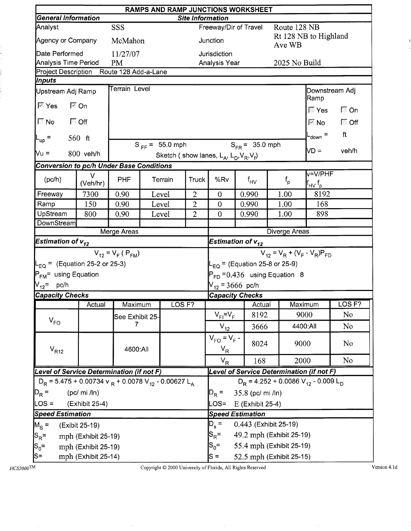|                                                                                  |                     |                         |         |                     |                |                                                                                             | RAMPS AND RAMP JUNCTIONS WORKSHEET        |  |                         |                                                               |                   |  |
|----------------------------------------------------------------------------------|---------------------|-------------------------|---------|---------------------|----------------|---------------------------------------------------------------------------------------------|-------------------------------------------|--|-------------------------|---------------------------------------------------------------|-------------------|--|
| <b>General Information</b>                                                       |                     |                         |         |                     |                | <b>Site Information</b>                                                                     |                                           |  |                         |                                                               |                   |  |
| Analyst                                                                          |                     | <b>SSS</b>              |         |                     |                |                                                                                             | Freeway/Dir of Travel                     |  | Route 128 NB            | Rt 128 NB to Highland                                         |                   |  |
| Agency or Company                                                                |                     | McMahon                 |         |                     |                | Junction                                                                                    |                                           |  | Ave WB                  |                                                               |                   |  |
| Date Performed                                                                   |                     | 11/27/07                |         |                     |                | Jurisdiction                                                                                |                                           |  |                         |                                                               |                   |  |
| Analysis Time Period                                                             |                     | <b>PM</b>               |         |                     |                | Analysis Year                                                                               |                                           |  | 2025 No Build           |                                                               |                   |  |
| Project Description Route 128 Add-a-Lane                                         |                     |                         |         |                     |                |                                                                                             |                                           |  |                         |                                                               |                   |  |
| <b>Inputs</b>                                                                    |                     | Terrain Level           |         |                     |                |                                                                                             |                                           |  |                         |                                                               |                   |  |
| Upstream Adj Ramp                                                                |                     |                         |         |                     |                |                                                                                             |                                           |  |                         | Downstream Adj<br>Ramp                                        |                   |  |
| $\overline{\mathbb{M}}$ Yes                                                      | <b>बि</b> On        |                         |         |                     |                |                                                                                             |                                           |  |                         | $\overline{\mathbb{N}}$ Yes                                   | $\Box$ On         |  |
| $\sqrt{N}$ No                                                                    | $\Box$ Off          |                         |         |                     |                |                                                                                             |                                           |  |                         | $\boxtimes$ No $\Box$                                         | $\Box$ Off        |  |
| $L_{\text{up}}$ =                                                                | $560$ ft            |                         |         |                     |                |                                                                                             |                                           |  |                         | L <sub>down</sub> =                                           | ft                |  |
| Vu =                                                                             | $800$ veh/h         |                         |         | $S_{FF} = 55.0$ mph |                | $S_{FR} = 35.0$ mph<br>VD =<br>veh/h<br>Sketch (show lanes, $L_A$ , $L_D$ , $V_R$ , $V_f$ ) |                                           |  |                         |                                                               |                   |  |
|                                                                                  |                     |                         |         |                     |                |                                                                                             |                                           |  |                         |                                                               |                   |  |
| <b>Conversion to pc/h Under Base Conditions</b>                                  |                     |                         |         |                     |                |                                                                                             |                                           |  |                         | v=V/PHF                                                       |                   |  |
| (pc/h)                                                                           | V<br>(Veh/hr)       | PHF                     |         | Terrain             | <b>Truck</b>   | %Rv                                                                                         | $f_{HV}$                                  |  | $\mathsf{f}_\mathsf{p}$ | l <sup>f</sup> н∨ <sup>f</sup> p                              |                   |  |
| Freeway                                                                          | 7300                | 0.90                    |         | Level               | $\overline{2}$ | $\mathbf{0}$                                                                                | 0.990                                     |  | 1.00                    | 8192                                                          |                   |  |
| Ramp                                                                             | 150                 | 0.90                    |         | Level               | $\overline{2}$ | $\overline{0}$                                                                              | 0.990                                     |  | 1.00                    | 168                                                           |                   |  |
| UpStream                                                                         | 800                 | 0.90                    |         | Level               | $\overline{2}$ | $\theta$                                                                                    | 0.990                                     |  | 898<br>1.00             |                                                               |                   |  |
| <b>DownStream</b>                                                                |                     |                         |         |                     |                |                                                                                             |                                           |  |                         |                                                               |                   |  |
|                                                                                  |                     | Merge Areas             |         |                     |                |                                                                                             |                                           |  | Diverge Areas           |                                                               |                   |  |
| Estimation of $v_{12}$                                                           |                     |                         |         |                     |                | Estimation of $v_{12}$                                                                      |                                           |  |                         |                                                               |                   |  |
|                                                                                  |                     | $V_{12} = V_F (P_{FM})$ |         |                     |                | $V_{12} = V_R + (V_F - V_R)P_{FD}$                                                          |                                           |  |                         |                                                               |                   |  |
| $L_{EQ}$ = (Equation 25-2 or 25-3)                                               |                     |                         |         |                     |                |                                                                                             | $L_{EQ}$ = (Equation 25-8 or 25-9)        |  |                         |                                                               |                   |  |
| P <sub>FM</sub> = using Equation                                                 |                     |                         |         |                     |                |                                                                                             | $P_{FD} = 0.436$ using Equation 8         |  |                         |                                                               |                   |  |
| $V_{12}$ = pc/h                                                                  |                     |                         |         |                     |                | $V_{12}$ = 3666 pc/h                                                                        |                                           |  |                         |                                                               |                   |  |
| <b>Capacity Checks</b>                                                           |                     |                         |         |                     |                |                                                                                             | <b>Capacity Checks</b>                    |  |                         |                                                               |                   |  |
|                                                                                  | Actual              | Maximum                 |         | LOS <sub>F?</sub>   |                |                                                                                             | Actual                                    |  | Maximum                 |                                                               | LOS <sub>F?</sub> |  |
|                                                                                  |                     | See Exhibit 25-         |         |                     |                | $V_{FI} = V_F$                                                                              | 8192                                      |  | 9000                    |                                                               | No                |  |
| $\rm V_{FO}$                                                                     |                     |                         |         |                     |                | $V_{12}$                                                                                    | 3666                                      |  | 4400:All                |                                                               | No                |  |
| $V_{R12}$                                                                        |                     | 4600:All                |         |                     |                | $V_{FO} = V_F -$<br>$V_R$                                                                   | 8024                                      |  | 9000                    |                                                               | No                |  |
|                                                                                  |                     |                         |         |                     |                | $V_R$                                                                                       | 168                                       |  | 2000                    |                                                               | N <sub>0</sub>    |  |
| Level of Service Determination (if not F)                                        |                     |                         |         |                     |                |                                                                                             | Level of Service Determination (if not F) |  |                         |                                                               |                   |  |
| $D_R$ = 5.475 + 0.00734 v $_R$ + 0.0078 V <sub>12</sub> - 0.00627 L <sub>A</sub> |                     |                         |         |                     |                |                                                                                             |                                           |  |                         | $D_R$ = 4.252 + 0.0086 V <sub>12</sub> - 0.009 L <sub>D</sub> |                   |  |
| $D_R =$                                                                          | $(pc/mi$ /ln)       |                         | $D_R =$ | 35.8 (pc/ mi /ln)   |                |                                                                                             |                                           |  |                         |                                                               |                   |  |
| $\textsf{LOS} =$                                                                 | (Exhibit 25-4)      |                         | LOS=    | E (Exhibit 25-4)    |                |                                                                                             |                                           |  |                         |                                                               |                   |  |
| <b>Speed Estimation</b>                                                          |                     |                         |         |                     |                | <b>Speed Estimation</b>                                                                     |                                           |  |                         |                                                               |                   |  |
| $M_S =$                                                                          | (Exibit 25-19)      |                         |         |                     |                |                                                                                             | $D_s =$<br>0.443 (Exhibit 25-19)          |  |                         |                                                               |                   |  |
| $ S_R =$                                                                         | mph (Exhibit 25-19) |                         |         |                     |                | $S_{\mathsf{R}}^{\vphantom{1}}$ =<br>49.2 mph (Exhibit 25-19)                               |                                           |  |                         |                                                               |                   |  |
| $ {\rm S}_{\rm 0}$ =                                                             | mph (Exhibit 25-19) |                         |         |                     |                |                                                                                             | 55.4 mph (Exhibit 25-19)<br>$S_0 =$       |  |                         |                                                               |                   |  |
| $ S=$                                                                            | mph (Exhibit 25-14) |                         |         |                     |                | 52.5 mph (Exhibit 25-15)<br>$S =$                                                           |                                           |  |                         |                                                               |                   |  |

 $HCS2000$ TM

÷.

 $\label{eq:2} \begin{array}{ll} \mathcal{L}_{\mathcal{D}}(\mathcal{D})=\mathcal{L}_{\mathcal{D}}(\mathcal{D})\times\mathcal{L}_{\mathcal{D}}(\mathcal{D})\times\mathcal{L}_{\mathcal{D}}(\mathcal{D})\times\mathcal{L}_{\mathcal{D}}(\mathcal{D})\times\mathcal{L}_{\mathcal{D}}(\mathcal{D})\times\mathcal{L}_{\mathcal{D}}(\mathcal{D})\times\mathcal{L}_{\mathcal{D}}(\mathcal{D})\times\mathcal{L}_{\mathcal{D}}(\mathcal{D})\times\mathcal{L}_{\mathcal{D}}(\mathcal{D})\times\mathcal{L}_{\math$ 

į.

Copyright © 2000 University of Florida, All Rights Reserved

Version 4.1d

 $\mathbf{I}$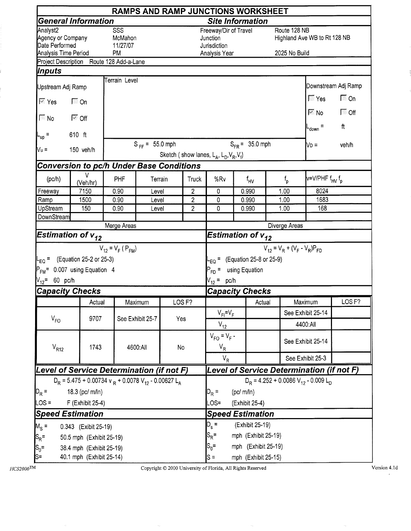|                                                                         |                                                                                  |                                         |                     |                   |                     |                                                                                                                              |  | <b>RAMPS AND RAMP JUNCTIONS WORKSHEET</b> |                               |                                                                          |                     |
|-------------------------------------------------------------------------|----------------------------------------------------------------------------------|-----------------------------------------|---------------------|-------------------|---------------------|------------------------------------------------------------------------------------------------------------------------------|--|-------------------------------------------|-------------------------------|--------------------------------------------------------------------------|---------------------|
|                                                                         | <b>General Information</b>                                                       |                                         |                     |                   |                     | <b>Site Information</b>                                                                                                      |  |                                           |                               |                                                                          |                     |
| Analyst2<br>Agency or Company<br>Date Performed<br>Analysis Time Period |                                                                                  | SSS<br>McMahon<br>11/27/07<br><b>PM</b> |                     |                   |                     | Freeway/Dir of Travel<br>Junction<br>Jurisdiction<br>Analysis Year                                                           |  |                                           | Route 128 NB<br>2025 No Build | Highland Ave WB to Rt 128 NB                                             |                     |
|                                                                         | Project Description Route 128 Add-a-Lane                                         |                                         |                     |                   |                     |                                                                                                                              |  |                                           |                               |                                                                          |                     |
| Inputs                                                                  |                                                                                  |                                         |                     |                   |                     |                                                                                                                              |  |                                           |                               |                                                                          |                     |
| Upstream Adj Ramp                                                       |                                                                                  | Terrain Level                           |                     |                   |                     |                                                                                                                              |  |                                           |                               |                                                                          | Downstream Adj Ramp |
| $\overline{\mathbb{M}}$ Yes                                             | $\Box$ On                                                                        |                                         |                     |                   |                     |                                                                                                                              |  |                                           |                               | $\sqrt{2}$ Yes<br>$\overline{\mathbb{R}}$ No $\overline{\mathbb{R}}$ Off | $\Gamma$ On         |
| $\sqrt{N}$ No                                                           | । ⊠ off                                                                          |                                         |                     |                   |                     |                                                                                                                              |  |                                           |                               | $L_{down}$                                                               | $\mathsf{ft}$       |
| $L_{\text{up}}$ =                                                       | 610 ft                                                                           |                                         |                     |                   |                     |                                                                                                                              |  |                                           |                               |                                                                          |                     |
| $Vu =$                                                                  | 150 veh/h                                                                        |                                         | $S_{FF} = 55.0$ mph |                   |                     | Sketch (show lanes, $L_A$ , $L_D$ , $V_R$ , $V_f$ )                                                                          |  | $S_{FR} = 35.0$ mph                       |                               | $V_D =$                                                                  | veh/h               |
|                                                                         | <b>Conversion to pc/h Under Base Conditions</b>                                  |                                         |                     |                   |                     |                                                                                                                              |  |                                           |                               |                                                                          |                     |
| (pc/h)                                                                  | V<br>(Veh/hr)                                                                    | PHF                                     | Terrain             |                   | Truck               | %Rv                                                                                                                          |  | $f_{HV}$                                  | $\int_{\rho}$                 | v=V/PHF f <sub>HV</sub> f <sub>p</sub>                                   |                     |
| Freeway                                                                 | 7150                                                                             | 0.90                                    | Level               |                   | 2                   | 0                                                                                                                            |  | 0.990                                     | 1.00                          | 8024                                                                     |                     |
| Ramp<br>UpStream                                                        | 1500<br>150                                                                      | 0.90<br>0.90                            | Level               |                   | $\overline{2}$<br>2 | 0<br>0                                                                                                                       |  | 0.990<br>0.990                            | 1.00<br>1.00                  | 1683<br>168                                                              |                     |
| DownStream                                                              |                                                                                  |                                         | Level               |                   |                     |                                                                                                                              |  |                                           |                               |                                                                          |                     |
|                                                                         |                                                                                  | Merge Areas                             |                     |                   |                     |                                                                                                                              |  |                                           | Diverge Areas                 |                                                                          |                     |
| Estimation of $v_{12}$                                                  |                                                                                  |                                         |                     |                   |                     | Estimation of $v_{12}$                                                                                                       |  |                                           |                               |                                                                          |                     |
| $V_{12}$ = 60 pc/h                                                      | $-EQ$ = (Equation 25-2 or 25-3)<br>P <sub>FM</sub> = 0.007 using Equation 4      | $V_{12} = V_F (P_{FM})$                 |                     |                   |                     | $V_{12} = V_R + (V_F - V_R)P_{FD}$<br>$E_{\rm CO}$ = (Equation 25-8 or 25-9)<br>$P_{FD}$ = using Equation<br>$V_{12} = pc/h$ |  |                                           |                               |                                                                          |                     |
| <b>Capacity Checks</b>                                                  |                                                                                  |                                         |                     |                   |                     | <b>Capacity Checks</b>                                                                                                       |  |                                           |                               |                                                                          |                     |
|                                                                         | Actual                                                                           |                                         | Maximum             | LOS <sub>F?</sub> |                     |                                                                                                                              |  | Actual                                    |                               | Maximum                                                                  | LOS <sub>F?</sub>   |
|                                                                         | 9707                                                                             |                                         |                     |                   |                     | $V_{FI} = V_F$                                                                                                               |  |                                           |                               | See Exhibit 25-14                                                        |                     |
| $V_{FO}$                                                                |                                                                                  |                                         | See Exhibit 25-7    | Yes               |                     | $V_{12}$                                                                                                                     |  |                                           |                               | 4400:All                                                                 |                     |
| $V_{R12}$                                                               | 1743                                                                             |                                         | 4600:All            | No                |                     | $V_{FO} = V_F -$<br>$V_R$                                                                                                    |  |                                           |                               | See Exhibit 25-14                                                        |                     |
|                                                                         |                                                                                  |                                         |                     |                   |                     | $V_R$                                                                                                                        |  |                                           |                               | See Exhibit 25-3                                                         |                     |
|                                                                         | Level of Service Determination (if not F)                                        |                                         |                     |                   |                     |                                                                                                                              |  |                                           |                               | Level of Service Determination (if not F)                                |                     |
|                                                                         | $D_R$ = 5.475 + 0.00734 v $_R$ + 0.0078 V <sub>12</sub> - 0.00627 L <sub>A</sub> |                                         |                     |                   |                     |                                                                                                                              |  |                                           |                               | $D_R = 4.252 + 0.0086 V_{12} - 0.009 L_D$                                |                     |
| $D_R =$                                                                 | 18.3 (pc/ m/ln)                                                                  |                                         |                     |                   |                     |                                                                                                                              |  | (pc/m/ln)                                 |                               |                                                                          |                     |
| $LOS =$                                                                 | F (Exhibit 25-4)                                                                 |                                         |                     |                   |                     | $\textsf{OS} =$                                                                                                              |  | (Exhibit 25-4)                            |                               |                                                                          |                     |
| <b>Speed Estimation</b>                                                 |                                                                                  |                                         |                     |                   |                     | <b>Speed Estimation</b>                                                                                                      |  |                                           |                               |                                                                          |                     |
| $M_S =$                                                                 | 0.343 (Exibit 25-19)                                                             |                                         |                     |                   |                     | $D_s =$<br>(Exhibit 25-19)                                                                                                   |  |                                           |                               |                                                                          |                     |
| $ S_R$ =                                                                | 50.5 mph (Exhibit 25-19)                                                         |                                         |                     |                   |                     | $S_R =$<br>mph (Exhibit 25-19)                                                                                               |  |                                           |                               |                                                                          |                     |
| $\left  \text{S}_0 \right $                                             | 38.4 mph (Exhibit 25-19)                                                         |                                         |                     |                   |                     | $S_0 =$<br>mph (Exhibit 25-19)                                                                                               |  |                                           |                               |                                                                          |                     |
| S=                                                                      | 40.1 mph (Exhibit 25-14)                                                         |                                         |                     |                   |                     | mph (Exhibit 25-15)<br>ls =                                                                                                  |  |                                           |                               |                                                                          |                     |

į.

Copyright  $\copyright$  2000 University of Florida, All Rights Reserved

Version 4.1d  $\bar{z}$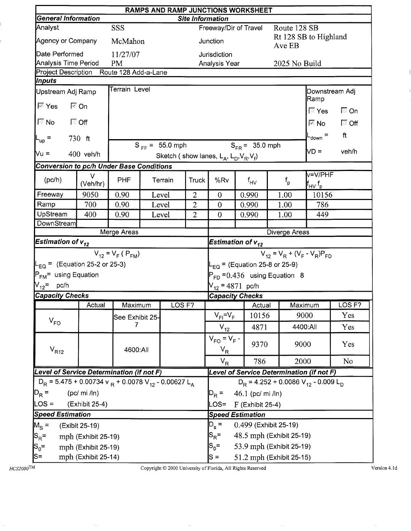|                                                                                  | <b>RAMPS AND RAMP JUNCTIONS WORKSHEET</b><br><b>General Information</b><br><b>Site Information</b> |                         |                              |                     |                |                                                     |                                   |               |                                                      |                   |  |  |
|----------------------------------------------------------------------------------|----------------------------------------------------------------------------------------------------|-------------------------|------------------------------|---------------------|----------------|-----------------------------------------------------|-----------------------------------|---------------|------------------------------------------------------|-------------------|--|--|
|                                                                                  |                                                                                                    |                         |                              |                     |                |                                                     |                                   |               |                                                      |                   |  |  |
| Analyst                                                                          |                                                                                                    | SSS                     |                              |                     |                |                                                     | Freeway/Dir of Travel             | Route 128 SB  | Rt 128 SB to Highland                                |                   |  |  |
| Agency or Company                                                                |                                                                                                    | McMahon                 |                              |                     |                | Junction                                            |                                   | Ave EB        |                                                      |                   |  |  |
| Date Performed                                                                   |                                                                                                    | 11/27/07                |                              |                     |                | Jurisdiction                                        |                                   |               |                                                      |                   |  |  |
| Analysis Time Period                                                             |                                                                                                    | <b>PM</b>               |                              |                     |                | Analysis Year                                       |                                   |               | 2025 No Build                                        |                   |  |  |
| Project Description Route 128 Add-a-Lane                                         |                                                                                                    |                         |                              |                     |                |                                                     |                                   |               |                                                      |                   |  |  |
| Inputs                                                                           |                                                                                                    | Terrain Level           |                              |                     |                |                                                     |                                   |               |                                                      |                   |  |  |
| Upstream Adj Ramp                                                                |                                                                                                    |                         |                              |                     |                |                                                     |                                   |               | Ramp                                                 | Downstream Adj    |  |  |
| $\overline{\mathbb{M}}$ Yes                                                      | l <sup>⊗</sup> On                                                                                  |                         |                              |                     |                |                                                     |                                   |               | ∏ Yes                                                | $\Box$ On         |  |  |
| $\sqrt{N}$ No                                                                    | ि Off                                                                                              |                         |                              |                     |                |                                                     |                                   |               | $\boxtimes$ No $\blacksquare$                        | $\Box$ Off        |  |  |
| $L_{\text{up}}$ =                                                                | $730$ ft                                                                                           |                         |                              |                     |                |                                                     |                                   |               | $L_{\text{down}} =$                                  | ft                |  |  |
| Vu =                                                                             | $400$ veh/h                                                                                        |                         |                              | $S_{FF} = 55.0$ mph |                |                                                     | $S_{FR} = 35.0$ mph               |               | ND =                                                 | veh/h             |  |  |
|                                                                                  |                                                                                                    |                         |                              |                     |                | Sketch (show lanes, $L_A$ , $L_D$ , $V_R$ , $V_f$ ) |                                   |               |                                                      |                   |  |  |
| <b>Conversion to pc/h Under Base Conditions</b>                                  |                                                                                                    |                         |                              |                     |                |                                                     |                                   |               | v=V/PHF                                              |                   |  |  |
| (pc/h)                                                                           | V<br>(Veh/hr)                                                                                      | <b>PHF</b>              |                              | Terrain             | <b>Truck</b>   | %Rv                                                 | $f_{HV}$                          | $f_{\sf p}$   | $\mathsf{f}_{\mathsf{HV}}\, \mathsf{f}_{\mathsf{p}}$ |                   |  |  |
| Freeway                                                                          | 9050                                                                                               | 0.90                    |                              | Level               | $\overline{2}$ | $\boldsymbol{0}$                                    | 0.990                             | 1.00          | 10156                                                |                   |  |  |
| Ramp                                                                             | 700                                                                                                | 0.90                    |                              | Level               | $\overline{2}$ | $\mathbf{0}$                                        | 0.990                             | 1.00          | 786                                                  |                   |  |  |
| UpStream                                                                         | 400                                                                                                | 0.90                    |                              | Level               | $\overline{2}$ | $\overline{0}$                                      | 0.990                             | 1.00          | 449                                                  |                   |  |  |
| DownStream                                                                       |                                                                                                    |                         |                              |                     |                |                                                     |                                   |               |                                                      |                   |  |  |
|                                                                                  |                                                                                                    | Merge Areas             |                              |                     |                |                                                     |                                   | Diverge Areas |                                                      |                   |  |  |
| Estimation of $\mathsf{v}_{\mathsf{12}}^*$                                       |                                                                                                    |                         |                              |                     |                | Estimation of $v_{12}$                              |                                   |               |                                                      |                   |  |  |
|                                                                                  |                                                                                                    | $V_{12} = V_F (P_{FM})$ |                              |                     |                |                                                     |                                   |               | $V_{12} = V_R + (V_F - V_R)P_{FD}$                   |                   |  |  |
| $L_{EQ}$ = (Equation 25-2 or 25-3)                                               |                                                                                                    |                         |                              |                     |                | $L_{EQ}$ = (Equation 25-8 or 25-9)                  |                                   |               |                                                      |                   |  |  |
| P <sub>FM</sub> = using Equation                                                 |                                                                                                    |                         |                              |                     |                |                                                     | $P_{FD} = 0.436$ using Equation 8 |               |                                                      |                   |  |  |
| $V_{12}$ = pc/h                                                                  |                                                                                                    |                         |                              |                     |                | $V_{12} = 4871$ pc/h                                |                                   |               |                                                      |                   |  |  |
| <b>Capacity Checks</b>                                                           |                                                                                                    |                         |                              |                     |                |                                                     | <b>Capacity Checks</b>            |               |                                                      |                   |  |  |
|                                                                                  | Actual                                                                                             | Maximum                 |                              | LOS <sub>F?</sub>   |                |                                                     | Actual                            |               | Maximum                                              | LOS <sub>F?</sub> |  |  |
|                                                                                  |                                                                                                    | See Exhibit 25-         |                              |                     |                | $V_{FI} = V_F$                                      | 10156                             |               | 9000                                                 | Yes               |  |  |
| $V_{FO}$                                                                         |                                                                                                    | 7                       |                              |                     |                | $V_{12}$                                            | 4871                              |               | 4400:All                                             | Yes               |  |  |
| $\rm V_{R12}$                                                                    |                                                                                                    | 4600:All                |                              |                     |                | $V_{FO} = V_F -$<br>$V_R$                           | 9370                              |               | 9000                                                 | Yes               |  |  |
|                                                                                  |                                                                                                    |                         |                              |                     |                | $V_R$                                               | 786                               |               | 2000                                                 | N <sub>o</sub>    |  |  |
| Level of Service Determination (if not F)                                        |                                                                                                    |                         |                              |                     |                |                                                     |                                   |               | Level of Service Determination (if not F)            |                   |  |  |
| $D_R$ = 5.475 + 0.00734 v $_R$ + 0.0078 V <sub>12</sub> - 0.00627 L <sub>A</sub> |                                                                                                    |                         |                              |                     |                | $D_R = 4.252 + 0.0086 V_{12} - 0.009 L_D$           |                                   |               |                                                      |                   |  |  |
| $ D_R =$<br>$(pc/mi$ /ln)                                                        |                                                                                                    |                         | 46.1 (pc/ mi /ln)<br>$D_R =$ |                     |                |                                                     |                                   |               |                                                      |                   |  |  |
| $LOS =$                                                                          | (Exhibit 25-4)                                                                                     |                         |                              |                     |                | LOS=                                                | $F$ (Exhibit 25-4)                |               |                                                      |                   |  |  |
| <b>Speed Estimation</b>                                                          |                                                                                                    |                         |                              |                     |                | <b>Speed Estimation</b>                             |                                   |               |                                                      |                   |  |  |
| $M_S =$                                                                          | (Exibit 25-19)                                                                                     |                         |                              |                     |                | $D_{s}$ =                                           | 0.499 (Exhibit 25-19)             |               |                                                      |                   |  |  |
| $ S_R =$                                                                         | mph (Exhibit 25-19)                                                                                |                         |                              |                     |                | $S_{\mathsf{R}}^{\vphantom{1}}$ =                   | 48.5 mph (Exhibit 25-19)          |               |                                                      |                   |  |  |
| $ {\mathsf s}_{\scriptscriptstyle 0}$ =                                          | mph (Exhibit 25-19)                                                                                |                         |                              |                     |                | 53.9 mph (Exhibit 25-19)<br>$S_0 =$                 |                                   |               |                                                      |                   |  |  |
| js=                                                                              | mph (Exhibit 25-14)                                                                                |                         |                              |                     |                | 51.2 mph (Exhibit 25-15)<br>$S =$                   |                                   |               |                                                      |                   |  |  |

 $HCS2000$ TM

ŗ.

ŗ.

Copyright  $@$  2000 University of Florida, All Rights Reserved

Version 4.1d

Î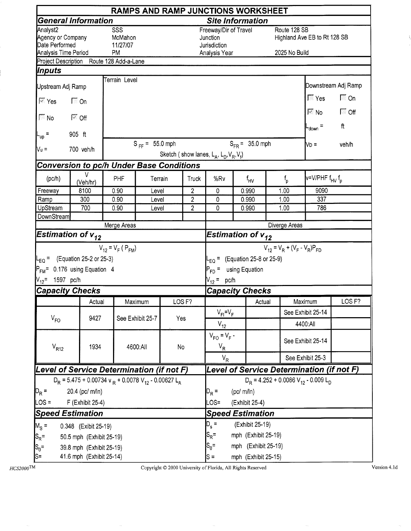|                                                                                                        |                                                                                  |                                         |                     |     |                         |                                                                    |                | <b>RAMPS AND RAMP JUNCTIONS WORKSHEET</b>    |                                    |                                        |                     |  |
|--------------------------------------------------------------------------------------------------------|----------------------------------------------------------------------------------|-----------------------------------------|---------------------|-----|-------------------------|--------------------------------------------------------------------|----------------|----------------------------------------------|------------------------------------|----------------------------------------|---------------------|--|
|                                                                                                        | <b>General Information</b>                                                       |                                         |                     |     |                         | <b>Site Information</b>                                            |                |                                              |                                    |                                        |                     |  |
| Analyst2<br>Agency or Company<br>Date Performed<br>Analysis Time Period                                |                                                                                  | SSS<br>McMahon<br>11/27/07<br><b>PM</b> |                     |     |                         | Freeway/Dir of Travel<br>Junction<br>Jurisdiction<br>Analysis Year |                |                                              | Route 128 SB<br>2025 No Build      | Highland Ave EB to Rt 128 SB           |                     |  |
|                                                                                                        | Project Description Route 128 Add-a-Lane                                         |                                         |                     |     |                         |                                                                    |                |                                              |                                    |                                        |                     |  |
| Inputs                                                                                                 |                                                                                  |                                         |                     |     |                         |                                                                    |                |                                              |                                    |                                        |                     |  |
| Upstream Adj Ramp                                                                                      |                                                                                  | Terrain Level                           |                     |     |                         |                                                                    |                |                                              |                                    |                                        | Downstream Adj Ramp |  |
| $\overline{\mathbb{M}}$ Yes                                                                            | $\Box$ On                                                                        |                                         |                     |     |                         |                                                                    |                |                                              |                                    | $\mathbb{F}$ Yes                       | $\Box$ On           |  |
| $\nabla$ No                                                                                            | । स्ट <b>ा</b> ।                                                                 |                                         |                     |     |                         |                                                                    |                |                                              |                                    | $\mathbb{R}$ No $\blacksquare$         | $\sqrt{a}$ Off      |  |
| $L_{up}$ =                                                                                             | 905 ft                                                                           |                                         |                     |     |                         |                                                                    |                |                                              |                                    | $L_{down}$ =                           | ft                  |  |
| <b>Ν</b> υ =                                                                                           | 700 veh/h                                                                        |                                         | $S_{FF} = 55.0$ mph |     |                         | Sketch (show lanes, $L_A$ , $L_D$ , $V_R$ , $V_f$ )                |                | $S_{FB} = 35.0$ mph                          |                                    | $\mathsf{N}\mathsf{D} =$               | veh/h               |  |
|                                                                                                        | <b>Conversion to pc/h Under Base Conditions</b>                                  |                                         |                     |     |                         |                                                                    |                |                                              |                                    |                                        |                     |  |
| (pc/h)                                                                                                 | V<br>(Veh/hr)                                                                    | PHF                                     | Terrain             |     | Truck                   | %Rv                                                                |                | $f_{\mathsf{HV}}$                            | $f_{\rm p}$                        | v=V/PHF f <sub>HV</sub> f <sub>p</sub> |                     |  |
| Freeway                                                                                                | 8100                                                                             | 0.90                                    | Level               |     | $\overline{\mathbf{c}}$ | $\mathbf 0$                                                        | 0.990          |                                              | 1.00                               | 9090<br>337                            |                     |  |
| Ramp<br>UpStream                                                                                       | 300<br>700                                                                       | 0.90<br>0.90                            | Level               |     | $\overline{2}$<br>2     | 0<br>0                                                             | 0.990<br>0.990 |                                              | 1.00<br>1.00                       |                                        |                     |  |
| DownStream                                                                                             |                                                                                  |                                         | Level               |     |                         |                                                                    |                |                                              |                                    | 786                                    |                     |  |
|                                                                                                        |                                                                                  | Merge Areas                             |                     |     |                         |                                                                    |                |                                              | Diverge Areas                      |                                        |                     |  |
| Estimation of $v_{12}$                                                                                 |                                                                                  |                                         |                     |     |                         | Estimation of $v_{12}$                                             |                |                                              |                                    |                                        |                     |  |
| $L_{\text{EO}} =$ (Equation 25-2 or 25-3)<br>$P_{FM}$ = 0.176 using Equation 4<br>$V_{12}$ = 1597 pc/h |                                                                                  | $V_{12} = V_F (P_{FM})$                 |                     |     |                         | $P_{FD}$ = using Equation<br>$V_{12} = pc/h$                       |                | $L_{EQ}$ = (Equation 25-8 or 25-9)           | $V_{12} = V_R + (V_F - V_R)P_{FD}$ |                                        |                     |  |
| <b>Capacity Checks</b>                                                                                 |                                                                                  |                                         |                     |     |                         | <b>Capacity Checks</b>                                             |                |                                              |                                    |                                        |                     |  |
|                                                                                                        | Actual                                                                           |                                         | Maximum             |     | LOS <sub>F?</sub>       |                                                                    |                | Actual                                       |                                    | Maximum                                | LOS <sub>F?</sub>   |  |
|                                                                                                        |                                                                                  |                                         |                     |     |                         | $V_{FI} = V_F$                                                     |                |                                              |                                    | See Exhibit 25-14                      |                     |  |
| $V_{FO}$                                                                                               | 9427                                                                             |                                         | See Exhibit 25-7    | Yes |                         | $V_{12}$                                                           |                |                                              |                                    | 4400:All                               |                     |  |
| $V_{R12}$                                                                                              | 1934                                                                             |                                         | 4600:All            | No  |                         | $V_{FO} = V_F -$<br>$V_R$                                          |                |                                              |                                    | See Exhibit 25-14                      |                     |  |
|                                                                                                        |                                                                                  |                                         |                     |     |                         | $V_R$                                                              |                |                                              |                                    | See Exhibit 25-3                       |                     |  |
| Level of Service Determination (if not F)                                                              |                                                                                  |                                         |                     |     |                         |                                                                    |                | Level of Service Determination (if not F)    |                                    |                                        |                     |  |
|                                                                                                        | $D_R$ = 5.475 + 0.00734 v $_R$ + 0.0078 V <sub>12</sub> - 0.00627 L <sub>A</sub> |                                         |                     |     |                         |                                                                    |                | $D_R = 4.252 + 0.0086 V_{12} - 0.009 L_D$    |                                    |                                        |                     |  |
| $ D_R =$<br>20.4 (pc/ m/ln)                                                                            |                                                                                  | $D_R =$                                 | (pc/m/ln)           |     |                         |                                                                    |                |                                              |                                    |                                        |                     |  |
| $LOS =$                                                                                                | F (Exhibit 25-4)                                                                 |                                         |                     |     |                         | $-OS =$<br>(Exhibit 25-4)                                          |                |                                              |                                    |                                        |                     |  |
| <b>Speed Estimation</b>                                                                                |                                                                                  | <b>Speed Estimation</b>                 |                     |     |                         |                                                                    |                |                                              |                                    |                                        |                     |  |
| $M_{\rm s}$ =                                                                                          | 0.348 (Exibit 25-19)                                                             |                                         |                     |     |                         |                                                                    |                | $\mathsf{D}_\mathsf{s}$ =<br>(Exhibit 25-19) |                                    |                                        |                     |  |
| $S_R =$                                                                                                | 50.5 mph (Exhibit 25-19)                                                         |                                         |                     |     |                         | $S_R =$                                                            |                | mph (Exhibit 25-19)                          |                                    |                                        |                     |  |
| $ S_0=$                                                                                                | 39.8 mph (Exhibit 25-19)                                                         |                                         |                     |     |                         | $S_0 =$<br>mph (Exhibit 25-19)                                     |                |                                              |                                    |                                        |                     |  |
| ls=                                                                                                    | 41.6 mph (Exhibit 25-14)                                                         |                                         |                     |     |                         | mph (Exhibit 25-15)<br>$S =$                                       |                |                                              |                                    |                                        |                     |  |

 $HCS2000$ TM

Copyright © 2000 University of Florida, All Rights Reserved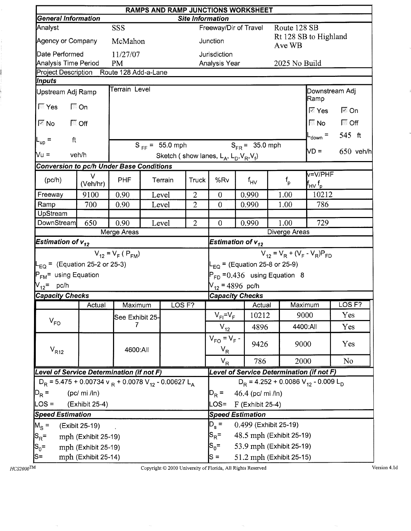|                                                                                  | RAMPS AND RAMP JUNCTIONS WORKSHEET<br><b>General Information</b><br><b>Site Information</b> |                         |                                                             |                       |                |                                                     |                                     |                       |                         |                                                                                                   |                   |  |  |
|----------------------------------------------------------------------------------|---------------------------------------------------------------------------------------------|-------------------------|-------------------------------------------------------------|-----------------------|----------------|-----------------------------------------------------|-------------------------------------|-----------------------|-------------------------|---------------------------------------------------------------------------------------------------|-------------------|--|--|
|                                                                                  |                                                                                             |                         |                                                             |                       |                |                                                     |                                     |                       |                         |                                                                                                   |                   |  |  |
| Analyst                                                                          |                                                                                             |                         |                                                             | Freeway/Dir of Travel |                |                                                     | Route 128 SB                        | Rt 128 SB to Highland |                         |                                                                                                   |                   |  |  |
| Agency or Company                                                                |                                                                                             | McMahon                 |                                                             |                       |                | Junction                                            |                                     |                       | Ave WB                  |                                                                                                   |                   |  |  |
| Date Performed                                                                   |                                                                                             | 11/27/07                |                                                             |                       |                | Jurisdiction                                        |                                     |                       |                         |                                                                                                   |                   |  |  |
| Analysis Time Period                                                             |                                                                                             | <b>PM</b>               |                                                             |                       |                | Analysis Year                                       |                                     |                       | 2025 No Build           |                                                                                                   |                   |  |  |
| Project Description                                                              |                                                                                             | Route 128 Add-a-Lane    |                                                             |                       |                |                                                     |                                     |                       |                         |                                                                                                   |                   |  |  |
| Inputs                                                                           |                                                                                             | Terrain Level           |                                                             |                       |                |                                                     |                                     |                       |                         |                                                                                                   |                   |  |  |
| Upstream Adj Ramp                                                                |                                                                                             |                         |                                                             |                       |                |                                                     |                                     |                       |                         | Downstream Adj<br>Ramp                                                                            |                   |  |  |
| $\sqrt{2}$ Yes                                                                   | $\Box$ On                                                                                   |                         |                                                             |                       |                |                                                     |                                     |                       |                         | $\overline{\mathbb{M}}$ Yes                                                                       | l <sup>⊠</sup> On |  |  |
| $\overline{\mathbb{M}}$ No                                                       | $\Box$ Off                                                                                  |                         |                                                             |                       |                |                                                     |                                     |                       |                         | $\nabla$ No                                                                                       | $\Box$ Off        |  |  |
| ft<br>$L_{\text{up}}$ =                                                          |                                                                                             |                         |                                                             |                       |                |                                                     |                                     |                       |                         | $L_{\text{down}}$ =                                                                               | 545 ft            |  |  |
|                                                                                  |                                                                                             |                         |                                                             | $S_{FF} = 55.0$ mph   |                |                                                     | $S_{FR} = 35.0$ mph                 |                       |                         | VD =                                                                                              | $650$ veh/h       |  |  |
| Vu =                                                                             | veh/h                                                                                       |                         |                                                             |                       |                | Sketch (show lanes, $L_A$ , $L_D$ , $V_R$ , $V_f$ ) |                                     |                       |                         |                                                                                                   |                   |  |  |
| <b>Conversion to pc/h Under Base Conditions</b>                                  |                                                                                             |                         |                                                             |                       |                |                                                     |                                     |                       |                         |                                                                                                   |                   |  |  |
| (pc/h)                                                                           | V<br>(Veh/hr)                                                                               | <b>PHF</b>              |                                                             | Terrain               | Truck          | %Rv                                                 | $f_{HV}$                            |                       | $\mathsf{f}_\mathsf{p}$ | v=V/PHF<br>$\boldsymbol{\mathsf{f}}_{\mathsf{H}\mathsf{V}}\,\boldsymbol{\mathsf{f}}_{\mathsf{p}}$ |                   |  |  |
| Freeway                                                                          | 9100                                                                                        | 0.90                    |                                                             | Level                 | $\overline{2}$ | $\theta$                                            | 0.990                               |                       | 1.00                    | 10212                                                                                             |                   |  |  |
| Ramp                                                                             | 700                                                                                         | 0.90                    | $\overline{2}$<br>786<br>Level<br>$\theta$<br>1.00<br>0.990 |                       |                |                                                     |                                     |                       |                         |                                                                                                   |                   |  |  |
| UpStream                                                                         |                                                                                             |                         |                                                             |                       |                |                                                     |                                     |                       |                         |                                                                                                   |                   |  |  |
| <b>DownStream</b>                                                                | 650                                                                                         | 0.90                    |                                                             | Level                 | $\overline{2}$ | $\theta$                                            | 0.990                               |                       | 1.00                    | 729                                                                                               |                   |  |  |
|                                                                                  |                                                                                             | Merge Areas             |                                                             |                       |                |                                                     |                                     |                       | Diverge Areas           |                                                                                                   |                   |  |  |
| Estimation of $v_{12}$                                                           |                                                                                             |                         |                                                             |                       |                | Estimation of $v_{12}$                              |                                     |                       |                         |                                                                                                   |                   |  |  |
|                                                                                  |                                                                                             | $V_{12} = V_F (P_{FM})$ |                                                             |                       |                | $V_{12} = V_R + (V_F - V_R)P_{FD}$                  |                                     |                       |                         |                                                                                                   |                   |  |  |
| $L_{EQ}$ = (Equation 25-2 or 25-3)                                               |                                                                                             |                         |                                                             |                       |                | L <sub>EQ</sub> = (Equation 25-8 or 25-9)           |                                     |                       |                         |                                                                                                   |                   |  |  |
| P <sub>FM</sub> = using Equation                                                 |                                                                                             |                         |                                                             |                       |                | $P_{FD}$ = 0.436 using Equation 8                   |                                     |                       |                         |                                                                                                   |                   |  |  |
| $V_{12}$ = pc/h                                                                  |                                                                                             |                         |                                                             |                       |                | $V_{12}$ = 4896 pc/h                                |                                     |                       |                         |                                                                                                   |                   |  |  |
| <b>Capacity Checks</b>                                                           |                                                                                             |                         |                                                             |                       |                |                                                     | <b>Capacity Checks</b>              |                       |                         |                                                                                                   |                   |  |  |
|                                                                                  | Actual                                                                                      | Maximum                 |                                                             | OSF?                  |                |                                                     |                                     | Actual                | Maximum                 |                                                                                                   | LOS <sub>F?</sub> |  |  |
|                                                                                  |                                                                                             | See Exhibit 25-         |                                                             |                       |                | $V_{FI} = V_F$                                      | 10212                               |                       |                         | 9000                                                                                              | Yes               |  |  |
| $V_{FO}$                                                                         |                                                                                             |                         |                                                             |                       |                | $V_{12}$                                            | 4896                                |                       | 4400:All                |                                                                                                   | Yes               |  |  |
| $\rm V_{R12}$                                                                    |                                                                                             | 4600:All                |                                                             |                       |                | $V_{FO} = V_F -$<br>$V_R$                           | 9426                                |                       | 9000                    |                                                                                                   | Yes               |  |  |
|                                                                                  |                                                                                             |                         |                                                             |                       |                | $V_R$                                               | 786                                 |                       | 2000                    |                                                                                                   | No                |  |  |
| Level of Service Determination (if not F)                                        |                                                                                             |                         |                                                             |                       |                |                                                     |                                     |                       |                         | Level of Service Determination (if not F)                                                         |                   |  |  |
| $D_R = 5.475 + 0.00734$ v $_R + 0.0078$ V <sub>12</sub> - 0.00627 L <sub>A</sub> |                                                                                             |                         |                                                             |                       |                | $D_R = 4.252 + 0.0086 V_{12} - 0.009 L_D$           |                                     |                       |                         |                                                                                                   |                   |  |  |
| $D_R =$<br>(pc/mi / ln)                                                          |                                                                                             |                         |                                                             |                       |                | 46.4 (pc/ mi /ln)<br>$D_R =$                        |                                     |                       |                         |                                                                                                   |                   |  |  |
| $\textsf{LOS} =$                                                                 | (Exhibit 25-4)                                                                              |                         |                                                             |                       |                | LOS=                                                | $F$ (Exhibit 25-4)                  |                       |                         |                                                                                                   |                   |  |  |
| <b>Speed Estimation</b>                                                          |                                                                                             |                         |                                                             |                       |                | <b>Speed Estimation</b>                             |                                     |                       |                         |                                                                                                   |                   |  |  |
| $M_S =$                                                                          | (Exibit 25-19)                                                                              |                         |                                                             |                       |                | $D_{\rm s} =$<br>0.499 (Exhibit 25-19)              |                                     |                       |                         |                                                                                                   |                   |  |  |
| $ S_R =$                                                                         | mph (Exhibit 25-19)                                                                         |                         |                                                             |                       |                | 48.5 mph (Exhibit 25-19)<br>$S_{\rm R}$ =           |                                     |                       |                         |                                                                                                   |                   |  |  |
| $S_0 =$                                                                          | mph (Exhibit 25-19)                                                                         |                         |                                                             |                       |                |                                                     | 53.9 mph (Exhibit 25-19)<br>$S_0 =$ |                       |                         |                                                                                                   |                   |  |  |
| S=                                                                               | mph (Exhibit 25-14)                                                                         |                         |                                                             |                       |                | 51.2 mph (Exhibit 25-15)<br>$S =$                   |                                     |                       |                         |                                                                                                   |                   |  |  |

i<br>!

ļ.

Copyright  $@$  2000 University of Florida, All Rights Reserved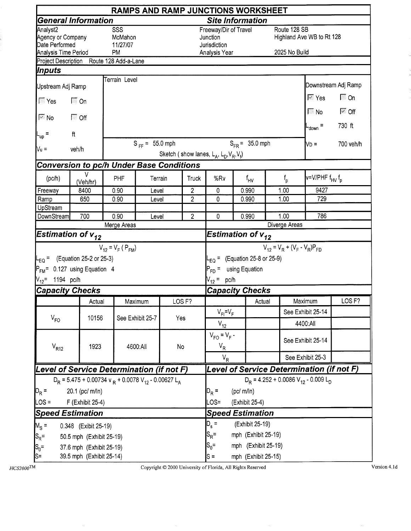|                                                                                  |                                                                         |                                         |                     |     |                   |                                                                    |                                | <b>RAMPS AND RAMP JUNCTIONS WORKSHEET</b>               |                               |                                           |                                |  |
|----------------------------------------------------------------------------------|-------------------------------------------------------------------------|-----------------------------------------|---------------------|-----|-------------------|--------------------------------------------------------------------|--------------------------------|---------------------------------------------------------|-------------------------------|-------------------------------------------|--------------------------------|--|
|                                                                                  | <b>General Information</b>                                              |                                         |                     |     |                   | <b>Site Information</b>                                            |                                |                                                         |                               |                                           |                                |  |
| Analyst2<br>Agency or Company<br>Date Performed<br>Analysis Time Period          |                                                                         | SSS<br>McMahon<br>11/27/07<br><b>PM</b> |                     |     |                   | Freeway/Dir of Travel<br>Junction<br>Jurisdiction<br>Analysis Year |                                |                                                         | Route 128 SB<br>2025 No Build | Highland Ave WB to Rt 128                 |                                |  |
|                                                                                  | Project Description Route 128 Add-a-Lane                                |                                         |                     |     |                   |                                                                    |                                |                                                         |                               |                                           |                                |  |
| Inputs                                                                           |                                                                         |                                         |                     |     |                   |                                                                    |                                |                                                         |                               |                                           |                                |  |
| Upstream Adj Ramp                                                                |                                                                         | Terrain Level                           |                     |     |                   |                                                                    |                                |                                                         |                               |                                           | Downstream Adj Ramp            |  |
| $\sqrt{2}$ Yes                                                                   | $\sqrt{2}$ On                                                           |                                         |                     |     |                   |                                                                    |                                |                                                         |                               | $\overline{\mathbb{M}}$ Yes               | $\Box$ On                      |  |
| $\overline{\mathbb{M}}$ No                                                       | $\Box$ Off                                                              |                                         |                     |     |                   |                                                                    |                                |                                                         |                               | $\Box$ No                                 | $\overline{\triangledown}$ Off |  |
| $L_{up}$ =                                                                       | ft                                                                      |                                         |                     |     |                   |                                                                    |                                |                                                         |                               | $L_{\text{down}} =$                       | 730 ft                         |  |
| $Vu$ =                                                                           | veh/h                                                                   |                                         | $S_{FF} = 55.0$ mph |     |                   | Sketch (show lanes, $L_A$ , $L_D$ , $V_R$ , $V_f$ )                |                                | $S_{FR} = 35.0$ mph                                     |                               | $\mathsf{N}$ D =                          | 700 veh/h                      |  |
|                                                                                  | <b>Conversion to pc/h Under Base Conditions</b>                         |                                         |                     |     |                   |                                                                    |                                |                                                         |                               |                                           |                                |  |
| (pc/h)                                                                           | V<br>(Veh/hr)                                                           | PHF                                     | Terrain             |     | <b>Truck</b>      | %Rv                                                                |                                | f <sub>HV</sub>                                         | $f_{\sf p}$                   | v=V/PHF f <sub>HV</sub> f <sub>p</sub>    |                                |  |
| Freeway                                                                          | 8400                                                                    | 0.90<br>0.90                            | Level<br>Level      |     | $\overline{c}$    | $\mathbf 0$                                                        |                                | 0.990<br>1.00                                           |                               | 9427                                      |                                |  |
| Ramp                                                                             | 650                                                                     | $\overline{2}$                          | 0                   |     | 0.990             | 1.00                                                               | 729                            |                                                         |                               |                                           |                                |  |
| UpStream<br>DownStream                                                           | $\overline{2}$                                                          | 0                                       | 1.00<br>0.990       |     |                   | 786                                                                |                                |                                                         |                               |                                           |                                |  |
|                                                                                  | 700                                                                     | 0.90<br>Merge Areas                     | Level               |     |                   | Diverge Areas                                                      |                                |                                                         |                               |                                           |                                |  |
|                                                                                  | Estimation of $v_{12}$                                                  |                                         |                     |     |                   |                                                                    |                                | $\overline{\mathsf{E}}$ stimation of v $_{\mathtt{12}}$ |                               |                                           |                                |  |
| $V_{12}$ = 1194 pc/h                                                             | $L_{EQ}$ = (Equation 25-2 or 25-3)<br>$P_{FM}$ = 0.127 using Equation 4 | $V_{12} = V_F (P_{FM})$                 |                     |     |                   | $P_{FD}$ = using Equation<br>$V_{12}$ = pc/h                       |                                | $L_{EQ}$ = (Equation 25-8 or 25-9)                      |                               | $V_{12} = V_R + (V_F - V_R)P_{FD}$        |                                |  |
|                                                                                  | <b>Capacity Checks</b>                                                  |                                         |                     |     |                   | <b>Capacity Checks</b>                                             |                                |                                                         |                               |                                           |                                |  |
|                                                                                  | Actual                                                                  |                                         | Maximum             |     | LOS <sub>F?</sub> |                                                                    |                                | Actual                                                  |                               | Maximum                                   | LOS <sub>F?</sub>              |  |
| $V_{FO}$                                                                         | 10156                                                                   |                                         | See Exhibit 25-7    | Yes |                   | $V_{FI} = V_F$                                                     |                                |                                                         |                               | See Exhibit 25-14                         |                                |  |
|                                                                                  |                                                                         |                                         |                     |     |                   | $V_{12}$                                                           |                                |                                                         |                               | 4400:All                                  |                                |  |
| $V_{R12}$                                                                        | 1923                                                                    |                                         | 4600:All            | No  |                   | $V_{FO} = V_F -$<br>$V_R$                                          |                                |                                                         |                               | See Exhibit 25-14                         |                                |  |
|                                                                                  |                                                                         |                                         |                     |     |                   | $V_R$                                                              |                                |                                                         |                               | See Exhibit 25-3                          |                                |  |
|                                                                                  | Level of Service Determination (if not F)                               |                                         |                     |     |                   |                                                                    |                                |                                                         |                               | Level of Service Determination (if not F) |                                |  |
| $D_R$ = 5.475 + 0.00734 v $_R$ + 0.0078 V <sub>12</sub> - 0.00627 L <sub>A</sub> |                                                                         |                                         |                     |     |                   | $D_p = 4.252 + 0.0086 V_{12} - 0.009 L_p$                          |                                |                                                         |                               |                                           |                                |  |
| $D_R =$<br>20.1 (pc/ m/ln)                                                       |                                                                         |                                         |                     |     |                   | $D_R =$                                                            | (pc/m/n)                       |                                                         |                               |                                           |                                |  |
| $\textsf{LOS} =$<br>F (Exhibit 25-4)                                             |                                                                         |                                         |                     |     |                   | LOS=<br>(Exhibit 25-4)                                             |                                |                                                         |                               |                                           |                                |  |
| <b>Speed Estimation</b>                                                          |                                                                         |                                         |                     |     |                   | <b>Speed Estimation</b>                                            |                                |                                                         |                               |                                           |                                |  |
| $M_s =$                                                                          | 0.348 (Exibit 25-19)                                                    |                                         |                     |     |                   |                                                                    | $D_{s}$ =<br>(Exhibit 25-19)   |                                                         |                               |                                           |                                |  |
| $S_{\rm R}$ =                                                                    | 50.5 mph (Exhibit 25-19)                                                |                                         |                     |     |                   |                                                                    | $S_R =$<br>mph (Exhibit 25-19) |                                                         |                               |                                           |                                |  |
| $S_0 =$                                                                          | 37.6 mph (Exhibit 25-19)                                                |                                         |                     |     |                   | $S_0 =$<br>mph (Exhibit 25-19)                                     |                                |                                                         |                               |                                           |                                |  |
| S=                                                                               | 39.5 mph (Exhibit 25-14)                                                |                                         |                     |     |                   | $s =$<br>mph (Exhibit 25-15)                                       |                                |                                                         |                               |                                           |                                |  |

Copyright © 2000 University of Florida, All Rights Reserved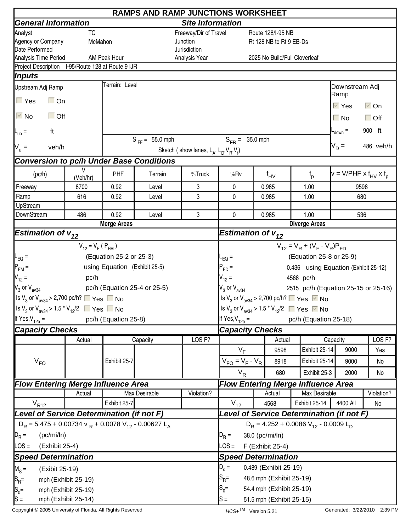|                                                                                                        | <b>RAMPS AND RAMP JUNCTIONS WORKSHEET</b> |                               |                                       |                                                     |                                                |                      |                               |                                                                                         |                                                                                                       |                      |  |
|--------------------------------------------------------------------------------------------------------|-------------------------------------------|-------------------------------|---------------------------------------|-----------------------------------------------------|------------------------------------------------|----------------------|-------------------------------|-----------------------------------------------------------------------------------------|-------------------------------------------------------------------------------------------------------|----------------------|--|
| <b>General Information</b>                                                                             |                                           |                               |                                       | <b>Site Information</b>                             |                                                |                      |                               |                                                                                         |                                                                                                       |                      |  |
| Analyst                                                                                                | TC                                        |                               |                                       | Freeway/Dir of Travel                               |                                                |                      | Route 128/I-95 NB             |                                                                                         |                                                                                                       |                      |  |
| Agency or Company                                                                                      | McMahon                                   |                               |                                       | Junction                                            |                                                |                      | Rt 128 NB to Rt 9 EB-Ds       |                                                                                         |                                                                                                       |                      |  |
| Date Performed                                                                                         |                                           |                               |                                       | Jurisdiction                                        |                                                |                      |                               |                                                                                         |                                                                                                       |                      |  |
| Analysis Time Period<br>Project Description I-95/Route 128 at Route 9 IJR                              |                                           | AM Peak Hour                  |                                       | Analysis Year                                       |                                                |                      | 2025 No Build/Full Cloverleaf |                                                                                         |                                                                                                       |                      |  |
| Inputs                                                                                                 |                                           |                               |                                       |                                                     |                                                |                      |                               |                                                                                         |                                                                                                       |                      |  |
| Upstream Adj Ramp                                                                                      |                                           | Terrain: Level                |                                       |                                                     |                                                |                      |                               |                                                                                         | Downstream Adj                                                                                        |                      |  |
| $\Gamma$ Yes<br>$\Box$ On                                                                              |                                           |                               |                                       |                                                     |                                                |                      |                               |                                                                                         | Ramp                                                                                                  |                      |  |
|                                                                                                        |                                           |                               |                                       |                                                     |                                                |                      |                               |                                                                                         | $\overline{\vee}$ Yes                                                                                 | $\overline{\vee}$ On |  |
| $\Box$ Off<br>$\overline{\triangledown}$ No                                                            |                                           |                               |                                       |                                                     |                                                |                      |                               |                                                                                         | $\Box$ No                                                                                             | $\Box$ Off           |  |
| ft<br>$L_{\text{up}}$ =                                                                                |                                           |                               |                                       |                                                     |                                                |                      |                               |                                                                                         | $-$ <sub>down</sub> $=$                                                                               | 900 ft               |  |
| $V_u =$<br>veh/h                                                                                       |                                           |                               | $S_{FF} = 55.0$ mph                   |                                                     | $S_{FR} = 35.0$ mph                            |                      |                               |                                                                                         | $V_D =$                                                                                               | 486 veh/h            |  |
|                                                                                                        |                                           |                               |                                       | Sketch (show lanes, $L_A$ , $L_D$ , $V_B$ , $V_f$ ) |                                                |                      |                               |                                                                                         |                                                                                                       |                      |  |
| <b>Conversion to pc/h Under Base Conditions</b>                                                        | V                                         |                               |                                       |                                                     |                                                |                      |                               |                                                                                         |                                                                                                       |                      |  |
| (pc/h)                                                                                                 | (Veh/hr)                                  | PHF                           | Terrain                               | %Truck                                              | %Rv                                            |                      | $f_{HV}$                      | $f_{p}$                                                                                 | $\mathbf{v} = \mathsf{V}/\mathsf{PHF} \times \mathsf{f}_{\mathsf{HV}} \times \mathsf{f}_{\mathsf{p}}$ |                      |  |
| Freeway                                                                                                | 8700                                      | 0.92                          | Level                                 | 3                                                   | 0                                              |                      | 0.985                         | 1.00                                                                                    | 9598                                                                                                  |                      |  |
| Ramp                                                                                                   | 616                                       | 0.92                          | Level                                 | 3                                                   | $\Omega$                                       |                      | 0.985                         | 1.00                                                                                    | 680                                                                                                   |                      |  |
| UpStream                                                                                               |                                           |                               |                                       |                                                     |                                                |                      |                               |                                                                                         |                                                                                                       |                      |  |
| DownStream                                                                                             | 486                                       | 0.92                          | 3<br>0<br>Level<br><b>Merge Areas</b> |                                                     |                                                |                      | 0.985                         | 1.00                                                                                    | 536                                                                                                   |                      |  |
|                                                                                                        |                                           |                               | Estimation of $v_{12}$                |                                                     |                                                | <b>Diverge Areas</b> |                               |                                                                                         |                                                                                                       |                      |  |
| <b>Estimation of <math>v_{12}</math></b>                                                               |                                           |                               |                                       |                                                     |                                                |                      |                               |                                                                                         |                                                                                                       |                      |  |
|                                                                                                        | $V_{12} = V_F (P_{FM})$                   |                               |                                       |                                                     |                                                |                      |                               | $V_{12} = V_R + (V_F - V_R)P_{FD}$                                                      |                                                                                                       |                      |  |
| $L_{EQ}$ =                                                                                             |                                           | (Equation 25-2 or 25-3)       |                                       |                                                     | $EQ =$                                         |                      |                               | (Equation 25-8 or 25-9)                                                                 |                                                                                                       |                      |  |
| $P_{FM}$ =                                                                                             |                                           | using Equation (Exhibit 25-5) |                                       |                                                     | $P_{FD} =$                                     |                      |                               | 0.436 using Equation (Exhibit 25-12)                                                    |                                                                                                       |                      |  |
| $V_{12} =$                                                                                             | pc/h                                      |                               |                                       |                                                     | $V_{12} =$                                     |                      |                               | 4568 pc/h                                                                               |                                                                                                       |                      |  |
| $\mathsf{V}_3$ or $\mathsf{V}_{\mathsf{av34}}$                                                         |                                           |                               | pc/h (Equation 25-4 or 25-5)          |                                                     | $V_3$ or $V_{av34}$                            |                      |                               | 2515 pc/h (Equation 25-15 or 25-16)                                                     |                                                                                                       |                      |  |
| Is V <sub>3</sub> or V <sub>av34</sub> > 2,700 pc/h? $\Box$ Yes $\Box$ No                              |                                           |                               |                                       |                                                     |                                                |                      |                               | Is $V_3$ or $V_{av34}$ > 2,700 pc/h? $\Box$ Yes $\Box$ No                               |                                                                                                       |                      |  |
| $\left  \frac{\text{ls}}{3}$ or $\text{V}_{\text{av34}}$ > 1.5 $\text{*}$ $\text{V}_{12}/2$ ■ Yes ■ No |                                           |                               |                                       |                                                     |                                                |                      |                               | Is V <sub>3</sub> or V <sub>av34</sub> > 1.5 <sup>*</sup> V <sub>12</sub> /2 ■ Yes ■ No |                                                                                                       |                      |  |
| If Yes, $V_{12a}$ =                                                                                    |                                           | pc/h (Equation 25-8)          |                                       |                                                     | If Yes, $V_{12a} =$                            |                      |                               | pc/h (Equation 25-18)                                                                   |                                                                                                       |                      |  |
| <b>Capacity Checks</b>                                                                                 |                                           |                               |                                       |                                                     | <b>Capacity Checks</b>                         |                      |                               |                                                                                         |                                                                                                       |                      |  |
|                                                                                                        | Actual                                    |                               | Capacity                              | LOS <sub>F?</sub>                                   |                                                |                      | Actual                        |                                                                                         | Capacity                                                                                              | LOS F?               |  |
|                                                                                                        |                                           |                               |                                       |                                                     | $V_F$                                          |                      | 9598                          | Exhibit 25-14                                                                           | 9000                                                                                                  | Yes                  |  |
| $V_{FO}$                                                                                               |                                           | Exhibit 25-7                  |                                       |                                                     | $V_{FO} = V_F - V_R$                           |                      | 8918                          | Exhibit 25-14                                                                           | 9000                                                                                                  | No                   |  |
|                                                                                                        |                                           |                               |                                       |                                                     | $V_R$                                          |                      | 680                           | Exhibit 25-3                                                                            | 2000                                                                                                  | No                   |  |
| <b>Flow Entering Merge Influence Area</b>                                                              |                                           |                               |                                       |                                                     |                                                |                      |                               | <b>Flow Entering Merge Influence Area</b>                                               |                                                                                                       |                      |  |
|                                                                                                        | Actual                                    |                               | <b>Max Desirable</b>                  | Violation?                                          |                                                |                      | Actual                        | Max Desirable                                                                           |                                                                                                       | Violation?           |  |
| $V_{R12}$                                                                                              |                                           | Exhibit 25-7                  |                                       |                                                     | $V_{12}$                                       |                      | 4568                          | Exhibit 25-14                                                                           | 4400:All                                                                                              | No                   |  |
| Level of Service Determination (if not F)                                                              |                                           |                               |                                       |                                                     |                                                |                      |                               | Level of Service Determination (if not F)                                               |                                                                                                       |                      |  |
| $D_R$ = 5.475 + 0.00734 v $_R$ + 0.0078 V <sub>12</sub> - 0.00627 L <sub>A</sub>                       |                                           |                               |                                       |                                                     |                                                |                      |                               | $D_R = 4.252 + 0.0086 V_{12} - 0.0009 L_D$                                              |                                                                                                       |                      |  |
| $D_R =$<br>(pc/mi/ln)                                                                                  |                                           |                               |                                       |                                                     | $D_R =$                                        |                      | 38.0 (pc/mi/ln)               |                                                                                         |                                                                                                       |                      |  |
| LOS =<br>(Exhibit 25-4)                                                                                |                                           |                               |                                       |                                                     | $\text{LOS} =$                                 |                      |                               |                                                                                         |                                                                                                       |                      |  |
| <b>Speed Determination</b>                                                                             |                                           |                               |                                       |                                                     | F (Exhibit 25-4)<br><b>Speed Determination</b> |                      |                               |                                                                                         |                                                                                                       |                      |  |
|                                                                                                        |                                           |                               |                                       |                                                     |                                                |                      |                               |                                                                                         |                                                                                                       |                      |  |
| $M_S =$<br>(Exibit 25-19)                                                                              |                                           |                               |                                       |                                                     | $D_s =$                                        |                      | 0.489 (Exhibit 25-19)         |                                                                                         |                                                                                                       |                      |  |
| $ S_{R}$ =                                                                                             | mph (Exhibit 25-19)                       |                               |                                       |                                                     | $ {\mathsf S}_{\mathsf R}$ =                   |                      | 48.6 mph (Exhibit 25-19)      |                                                                                         |                                                                                                       |                      |  |
| $S_0 =$                                                                                                | mph (Exhibit 25-19)                       |                               |                                       |                                                     | 54.4 mph (Exhibit 25-19)<br>$S_0 =$            |                      |                               |                                                                                         |                                                                                                       |                      |  |
| $ S =$                                                                                                 | mph (Exhibit 25-14)                       |                               |                                       |                                                     | lS =<br>51.5 mph (Exhibit 25-15)               |                      |                               |                                                                                         |                                                                                                       |                      |  |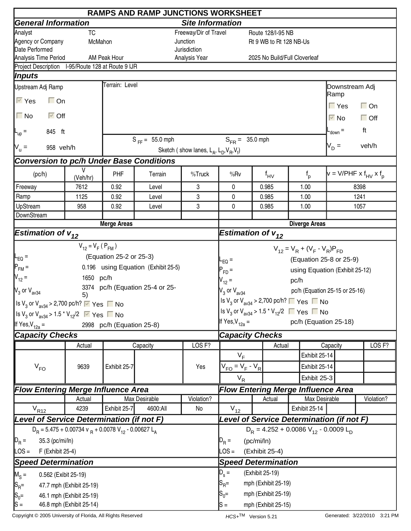|                                                                                                  |                          |                           | <b>RAMPS AND RAMP JUNCTIONS WORKSHEET</b>      |                                                     |                                                                                         |            |                               |               |               |                                |                                        |
|--------------------------------------------------------------------------------------------------|--------------------------|---------------------------|------------------------------------------------|-----------------------------------------------------|-----------------------------------------------------------------------------------------|------------|-------------------------------|---------------|---------------|--------------------------------|----------------------------------------|
| <b>General Information</b>                                                                       |                          |                           |                                                | <b>Site Information</b>                             |                                                                                         |            |                               |               |               |                                |                                        |
| Analyst                                                                                          | <b>TC</b>                |                           |                                                | Freeway/Dir of Travel                               |                                                                                         |            | Route 128/I-95 NB             |               |               |                                |                                        |
| Agency or Company                                                                                | McMahon                  |                           |                                                | Junction                                            |                                                                                         |            | Rt 9 WB to Rt 128 NB-Us       |               |               |                                |                                        |
| Date Performed                                                                                   |                          |                           |                                                | Jurisdiction                                        |                                                                                         |            |                               |               |               |                                |                                        |
| Analysis Time Period<br>Project Description I-95/Route 128 at Route 9 IJR                        |                          | AM Peak Hour              |                                                | Analysis Year                                       |                                                                                         |            | 2025 No Build/Full Cloverleaf |               |               |                                |                                        |
| Inputs                                                                                           |                          |                           |                                                |                                                     |                                                                                         |            |                               |               |               |                                |                                        |
|                                                                                                  |                          | Terrain: Level            |                                                |                                                     |                                                                                         |            |                               |               |               |                                |                                        |
| Upstream Adj Ramp                                                                                |                          |                           |                                                |                                                     |                                                                                         |            |                               |               |               | Downstream Adj<br> Ramp        |                                        |
| $\overline{\vee}$ Yes<br>$\Box$ On                                                               |                          |                           |                                                |                                                     |                                                                                         |            |                               |               |               | $\Gamma$ Yes                   | $\Box$ On                              |
| $\Box$ No<br>$\overline{\triangleright}$ Off                                                     |                          |                           |                                                |                                                     |                                                                                         |            |                               |               |               | $\overline{\vee}$ No           | $\Box$ Off                             |
| 845 ft<br>$L_{\text{up}} =$                                                                      |                          |                           |                                                |                                                     |                                                                                         |            |                               |               |               | $-$ <sub>down</sub> $=$        | ft                                     |
| 958 veh/h                                                                                        |                          |                           | $S_{FF} = 55.0$ mph                            |                                                     | $S_{FB} = 35.0$ mph                                                                     |            |                               |               |               | $V_D =$                        | veh/h                                  |
| $N_u =$                                                                                          |                          |                           |                                                | Sketch (show lanes, $L_A$ , $L_D$ , $V_B$ , $V_f$ ) |                                                                                         |            |                               |               |               |                                |                                        |
| <b>Conversion to pc/h Under Base Conditions</b>                                                  |                          |                           |                                                |                                                     |                                                                                         |            |                               |               |               |                                |                                        |
| (pc/h)                                                                                           | V<br>(Veh/hr)            | PHF                       | Terrain                                        | %Truck                                              | %Rv                                                                                     |            | $f_{\text{HV}}$               | $f_{p}$       |               |                                | $v = V/PHF \times f_{HV} \times f_{D}$ |
| Freeway                                                                                          | 7612                     | 0.92                      | Level                                          | 3                                                   | 0                                                                                       |            | 0.985                         | 1.00          |               |                                | 8398                                   |
| Ramp                                                                                             | 1125                     | 0.92                      | Level                                          | 3                                                   | 0                                                                                       |            | 0.985                         | 1.00          |               |                                | 1241                                   |
| UpStream                                                                                         | 958                      | 0.92                      | Level                                          | 0                                                   |                                                                                         | 0.985      | 1.00                          |               |               | 1057                           |                                        |
| DownStream                                                                                       |                          | <b>Merge Areas</b>        |                                                |                                                     |                                                                                         |            |                               |               |               |                                |                                        |
|                                                                                                  |                          |                           | <b>Diverge Areas</b><br>Estimation of $v_{12}$ |                                                     |                                                                                         |            |                               |               |               |                                |                                        |
| <b>Estimation of <math>v_{12}</math></b>                                                         |                          |                           |                                                |                                                     |                                                                                         |            |                               |               |               |                                |                                        |
|                                                                                                  | $V_{12} = V_F (P_{FM})$  |                           |                                                |                                                     | $V_{12} = V_R + (V_F - V_R)P_{FD}$                                                      |            |                               |               |               |                                |                                        |
| $\mathsf{I}_{\mathsf{EQ}}$ =                                                                     |                          | (Equation 25-2 or 25-3)   |                                                |                                                     | $L_{EQ}$ =                                                                              |            |                               |               |               | (Equation 25-8 or 25-9)        |                                        |
| $P_{FM}$ =                                                                                       |                          |                           | 0.196 using Equation (Exhibit 25-5)            |                                                     | $P_{FD}$ =                                                                              |            |                               |               |               | using Equation (Exhibit 25-12) |                                        |
| $V_{12} =$                                                                                       | 1650 pc/h                |                           |                                                |                                                     | $V_{12} =$                                                                              |            |                               | pc/h          |               |                                |                                        |
| $\mathsf{V}_3$ or $\mathsf{V}_{\mathsf{av34}}$                                                   |                          |                           | 3374 pc/h (Equation 25-4 or 25-                |                                                     | $V_3$ or $V_{av34}$                                                                     |            |                               |               |               | pc/h (Equation 25-15 or 25-16) |                                        |
|                                                                                                  | 5)                       |                           |                                                |                                                     | Is $V_3$ or $V_{av34}$ > 2,700 pc/h? $\Box$ Yes $\Box$ No                               |            |                               |               |               |                                |                                        |
| Is $V_3$ or $V_{\text{av34}}$ > 2,700 pc/h? $\triangledown$ Yes $\blacksquare$ No                |                          |                           |                                                |                                                     | Is V <sub>3</sub> or V <sub>av34</sub> > 1.5 <sup>*</sup> V <sub>12</sub> /2 ■ Yes ■ No |            |                               |               |               |                                |                                        |
| Is V <sub>3</sub> or V <sub>av34</sub> > 1.5 <sup>*</sup> V <sub>12</sub> /2 $\sqrt{ }$ Yes ■ No |                          |                           |                                                |                                                     |                                                                                         |            |                               |               |               |                                |                                        |
| If Yes, $V_{12a}$ =                                                                              |                          | 2998 pc/h (Equation 25-8) |                                                |                                                     | If Yes, $V_{12a} =$                                                                     |            |                               |               |               | pc/h (Equation 25-18)          |                                        |
| <b>Capacity Checks</b>                                                                           |                          |                           |                                                |                                                     | <b>Capacity Checks</b>                                                                  |            |                               |               |               |                                |                                        |
|                                                                                                  | Actual                   |                           | Capacity                                       | LOS <sub>F?</sub>                                   |                                                                                         |            | Actual                        |               |               | Capacity                       | LOS <sub>F?</sub>                      |
|                                                                                                  |                          |                           |                                                |                                                     | $V_F$                                                                                   |            |                               |               | Exhibit 25-14 |                                |                                        |
| $V_{FO}$                                                                                         | 9639                     | Exhibit 25-7              |                                                | Yes                                                 | $V_{FO} = V_F - V_R$                                                                    |            |                               |               | Exhibit 25-14 |                                |                                        |
|                                                                                                  |                          |                           |                                                |                                                     | $V_R$                                                                                   |            |                               |               | Exhibit 25-3  |                                |                                        |
| <b>Flow Entering Merge Influence Area</b>                                                        |                          |                           |                                                |                                                     | <b>Flow Entering Merge Influence Area</b>                                               |            |                               |               |               |                                |                                        |
|                                                                                                  | Actual                   |                           | Max Desirable                                  | Violation?                                          |                                                                                         |            | Actual                        |               | Max Desirable |                                | Violation?                             |
| $V_{R12}$                                                                                        | 4239                     | Exhibit 25-7              | 4600:All                                       | No                                                  | $V_{12}$                                                                                |            |                               | Exhibit 25-14 |               |                                |                                        |
| Level of Service Determination (if not F)                                                        |                          |                           |                                                |                                                     | Level of Service Determination (if not F)                                               |            |                               |               |               |                                |                                        |
| $D_R = 5.475 + 0.00734$ v $_R + 0.0078$ V <sub>12</sub> - 0.00627 L <sub>A</sub>                 |                          |                           |                                                | $D_R = 4.252 + 0.0086 V_{12} - 0.0009 L_D$          |                                                                                         |            |                               |               |               |                                |                                        |
| $D_R =$<br>35.3 (pc/mi/ln)                                                                       |                          |                           |                                                |                                                     | $D_R =$                                                                                 | (pc/mi/ln) |                               |               |               |                                |                                        |
| $\textsf{LOS} =$<br>F (Exhibit 25-4)                                                             |                          |                           |                                                |                                                     | $\textsf{LOS} =$                                                                        |            | (Exhibit 25-4)                |               |               |                                |                                        |
| <b>Speed Determination</b>                                                                       |                          |                           |                                                |                                                     | <b>Speed Determination</b>                                                              |            |                               |               |               |                                |                                        |
|                                                                                                  |                          |                           |                                                |                                                     | $D_{s} =$                                                                               |            | (Exhibit 25-19)               |               |               |                                |                                        |
| $M_S =$<br>0.562 (Exibit 25-19)                                                                  |                          |                           |                                                |                                                     | $S_{\sf R}$ =                                                                           |            | mph (Exhibit 25-19)           |               |               |                                |                                        |
| $ S_{\mathsf{R}}$ =                                                                              | 47.7 mph (Exhibit 25-19) |                           |                                                |                                                     |                                                                                         |            |                               |               |               |                                |                                        |
| $S_0 =$                                                                                          | 46.1 mph (Exhibit 25-19) |                           |                                                |                                                     | $S_0 =$                                                                                 |            | mph (Exhibit 25-19)           |               |               |                                |                                        |
| $ S =$                                                                                           | 46.8 mph (Exhibit 25-14) |                           |                                                |                                                     | lS =                                                                                    |            | mph (Exhibit 25-15)           |               |               |                                |                                        |

Copyright © 2005 University of Florida, All Rights Reserved **HCS+TM** Version 5.21 Generated: 3/22/2010 3:21 PM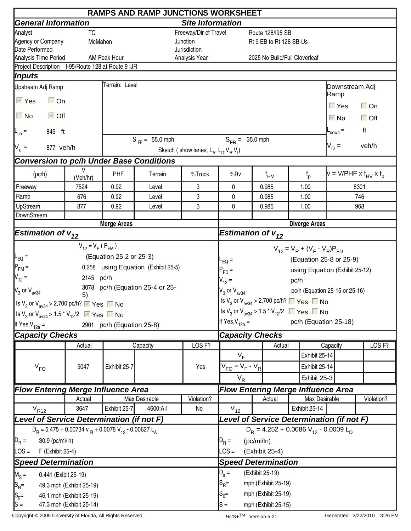|                                                                                                             |                          |                                                | <b>RAMPS AND RAMP JUNCTIONS WORKSHEET</b> |                                                     |                                                                                         |                  |                                            |      |                                    |                                                                                                       |                   |
|-------------------------------------------------------------------------------------------------------------|--------------------------|------------------------------------------------|-------------------------------------------|-----------------------------------------------------|-----------------------------------------------------------------------------------------|------------------|--------------------------------------------|------|------------------------------------|-------------------------------------------------------------------------------------------------------|-------------------|
| <b>General Information</b>                                                                                  |                          |                                                |                                           | <b>Site Information</b>                             |                                                                                         |                  |                                            |      |                                    |                                                                                                       |                   |
| Analyst                                                                                                     | <b>TC</b>                |                                                | Freeway/Dir of Travel                     |                                                     |                                                                                         | Route 128/195 SB |                                            |      |                                    |                                                                                                       |                   |
| Agency or Company                                                                                           | McMahon                  |                                                |                                           | Junction                                            |                                                                                         |                  | Rt 9 EB to Rt 128 SB-Us                    |      |                                    |                                                                                                       |                   |
| Date Performed                                                                                              |                          |                                                |                                           | Jurisdiction                                        |                                                                                         |                  |                                            |      |                                    |                                                                                                       |                   |
| Analysis Time Period                                                                                        |                          | AM Peak Hour                                   |                                           | Analysis Year                                       |                                                                                         |                  | 2025 No Build/Full Cloverleaf              |      |                                    |                                                                                                       |                   |
| Project Description I-95/Route 128 at Route 9 IJR<br> Inputs                                                |                          |                                                |                                           |                                                     |                                                                                         |                  |                                            |      |                                    |                                                                                                       |                   |
|                                                                                                             |                          | Terrain: Level                                 |                                           |                                                     |                                                                                         |                  |                                            |      |                                    |                                                                                                       |                   |
| Upstream Adj Ramp                                                                                           |                          |                                                |                                           |                                                     |                                                                                         |                  |                                            |      |                                    | Downstream Adj<br> Ramp                                                                               |                   |
| $\overline{\vee}$ Yes<br>$\Box$ On                                                                          |                          |                                                |                                           |                                                     |                                                                                         |                  |                                            |      |                                    | $\Gamma$ Yes                                                                                          | $\Box$ On         |
| $\Box$ No<br>$\overline{\vee}$ Off                                                                          |                          |                                                |                                           |                                                     |                                                                                         |                  |                                            |      |                                    | $\overline{\vee}$ No                                                                                  | $\Box$ Off        |
| 845 ft<br><b>L</b> <sub>up</sub> =                                                                          |                          |                                                |                                           |                                                     |                                                                                         |                  |                                            |      |                                    | $L_{\text{down}} =$                                                                                   | ft                |
|                                                                                                             |                          |                                                | $S_{FF} = 55.0$ mph                       |                                                     | $S_{FR} = 35.0$ mph                                                                     |                  |                                            |      |                                    | $V_D =$                                                                                               | veh/h             |
| $N_u =$<br>877 veh/h                                                                                        |                          |                                                |                                           | Sketch (show lanes, $L_A$ , $L_D$ , $V_B$ , $V_f$ ) |                                                                                         |                  |                                            |      |                                    |                                                                                                       |                   |
| <b>Conversion to pc/h Under Base Conditions</b>                                                             |                          |                                                |                                           |                                                     |                                                                                         |                  |                                            |      |                                    |                                                                                                       |                   |
| (pc/h)                                                                                                      | V<br>(Veh/hr)            | PHF                                            | Terrain                                   | %Truck                                              | %Rv                                                                                     |                  | $f_{\mathsf{HV}}$                          |      | $f_{p}$                            | $\mathsf{v} = \mathsf{V}/\mathsf{PHF} \times \mathsf{f}_{\mathsf{HV}} \times \mathsf{f}_{\mathsf{p}}$ |                   |
| Freeway                                                                                                     | 7524                     | 0.92                                           | Level                                     | 3                                                   | 0                                                                                       |                  | 0.985                                      | 1.00 |                                    |                                                                                                       | 8301              |
| Ramp                                                                                                        | 676                      | 0.92                                           | Level                                     | 3                                                   | $\mathbf{0}$                                                                            |                  | 0.985                                      | 1.00 |                                    |                                                                                                       | 746               |
| UpStream                                                                                                    | 877                      | 0.92                                           | Level                                     | 3                                                   | 0                                                                                       |                  | 0.985                                      | 1.00 |                                    |                                                                                                       | 968               |
| DownStream                                                                                                  |                          | <b>Merge Areas</b>                             |                                           |                                                     |                                                                                         |                  |                                            |      |                                    |                                                                                                       |                   |
|                                                                                                             |                          | <b>Diverge Areas</b><br>Estimation of $v_{12}$ |                                           |                                                     |                                                                                         |                  |                                            |      |                                    |                                                                                                       |                   |
| <b>Estimation of <math>v_{12}</math></b>                                                                    |                          |                                                |                                           |                                                     |                                                                                         |                  |                                            |      |                                    |                                                                                                       |                   |
|                                                                                                             | $V_{12} = V_F (P_{FM})$  |                                                |                                           |                                                     |                                                                                         |                  |                                            |      | $V_{12} = V_R + (V_F - V_R)P_{FD}$ |                                                                                                       |                   |
| L <sub>EQ</sub> =                                                                                           |                          | (Equation 25-2 or 25-3)                        |                                           |                                                     | $L_{EQ}$ =                                                                              |                  |                                            |      |                                    | (Equation 25-8 or 25-9)                                                                               |                   |
| $P_{FM}$ =                                                                                                  |                          |                                                | 0.258 using Equation (Exhibit 25-5)       |                                                     | $P_{FD}$ =                                                                              |                  |                                            |      |                                    | using Equation (Exhibit 25-12)                                                                        |                   |
| $V_{12} =$                                                                                                  | 2145 pc/h                |                                                |                                           |                                                     | $V_{12} =$                                                                              |                  |                                            | pc/h |                                    |                                                                                                       |                   |
| $V_3$ or $V_{\text{av34}}$                                                                                  |                          |                                                | 3078 pc/h (Equation 25-4 or 25-           |                                                     | $V_3$ or $V_{av34}$                                                                     |                  |                                            |      |                                    | pc/h (Equation 25-15 or 25-16)                                                                        |                   |
|                                                                                                             | 5)                       |                                                |                                           |                                                     | Is V <sub>3</sub> or V <sub>av34</sub> > 2,700 pc/h? $\Box$ Yes $\Box$ No               |                  |                                            |      |                                    |                                                                                                       |                   |
| $\left  \ln V_3 \text{ or } V_{\text{av34}} \right  > 2,700 \text{ pc/h?}$ $\sqrt{ }$ Yes $\Gamma$ No       |                          |                                                |                                           |                                                     |                                                                                         |                  |                                            |      |                                    |                                                                                                       |                   |
| $\frac{1}{8}$ V <sub>3</sub> or V <sub>av34</sub> > 1.5 <sup>*</sup> V <sub>12</sub> /2 $\sqrt{ }$ Yes ■ No |                          |                                                |                                           |                                                     | Is V <sub>3</sub> or V <sub>av34</sub> > 1.5 <sup>*</sup> V <sub>12</sub> /2 ■ Yes ■ No |                  |                                            |      |                                    |                                                                                                       |                   |
| If Yes, $V_{12a}$ =                                                                                         |                          | 2901 pc/h (Equation 25-8)                      |                                           |                                                     | If Yes, $V_{12a} =$                                                                     |                  |                                            |      |                                    | pc/h (Equation 25-18)                                                                                 |                   |
| <b>Capacity Checks</b>                                                                                      |                          |                                                |                                           |                                                     | <b>Capacity Checks</b>                                                                  |                  |                                            |      |                                    |                                                                                                       |                   |
|                                                                                                             | Actual                   |                                                | Capacity                                  | LOS <sub>F?</sub>                                   |                                                                                         |                  | Actual                                     |      |                                    | Capacity                                                                                              | LOS <sub>F?</sub> |
|                                                                                                             |                          |                                                |                                           |                                                     | $V_F$                                                                                   |                  |                                            |      | Exhibit 25-14                      |                                                                                                       |                   |
| $V_{FO}$                                                                                                    | 9047                     | Exhibit 25-7                                   |                                           | Yes                                                 | $V_{FO} = V_F - V_R$                                                                    |                  |                                            |      | Exhibit 25-14                      |                                                                                                       |                   |
|                                                                                                             |                          |                                                |                                           |                                                     | $V_R$                                                                                   |                  |                                            |      | Exhibit 25-3                       |                                                                                                       |                   |
| <b>Flow Entering Merge Influence Area</b>                                                                   |                          |                                                |                                           |                                                     | <b>Flow Entering Merge Influence Area</b>                                               |                  |                                            |      |                                    |                                                                                                       |                   |
|                                                                                                             | Actual                   |                                                | Max Desirable                             | Violation?                                          |                                                                                         |                  | Actual                                     |      | Max Desirable                      |                                                                                                       | Violation?        |
| $V_{R12}$                                                                                                   | 3647                     | Exhibit 25-7                                   | 4600:All                                  | No                                                  | $V_{12}$                                                                                |                  |                                            |      | Exhibit 25-14                      |                                                                                                       |                   |
| Level of Service Determination (if not F)                                                                   |                          |                                                |                                           |                                                     | Level of Service Determination (if not F)                                               |                  |                                            |      |                                    |                                                                                                       |                   |
| $D_R = 5.475 + 0.00734$ v $_R + 0.0078$ V <sub>12</sub> - 0.00627 L <sub>A</sub>                            |                          |                                                |                                           |                                                     |                                                                                         |                  | $D_R = 4.252 + 0.0086 V_{12} - 0.0009 L_D$ |      |                                    |                                                                                                       |                   |
| $\mathbf{D}_{\mathsf{R}} =$<br>30.9 (pc/mi/ln)                                                              |                          |                                                |                                           |                                                     | $D_R =$                                                                                 | (pc/mi/ln)       |                                            |      |                                    |                                                                                                       |                   |
| $\textsf{LOS} =$<br>F (Exhibit 25-4)                                                                        |                          |                                                |                                           |                                                     | $\textsf{LOS} =$                                                                        |                  | (Exhibit 25-4)                             |      |                                    |                                                                                                       |                   |
|                                                                                                             |                          |                                                |                                           |                                                     |                                                                                         |                  |                                            |      |                                    |                                                                                                       |                   |
| <b>Speed Determination</b>                                                                                  |                          |                                                |                                           |                                                     | <b>Speed Determination</b>                                                              |                  |                                            |      |                                    |                                                                                                       |                   |
| $M_S =$<br>0.441 (Exibit 25-19)                                                                             |                          |                                                |                                           |                                                     | $D_s =$                                                                                 |                  | (Exhibit 25-19)                            |      |                                    |                                                                                                       |                   |
| $S_{\sf R}$ =<br>mph (Exhibit 25-19)<br>$ S_{R}$ =<br>49.3 mph (Exhibit 25-19)                              |                          |                                                |                                           |                                                     |                                                                                         |                  |                                            |      |                                    |                                                                                                       |                   |
| $S_0 =$                                                                                                     | 46.1 mph (Exhibit 25-19) |                                                |                                           |                                                     | $S_0=$                                                                                  |                  | mph (Exhibit 25-19)                        |      |                                    |                                                                                                       |                   |
| $ S =$                                                                                                      | 47.3 mph (Exhibit 25-14) |                                                |                                           |                                                     | $\mathsf{S} =$                                                                          |                  | mph (Exhibit 25-15)                        |      |                                    |                                                                                                       |                   |

Copyright © 2005 University of Florida, All Rights Reserved **HCS+TM** Version 5.21 Generated: 3/22/2010 3:26 PM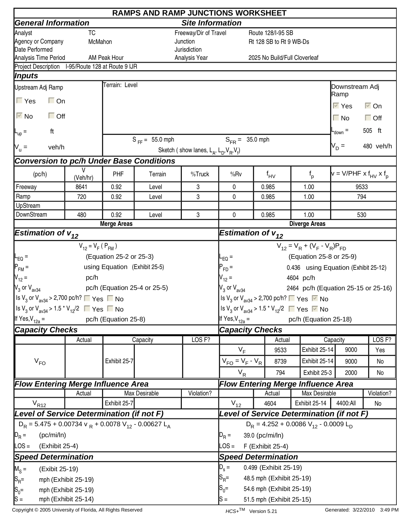|                                                                                                        |                         |                               | <b>RAMPS AND RAMP JUNCTIONS WORKSHEET</b> |                                                     |                                            |  |                          |                                                                                         |                                        |                      |
|--------------------------------------------------------------------------------------------------------|-------------------------|-------------------------------|-------------------------------------------|-----------------------------------------------------|--------------------------------------------|--|--------------------------|-----------------------------------------------------------------------------------------|----------------------------------------|----------------------|
| <b>General Information</b>                                                                             |                         |                               |                                           | <b>Site Information</b>                             |                                            |  |                          |                                                                                         |                                        |                      |
| Analyst                                                                                                | TC                      |                               |                                           | Freeway/Dir of Travel                               |                                            |  | Route 128/I-95 SB        |                                                                                         |                                        |                      |
| Agency or Company                                                                                      | McMahon                 |                               |                                           | Junction                                            |                                            |  | Rt 128 SB to Rt 9 WB-Ds  |                                                                                         |                                        |                      |
| Date Performed                                                                                         |                         |                               |                                           | Jurisdiction                                        |                                            |  |                          |                                                                                         |                                        |                      |
| Analysis Time Period<br>Project Description I-95/Route 128 at Route 9 IJR                              |                         | AM Peak Hour                  |                                           | Analysis Year                                       |                                            |  |                          | 2025 No Build/Full Cloverleaf                                                           |                                        |                      |
| Inputs                                                                                                 |                         |                               |                                           |                                                     |                                            |  |                          |                                                                                         |                                        |                      |
|                                                                                                        |                         | Terrain: Level                |                                           |                                                     |                                            |  |                          |                                                                                         |                                        |                      |
| Upstream Adj Ramp                                                                                      |                         |                               |                                           |                                                     |                                            |  |                          |                                                                                         | Downstream Adj<br>Ramp                 |                      |
| $\Gamma$ Yes<br>$\Box$ On                                                                              |                         |                               |                                           |                                                     |                                            |  |                          |                                                                                         | $\overline{\vee}$ Yes                  | $\overline{\vee}$ On |
| $\overline{\triangledown}$ No<br>$\Box$ Off                                                            |                         |                               |                                           |                                                     |                                            |  |                          |                                                                                         | $\Box$ No                              | $\Box$ Off           |
| ft<br>$L_{\text{up}} =$                                                                                |                         |                               |                                           |                                                     |                                            |  |                          |                                                                                         | $-$ <sub>down</sub> $=$                | 505 ft               |
| $V_{u} =$<br>veh/h                                                                                     |                         |                               | $S_{FF} = 55.0$ mph                       | Sketch (show lanes, $L_A$ , $L_D$ , $V_B$ , $V_f$ ) | $S_{FR} = 35.0$ mph                        |  |                          |                                                                                         | $V_D =$                                | 480 veh/h            |
| <b>Conversion to pc/h Under Base Conditions</b>                                                        |                         |                               |                                           |                                                     |                                            |  |                          |                                                                                         |                                        |                      |
| (pc/h)                                                                                                 | V<br>(Veh/hr)           | PHF                           | Terrain                                   | %Truck                                              | %Rv                                        |  | $f_{\mathsf{HV}}$        | $f_{p}$                                                                                 | $v = V/PHF \times f_{HV} \times f_{D}$ |                      |
| Freeway                                                                                                | 8641                    | 0.92                          | Level                                     | 3                                                   | 0                                          |  | 0.985                    | 1.00                                                                                    | 9533                                   |                      |
| Ramp                                                                                                   | 720                     | 0.92                          | Level                                     | 3                                                   | 0                                          |  | 0.985                    | 1.00                                                                                    | 794                                    |                      |
| UpStream                                                                                               |                         |                               |                                           |                                                     |                                            |  |                          |                                                                                         |                                        |                      |
| DownStream                                                                                             | 480                     | 0.92                          | 3<br>Level<br>0<br>0.985                  |                                                     |                                            |  | 1.00                     | 530                                                                                     |                                        |                      |
|                                                                                                        |                         | <b>Merge Areas</b>            |                                           |                                                     |                                            |  |                          | <b>Diverge Areas</b>                                                                    |                                        |                      |
| <b>Estimation of <math>v_{12}</math></b>                                                               |                         |                               |                                           |                                                     | Estimation of $v_{12}$                     |  |                          |                                                                                         |                                        |                      |
|                                                                                                        | $V_{12} = V_F (P_{FM})$ |                               |                                           |                                                     |                                            |  |                          | $V_{12} = V_R + (V_F - V_R)P_{FD}$                                                      |                                        |                      |
| $L_{EQ} =$                                                                                             |                         | (Equation 25-2 or 25-3)       |                                           |                                                     | $-EQ =$                                    |  |                          | (Equation 25-8 or 25-9)                                                                 |                                        |                      |
| $P_{FM}$ =                                                                                             |                         | using Equation (Exhibit 25-5) |                                           |                                                     | $P_{FD} =$                                 |  |                          | 0.436 using Equation (Exhibit 25-12)                                                    |                                        |                      |
| $V_{12} =$                                                                                             | pc/h                    |                               |                                           |                                                     | $V_{12} =$                                 |  |                          | 4604 pc/h                                                                               |                                        |                      |
| $V_3$ or $V_{\text{av34}}$                                                                             |                         |                               | pc/h (Equation 25-4 or 25-5)              |                                                     | $V_3$ or $V_{av34}$                        |  |                          | 2464 pc/h (Equation 25-15 or 25-16)                                                     |                                        |                      |
| Set V <sub>3</sub> or V <sub>av34</sub> > 2,700 pc/h? ■ Yes ■ No                                       |                         |                               |                                           |                                                     |                                            |  |                          | Is V <sub>3</sub> or V <sub>av34</sub> > 2,700 pc/h? $\Box$ Yes $\Box$ No               |                                        |                      |
|                                                                                                        |                         |                               |                                           |                                                     |                                            |  |                          |                                                                                         |                                        |                      |
| $\left  \frac{\text{ls}}{3}$ or $\text{V}_{\text{av34}}$ > 1.5 $\text{*}$ $\text{V}_{12}/2$ ■ Yes ■ No |                         |                               |                                           |                                                     |                                            |  |                          | Is V <sub>3</sub> or V <sub>av34</sub> > 1.5 <sup>*</sup> V <sub>12</sub> /2 ■ Yes ■ No |                                        |                      |
| If Yes, $V_{12a}$ =                                                                                    |                         | pc/h (Equation 25-8)          |                                           |                                                     | If Yes, $V_{12a} =$                        |  |                          | pc/h (Equation 25-18)                                                                   |                                        |                      |
| <b>Capacity Checks</b>                                                                                 |                         |                               |                                           |                                                     | <b>Capacity Checks</b>                     |  |                          |                                                                                         |                                        |                      |
|                                                                                                        | Actual                  |                               | Capacity                                  | LOS <sub>F?</sub>                                   |                                            |  | Actual                   |                                                                                         | Capacity                               | LOS <sub>F?</sub>    |
|                                                                                                        |                         |                               |                                           |                                                     | $V_F$                                      |  | 9533                     | Exhibit 25-14                                                                           | 9000                                   | Yes                  |
| $V_{FO}$                                                                                               |                         | Exhibit 25-7                  |                                           |                                                     | $V_{FO} = V_F - V_R$                       |  | 8739                     | Exhibit 25-14                                                                           | 9000                                   | No                   |
|                                                                                                        |                         |                               |                                           |                                                     | $V_R$                                      |  | 794                      | Exhibit 25-3                                                                            | 2000                                   | No                   |
| <b>Flow Entering Merge Influence Area</b>                                                              |                         |                               |                                           |                                                     |                                            |  |                          | <b>Flow Entering Merge Influence Area</b>                                               |                                        |                      |
|                                                                                                        | Actual                  |                               | Max Desirable                             | Violation?                                          |                                            |  | Actual                   | Max Desirable                                                                           |                                        | Violation?           |
| $V_{R12}$<br>Exhibit 25-7                                                                              |                         |                               |                                           |                                                     | $V_{12}$                                   |  | 4604                     | Exhibit 25-14                                                                           | 4400:All                               | No                   |
| Level of Service Determination (if not F)                                                              |                         |                               |                                           |                                                     |                                            |  |                          | Level of Service Determination (if not F)                                               |                                        |                      |
| $D_R$ = 5.475 + 0.00734 v $_R$ + 0.0078 V <sub>12</sub> - 0.00627 L <sub>A</sub>                       |                         |                               |                                           |                                                     | $D_R = 4.252 + 0.0086 V_{12} - 0.0009 L_D$ |  |                          |                                                                                         |                                        |                      |
| $\mathbb{D}_R =$<br>(pc/mi/ln)                                                                         |                         |                               |                                           |                                                     | $D_R =$                                    |  | 39.0 (pc/mi/ln)          |                                                                                         |                                        |                      |
| LOS =<br>(Exhibit 25-4)                                                                                |                         |                               |                                           |                                                     | $\textsf{LOS} =$                           |  | F (Exhibit 25-4)         |                                                                                         |                                        |                      |
| <b>Speed Determination</b>                                                                             |                         |                               |                                           |                                                     | <b>Speed Determination</b>                 |  |                          |                                                                                         |                                        |                      |
|                                                                                                        |                         |                               |                                           |                                                     |                                            |  |                          |                                                                                         |                                        |                      |
| $M_S =$<br>(Exibit 25-19)                                                                              |                         |                               |                                           |                                                     | $D_s =$                                    |  | 0.499 (Exhibit 25-19)    |                                                                                         |                                        |                      |
| $ S_{R}$ =                                                                                             | mph (Exhibit 25-19)     |                               |                                           |                                                     | $\mathsf{S}_{\mathsf{R}}$ =                |  | 48.5 mph (Exhibit 25-19) |                                                                                         |                                        |                      |
| $S_0 =$                                                                                                | mph (Exhibit 25-19)     |                               |                                           |                                                     | 54.6 mph (Exhibit 25-19)<br>$S_0=$         |  |                          |                                                                                         |                                        |                      |
| $ S =$                                                                                                 | mph (Exhibit 25-14)     |                               |                                           |                                                     | $s =$<br>51.5 mph (Exhibit 25-15)          |  |                          |                                                                                         |                                        |                      |

Copyright © 2005 University of Florida, All Rights Reserved **HCS+TM** Version 5.21 Generated: 3/22/2010 3:49 PM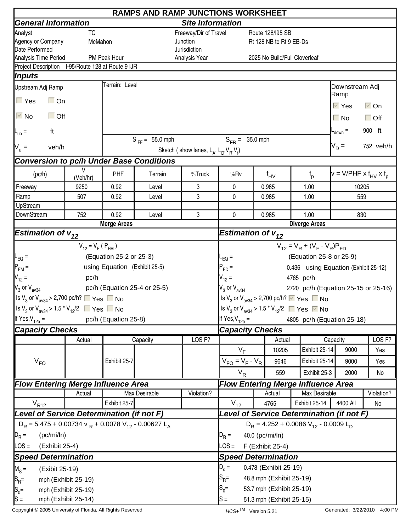|                                                                                                        |                                            |                               | <b>RAMPS AND RAMP JUNCTIONS WORKSHEET</b> |                                                     |                                                               |  |                          |                                                                                            |                                        |                      |  |  |
|--------------------------------------------------------------------------------------------------------|--------------------------------------------|-------------------------------|-------------------------------------------|-----------------------------------------------------|---------------------------------------------------------------|--|--------------------------|--------------------------------------------------------------------------------------------|----------------------------------------|----------------------|--|--|
| <b>General Information</b>                                                                             |                                            |                               |                                           | <b>Site Information</b>                             |                                                               |  |                          |                                                                                            |                                        |                      |  |  |
| Analyst                                                                                                | TC                                         |                               |                                           | Freeway/Dir of Travel                               |                                                               |  | Route 128/195 SB         |                                                                                            |                                        |                      |  |  |
| Agency or Company                                                                                      | McMahon                                    |                               |                                           | Junction                                            |                                                               |  | Rt 128 NB to Rt 9 EB-Ds  |                                                                                            |                                        |                      |  |  |
| Date Performed                                                                                         |                                            |                               |                                           | Jurisdiction                                        |                                                               |  |                          |                                                                                            |                                        |                      |  |  |
| Analysis Time Period<br>Project Description I-95/Route 128 at Route 9 IJR                              |                                            | PM Peak Hour                  |                                           | Analysis Year                                       |                                                               |  |                          | 2025 No Build/Full Cloverleaf                                                              |                                        |                      |  |  |
| <i><b>Inputs</b></i>                                                                                   |                                            |                               |                                           |                                                     |                                                               |  |                          |                                                                                            |                                        |                      |  |  |
|                                                                                                        |                                            | Terrain: Level                |                                           |                                                     |                                                               |  |                          |                                                                                            |                                        |                      |  |  |
| Upstream Adj Ramp                                                                                      |                                            |                               |                                           |                                                     |                                                               |  |                          |                                                                                            | Downstream Adj<br>Ramp                 |                      |  |  |
| $\Gamma$ Yes<br>$\Box$ On                                                                              |                                            |                               |                                           |                                                     |                                                               |  |                          |                                                                                            | $\overline{\vee}$ Yes                  | $\overline{\vee}$ On |  |  |
| $\overline{\triangledown}$ No<br>$\Box$ Off                                                            |                                            |                               |                                           |                                                     |                                                               |  |                          |                                                                                            | $\Box$ No                              | $\Box$ Off           |  |  |
| ft<br>$L_{\text{up}} =$                                                                                |                                            |                               |                                           |                                                     |                                                               |  |                          |                                                                                            | $-$ <sub>down</sub> $=$                | 900 ft               |  |  |
| $V_{u} =$<br>veh/h                                                                                     |                                            |                               | $S_{FF} = 55.0$ mph                       |                                                     | $S_{FR} = 35.0$ mph                                           |  |                          |                                                                                            | $V_D =$                                | 752 veh/h            |  |  |
|                                                                                                        |                                            |                               |                                           | Sketch (show lanes, $L_A$ , $L_D$ , $V_B$ , $V_f$ ) |                                                               |  |                          |                                                                                            |                                        |                      |  |  |
| <b>Conversion to pc/h Under Base Conditions</b>                                                        |                                            |                               |                                           |                                                     |                                                               |  |                          |                                                                                            |                                        |                      |  |  |
| (pc/h)                                                                                                 | V<br>(Veh/hr)                              | PHF                           | Terrain                                   | %Truck                                              | %Rv                                                           |  | $f_{\mathsf{HV}}$        | $f_{p}$                                                                                    | $v = V/PHF \times f_{HV} \times f_{D}$ |                      |  |  |
| Freeway                                                                                                | 9250                                       | 0.92                          | Level                                     | 3                                                   | 0                                                             |  | 0.985                    | 1.00                                                                                       | 10205                                  |                      |  |  |
| Ramp                                                                                                   | 507                                        | 0.92                          | Level                                     | 3                                                   | 0                                                             |  | 0.985                    | 1.00                                                                                       | 559                                    |                      |  |  |
| UpStream                                                                                               |                                            |                               |                                           |                                                     |                                                               |  |                          |                                                                                            |                                        |                      |  |  |
| DownStream                                                                                             | 752                                        | 0.92                          | Level                                     | 3                                                   | 0                                                             |  | 0.985                    | 1.00                                                                                       | 830                                    |                      |  |  |
|                                                                                                        | <b>Merge Areas</b>                         |                               |                                           |                                                     |                                                               |  |                          | <b>Diverge Areas</b>                                                                       |                                        |                      |  |  |
| <b>Estimation of <math>v_{12}</math></b>                                                               |                                            |                               |                                           |                                                     | Estimation of $v_{12}$                                        |  |                          |                                                                                            |                                        |                      |  |  |
|                                                                                                        | $V_{12} = V_F (P_{FM})$                    |                               |                                           |                                                     |                                                               |  |                          | $V_{12} = V_R + (V_F - V_R)P_{FD}$                                                         |                                        |                      |  |  |
| $L_{EQ} =$                                                                                             |                                            | (Equation 25-2 or 25-3)       |                                           |                                                     | $-EQ =$                                                       |  |                          | (Equation 25-8 or 25-9)                                                                    |                                        |                      |  |  |
| $P_{FM}$ =                                                                                             |                                            | using Equation (Exhibit 25-5) |                                           |                                                     | $P_{FD} =$                                                    |  |                          | 0.436 using Equation (Exhibit 25-12)                                                       |                                        |                      |  |  |
| $V_{12} =$                                                                                             | pc/h                                       |                               |                                           |                                                     | $V_{12} =$                                                    |  |                          | 4765 pc/h                                                                                  |                                        |                      |  |  |
| $V_3$ or $V_{\text{av34}}$                                                                             |                                            |                               | pc/h (Equation 25-4 or 25-5)              |                                                     | $V_3$ or $V_{av34}$                                           |  |                          | 2720 pc/h (Equation 25-15 or 25-16)                                                        |                                        |                      |  |  |
| Set V <sub>3</sub> or V <sub>av34</sub> > 2,700 pc/h? ■ Yes ■ No                                       |                                            |                               |                                           |                                                     |                                                               |  |                          | Is V <sub>3</sub> or V <sub>av34</sub> > 2,700 pc/h? $\triangledown$ Yes $\blacksquare$ No |                                        |                      |  |  |
| $\left  \frac{\text{ls}}{3}$ or $\text{V}_{\text{av34}}$ > 1.5 $\text{*}$ $\text{V}_{12}/2$ ■ Yes ■ No |                                            |                               |                                           |                                                     |                                                               |  |                          | Is V <sub>3</sub> or V <sub>av34</sub> > 1.5 <sup>*</sup> V <sub>12</sub> /2 ■ Yes ■ No    |                                        |                      |  |  |
| If Yes, $V_{12a}$ =                                                                                    |                                            | pc/h (Equation 25-8)          |                                           |                                                     | If Yes, $V_{12a} =$                                           |  |                          | 4805 pc/h (Equation 25-18)                                                                 |                                        |                      |  |  |
| <b>Capacity Checks</b>                                                                                 |                                            |                               |                                           |                                                     | <b>Capacity Checks</b>                                        |  |                          |                                                                                            |                                        |                      |  |  |
|                                                                                                        | Actual                                     |                               | Capacity                                  | LOS <sub>F?</sub>                                   |                                                               |  | Actual                   |                                                                                            | Capacity                               | LOS <sub>F?</sub>    |  |  |
|                                                                                                        |                                            |                               |                                           |                                                     | $V_F$                                                         |  | 10205                    | Exhibit 25-14                                                                              | 9000                                   | Yes                  |  |  |
|                                                                                                        |                                            |                               |                                           |                                                     |                                                               |  |                          |                                                                                            |                                        |                      |  |  |
| $V_{FO}$                                                                                               |                                            | Exhibit 25-7                  |                                           |                                                     | $V_{FO} = V_F - V_R$                                          |  | 9646                     | Exhibit 25-14                                                                              | 9000                                   | Yes                  |  |  |
|                                                                                                        |                                            |                               |                                           |                                                     | $V_R$                                                         |  | 559                      | Exhibit 25-3                                                                               | 2000                                   | No                   |  |  |
| <b>Flow Entering Merge Influence Area</b>                                                              |                                            |                               |                                           |                                                     |                                                               |  |                          | <b>Flow Entering Merge Influence Area</b>                                                  |                                        |                      |  |  |
|                                                                                                        | Actual                                     |                               | Max Desirable                             | Violation?                                          |                                                               |  | Actual                   | Max Desirable                                                                              |                                        | Violation?           |  |  |
| $V_{R12}$<br>Exhibit 25-7                                                                              |                                            |                               |                                           |                                                     | $V_{12}$                                                      |  | 4765                     | Exhibit 25-14                                                                              | 4400:All                               | No                   |  |  |
| Level of Service Determination (if not F)                                                              |                                            |                               |                                           |                                                     |                                                               |  |                          | Level of Service Determination (if not F)                                                  |                                        |                      |  |  |
| $D_R$ = 5.475 + 0.00734 v $_R$ + 0.0078 V <sub>12</sub> - 0.00627 L <sub>A</sub>                       |                                            |                               |                                           |                                                     | $D_R = 4.252 + 0.0086 V_{12} - 0.0009 L_D$                    |  |                          |                                                                                            |                                        |                      |  |  |
| $D_R =$<br>(pc/mi/ln)                                                                                  |                                            |                               |                                           |                                                     | $D_R =$                                                       |  | 40.0 (pc/mi/ln)          |                                                                                            |                                        |                      |  |  |
| LOS =<br>(Exhibit 25-4)                                                                                |                                            |                               |                                           |                                                     | $\textsf{LOS} =$                                              |  | F (Exhibit 25-4)         |                                                                                            |                                        |                      |  |  |
| <b>Speed Determination</b>                                                                             |                                            |                               |                                           |                                                     | <b>Speed Determination</b>                                    |  |                          |                                                                                            |                                        |                      |  |  |
| $M_S =$<br>(Exibit 25-19)                                                                              |                                            |                               |                                           |                                                     | $D_s =$                                                       |  | 0.478 (Exhibit 25-19)    |                                                                                            |                                        |                      |  |  |
|                                                                                                        | mph (Exhibit 25-19)                        |                               |                                           |                                                     | $ {\mathsf S}_{\mathsf R}$ =                                  |  | 48.8 mph (Exhibit 25-19) |                                                                                            |                                        |                      |  |  |
| $ S_{R}$ =                                                                                             |                                            | $S_0=$                        |                                           |                                                     |                                                               |  |                          |                                                                                            |                                        |                      |  |  |
| $S_0 =$<br>$ S =$                                                                                      | mph (Exhibit 25-19)<br>mph (Exhibit 25-14) |                               |                                           |                                                     | 53.7 mph (Exhibit 25-19)<br>$s =$<br>51.3 mph (Exhibit 25-15) |  |                          |                                                                                            |                                        |                      |  |  |
|                                                                                                        |                                            |                               |                                           |                                                     |                                                               |  |                          |                                                                                            |                                        |                      |  |  |

Copyright © 2005 University of Florida, All Rights Reserved **HCS+TM** Version 5.21 Generated: 3/22/2010 4:00 PM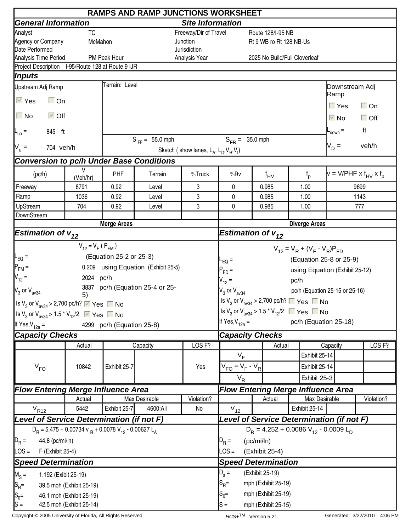|                                                                                                  |                          |                           | <b>RAMPS AND RAMP JUNCTIONS WORKSHEET</b>      |                                                     |                                                                                         |            |                               |               |               |                                |                                        |
|--------------------------------------------------------------------------------------------------|--------------------------|---------------------------|------------------------------------------------|-----------------------------------------------------|-----------------------------------------------------------------------------------------|------------|-------------------------------|---------------|---------------|--------------------------------|----------------------------------------|
| <b>General Information</b>                                                                       |                          |                           |                                                | <b>Site Information</b>                             |                                                                                         |            |                               |               |               |                                |                                        |
| Analyst                                                                                          | <b>TC</b>                |                           |                                                | Freeway/Dir of Travel                               |                                                                                         |            | Route 128/I-95 NB             |               |               |                                |                                        |
| Agency or Company                                                                                | McMahon                  |                           |                                                | Junction                                            |                                                                                         |            | Rt 9 WB ro Rt 128 NB-Us       |               |               |                                |                                        |
| Date Performed                                                                                   |                          |                           |                                                | Jurisdiction                                        |                                                                                         |            |                               |               |               |                                |                                        |
| Analysis Time Period<br>Project Description I-95/Route 128 at Route 9 IJR                        |                          | PM Peak Hour              |                                                | Analysis Year                                       |                                                                                         |            | 2025 No Build/Full Cloverleaf |               |               |                                |                                        |
| Inputs                                                                                           |                          |                           |                                                |                                                     |                                                                                         |            |                               |               |               |                                |                                        |
|                                                                                                  |                          | Terrain: Level            |                                                |                                                     |                                                                                         |            |                               |               |               |                                |                                        |
| Upstream Adj Ramp                                                                                |                          |                           |                                                |                                                     |                                                                                         |            |                               |               |               | Downstream Adj<br> Ramp        |                                        |
| $\overline{\vee}$ Yes<br>$\Box$ On                                                               |                          |                           |                                                |                                                     |                                                                                         |            |                               |               |               | $\Gamma$ Yes                   | $\Box$ On                              |
| $\Box$ No<br>$\overline{\vee}$ Off                                                               |                          |                           |                                                |                                                     |                                                                                         |            |                               |               |               | $\overline{\vee}$ No           | $\Box$ Off                             |
| 845 ft<br>$\mathsf{L}_{\mathsf{up}} =$                                                           |                          |                           |                                                |                                                     |                                                                                         |            |                               |               |               | $-$ <sub>down</sub> $=$        | ft                                     |
|                                                                                                  |                          |                           | $S_{FF} = 55.0$ mph                            |                                                     | $S_{FR} = 35.0$ mph                                                                     |            |                               |               |               | $V_D =$                        | veh/h                                  |
| $N_u =$<br>704 veh/h                                                                             |                          |                           |                                                | Sketch (show lanes, $L_A$ , $L_D$ , $V_B$ , $V_f$ ) |                                                                                         |            |                               |               |               |                                |                                        |
| <b>Conversion to pc/h Under Base Conditions</b>                                                  |                          |                           |                                                |                                                     |                                                                                         |            |                               |               |               |                                |                                        |
| (pc/h)                                                                                           | V<br>(Veh/hr)            | PHF                       | Terrain                                        | %Truck                                              | %Rv                                                                                     |            | $f_{\text{HV}}$               |               | $f_{p}$       |                                | $v = V/PHF \times f_{HV} \times f_{D}$ |
| Freeway                                                                                          | 8791                     | 0.92                      | Level                                          | 3                                                   | 0                                                                                       |            | 0.985                         | 1.00          |               |                                | 9699                                   |
| Ramp                                                                                             | 1036                     | 0.92                      | Level                                          | 3                                                   | 0                                                                                       |            | 0.985                         | 1.00          |               |                                | 1143                                   |
| UpStream                                                                                         | 704                      | 0.92                      | Level                                          | 3                                                   | 0                                                                                       |            | 0.985                         | 1.00          |               |                                | 777                                    |
| DownStream                                                                                       |                          | <b>Merge Areas</b>        |                                                |                                                     |                                                                                         |            |                               |               |               |                                |                                        |
|                                                                                                  |                          |                           | <b>Diverge Areas</b><br>Estimation of $v_{12}$ |                                                     |                                                                                         |            |                               |               |               |                                |                                        |
| <b>Estimation of <math>v_{12}</math></b>                                                         |                          |                           |                                                |                                                     |                                                                                         |            |                               |               |               |                                |                                        |
|                                                                                                  | $V_{12} = V_F (P_{FM})$  |                           |                                                |                                                     | $V_{12} = V_R + (V_F - V_R)P_{FD}$                                                      |            |                               |               |               |                                |                                        |
| $\mathsf{I}_{\mathsf{EQ}}$ =                                                                     |                          | (Equation 25-2 or 25-3)   |                                                |                                                     | L <sub>EQ</sub> =                                                                       |            |                               |               |               | (Equation 25-8 or 25-9)        |                                        |
| $P_{FM}$ =                                                                                       |                          |                           | 0.209 using Equation (Exhibit 25-5)            |                                                     | $P_{FD}$ =                                                                              |            |                               |               |               | using Equation (Exhibit 25-12) |                                        |
| $V_{12} =$                                                                                       | 2024 pc/h                |                           |                                                |                                                     | $V_{12} =$                                                                              |            |                               | pc/h          |               |                                |                                        |
| $V_3$ or $V_{\text{av34}}$                                                                       |                          |                           | 3837 pc/h (Equation 25-4 or 25-                |                                                     | $V_3$ or $V_{av34}$                                                                     |            |                               |               |               | pc/h (Equation 25-15 or 25-16) |                                        |
|                                                                                                  | 5)                       |                           |                                                |                                                     | Is V <sub>3</sub> or V <sub>av34</sub> > 2,700 pc/h? $\Box$ Yes $\Box$ No               |            |                               |               |               |                                |                                        |
| Is $V_3$ or $V_{\text{av34}}$ > 2,700 pc/h? $\triangledown$ Yes $\blacksquare$ No                |                          |                           |                                                |                                                     |                                                                                         |            |                               |               |               |                                |                                        |
| Is V <sub>3</sub> or V <sub>av34</sub> > 1.5 <sup>*</sup> V <sub>12</sub> /2 $\sqrt{ }$ Yes ■ No |                          |                           |                                                |                                                     | Is V <sub>3</sub> or V <sub>av34</sub> > 1.5 <sup>*</sup> V <sub>12</sub> /2 ■ Yes ■ No |            |                               |               |               |                                |                                        |
| If Yes, $V_{12a}$ =                                                                              |                          | 4299 pc/h (Equation 25-8) |                                                |                                                     | If Yes, $V_{12a} =$                                                                     |            |                               |               |               | pc/h (Equation 25-18)          |                                        |
| <b>Capacity Checks</b>                                                                           |                          |                           |                                                |                                                     | <b>Capacity Checks</b>                                                                  |            |                               |               |               |                                |                                        |
|                                                                                                  | Actual                   |                           | Capacity                                       | LOS <sub>F?</sub>                                   |                                                                                         |            | Actual                        |               |               | Capacity                       | LOS <sub>F?</sub>                      |
|                                                                                                  |                          |                           |                                                |                                                     | $V_F$                                                                                   |            |                               |               | Exhibit 25-14 |                                |                                        |
| $V_{FO}$                                                                                         | 10842                    | Exhibit 25-7              |                                                | Yes                                                 | $V_{FO} = V_F - V_R$                                                                    |            |                               |               | Exhibit 25-14 |                                |                                        |
|                                                                                                  |                          |                           |                                                |                                                     | $V_R$                                                                                   |            |                               |               | Exhibit 25-3  |                                |                                        |
| <b>Flow Entering Merge Influence Area</b>                                                        |                          |                           |                                                |                                                     | <b>Flow Entering Merge Influence Area</b>                                               |            |                               |               |               |                                |                                        |
|                                                                                                  | Actual                   |                           | Max Desirable                                  | Violation?                                          |                                                                                         |            | Actual                        |               | Max Desirable |                                | Violation?                             |
| $V_{R12}$                                                                                        | 5442                     | Exhibit 25-7              | 4600:All                                       | No                                                  | $V_{12}$                                                                                |            |                               | Exhibit 25-14 |               |                                |                                        |
| Level of Service Determination (if not F)                                                        |                          |                           |                                                |                                                     | Level of Service Determination (if not F)                                               |            |                               |               |               |                                |                                        |
| $D_R = 5.475 + 0.00734$ v $_R + 0.0078$ V <sub>12</sub> - 0.00627 L <sub>A</sub>                 |                          |                           |                                                | $D_R = 4.252 + 0.0086 V_{12} - 0.0009 L_D$          |                                                                                         |            |                               |               |               |                                |                                        |
| $D_R =$<br>44.8 (pc/mi/ln)                                                                       |                          |                           |                                                |                                                     |                                                                                         | (pc/mi/ln) |                               |               |               |                                |                                        |
| $\textsf{LOS} =$<br>F (Exhibit 25-4)                                                             |                          |                           |                                                |                                                     | $D_R =$<br>$\textsf{LOS} =$                                                             |            | (Exhibit 25-4)                |               |               |                                |                                        |
|                                                                                                  |                          |                           |                                                |                                                     |                                                                                         |            |                               |               |               |                                |                                        |
| <b>Speed Determination</b>                                                                       |                          |                           |                                                |                                                     | <b>Speed Determination</b>                                                              |            |                               |               |               |                                |                                        |
| $M_S =$<br>1.192 (Exibit 25-19)                                                                  |                          |                           |                                                |                                                     | $D_{s} =$                                                                               |            | (Exhibit 25-19)               |               |               |                                |                                        |
| $S_{\sf R}$ =<br>mph (Exhibit 25-19)<br>$ S_{\mathsf{R}}$ =<br>39.5 mph (Exhibit 25-19)          |                          |                           |                                                |                                                     |                                                                                         |            |                               |               |               |                                |                                        |
| $S_0 =$                                                                                          | 46.1 mph (Exhibit 25-19) |                           |                                                |                                                     | $S_0 =$                                                                                 |            | mph (Exhibit 25-19)           |               |               |                                |                                        |
| $ S =$                                                                                           | 42.5 mph (Exhibit 25-14) |                           |                                                |                                                     | lS =                                                                                    |            | mph (Exhibit 25-15)           |               |               |                                |                                        |

Copyright © 2005 University of Florida, All Rights Reserved **HCS+TM** Version 5.21 Generated: 3/22/2010 4:06 PM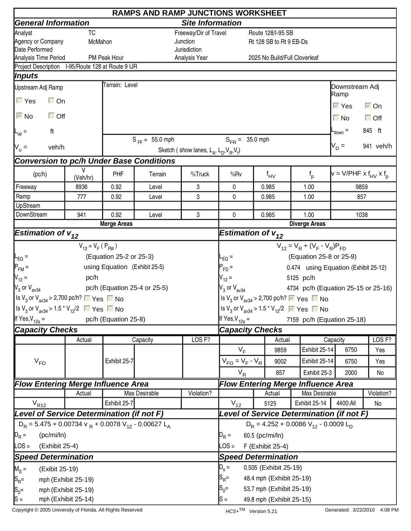|                                                                                                        | <b>RAMPS AND RAMP JUNCTIONS WORKSHEET</b> |                               |                                                |                                                     |                                            |                      |                          |                                                                                                  |                                        |                      |
|--------------------------------------------------------------------------------------------------------|-------------------------------------------|-------------------------------|------------------------------------------------|-----------------------------------------------------|--------------------------------------------|----------------------|--------------------------|--------------------------------------------------------------------------------------------------|----------------------------------------|----------------------|
| <b>General Information</b>                                                                             |                                           |                               |                                                | <b>Site Information</b>                             |                                            |                      |                          |                                                                                                  |                                        |                      |
| Analyst                                                                                                | TC                                        |                               |                                                | Freeway/Dir of Travel                               |                                            |                      | Route 128/I-95 SB        |                                                                                                  |                                        |                      |
| Agency or Company                                                                                      | McMahon                                   |                               |                                                | Junction                                            |                                            |                      | Rt 128 SB to Rt 9 EB-Ds  |                                                                                                  |                                        |                      |
| Date Performed                                                                                         |                                           |                               |                                                | Jurisdiction                                        |                                            |                      |                          |                                                                                                  |                                        |                      |
| Analysis Time Period<br>Project Description I-95/Route 128 at Route 9 IJR                              |                                           | PM Peak Hour                  |                                                | Analysis Year                                       |                                            |                      |                          | 2025 No Build/Full Cloverleaf                                                                    |                                        |                      |
| Inputs                                                                                                 |                                           |                               |                                                |                                                     |                                            |                      |                          |                                                                                                  |                                        |                      |
|                                                                                                        |                                           | Terrain: Level                |                                                |                                                     |                                            |                      |                          |                                                                                                  |                                        |                      |
| Upstream Adj Ramp                                                                                      |                                           |                               |                                                |                                                     |                                            |                      |                          |                                                                                                  | Downstream Adj<br>Ramp                 |                      |
| $\Gamma$ Yes<br>$\Box$ On                                                                              |                                           |                               |                                                |                                                     |                                            |                      |                          |                                                                                                  | $\overline{\vee}$ Yes                  | $\overline{\vee}$ On |
| $\overline{\triangleright}$ No<br>$\Box$ Off                                                           |                                           |                               |                                                |                                                     |                                            |                      |                          |                                                                                                  | $\Box$ No                              | $\Box$ Off           |
| ft<br>$L_{\text{up}} =$                                                                                |                                           |                               |                                                |                                                     |                                            |                      |                          |                                                                                                  | $-$ <sub>down</sub> $=$                | 845 ft               |
| $V_{u} =$<br>veh/h                                                                                     |                                           |                               | $S_{FF} = 55.0$ mph                            |                                                     | $S_{FR} = 35.0$ mph                        |                      |                          |                                                                                                  | $V_D =$                                | 941 veh/h            |
|                                                                                                        |                                           |                               |                                                | Sketch (show lanes, $L_A$ , $L_D$ , $V_B$ , $V_f$ ) |                                            |                      |                          |                                                                                                  |                                        |                      |
| <b>Conversion to pc/h Under Base Conditions</b>                                                        |                                           |                               |                                                |                                                     |                                            |                      |                          |                                                                                                  |                                        |                      |
| (pc/h)                                                                                                 | V<br>(Veh/hr)                             | PHF                           | Terrain                                        | %Truck                                              | %Rv                                        |                      | $f_{\mathsf{HV}}$        | $f_{p}$                                                                                          | $v = V/PHF \times f_{HV} \times f_{D}$ |                      |
| Freeway                                                                                                | 8936                                      | 0.92                          | Level                                          | 3                                                   | 0                                          |                      | 0.985                    | 1.00                                                                                             | 9859                                   |                      |
| Ramp                                                                                                   | 777                                       | 0.92                          | Level                                          | 3                                                   | 0                                          |                      | 0.985                    | 1.00                                                                                             | 857                                    |                      |
| UpStream                                                                                               |                                           |                               |                                                |                                                     |                                            |                      |                          |                                                                                                  |                                        |                      |
| DownStream                                                                                             | 941                                       | 0.92                          | 3<br>Level<br>0<br>0.985<br><b>Merge Areas</b> |                                                     |                                            |                      |                          | 1.00                                                                                             | 1038                                   |                      |
|                                                                                                        |                                           |                               |                                                |                                                     |                                            | <b>Diverge Areas</b> |                          |                                                                                                  |                                        |                      |
| <b>Estimation of <math>v_{12}</math></b>                                                               |                                           |                               |                                                |                                                     | Estimation of $v_{12}$                     |                      |                          |                                                                                                  |                                        |                      |
|                                                                                                        | $V_{12} = V_F (P_{FM})$                   |                               |                                                |                                                     |                                            |                      |                          | $V_{12} = V_R + (V_F - V_R)P_{FD}$                                                               |                                        |                      |
| $L_{EQ} =$                                                                                             |                                           | (Equation 25-2 or 25-3)       |                                                |                                                     | $-EQ =$                                    |                      |                          | (Equation 25-8 or 25-9)                                                                          |                                        |                      |
| $P_{FM}$ =                                                                                             |                                           | using Equation (Exhibit 25-5) |                                                |                                                     | $P_{FD} =$                                 |                      |                          | 0.474 using Equation (Exhibit 25-12)                                                             |                                        |                      |
| $V_{12} =$                                                                                             | pc/h                                      |                               |                                                |                                                     | $V_{12} =$                                 |                      |                          | 5125 pc/h                                                                                        |                                        |                      |
| $V_3$ or $V_{\text{av34}}$                                                                             |                                           |                               | pc/h (Equation 25-4 or 25-5)                   |                                                     | $V_3$ or $V_{av34}$                        |                      |                          | 4734 pc/h (Equation 25-15 or 25-16)                                                              |                                        |                      |
| Set V <sub>3</sub> or V <sub>av34</sub> > 2,700 pc/h? ■ Yes ■ No                                       |                                           |                               |                                                |                                                     |                                            |                      |                          | Is V <sub>3</sub> or V <sub>av34</sub> > 2,700 pc/h? $\triangledown$ Yes $\blacksquare$ No       |                                        |                      |
| $\left  \frac{\text{ls}}{3}$ or $\text{V}_{\text{av34}}$ > 1.5 $\text{*}$ $\text{V}_{12}/2$ ■ Yes ■ No |                                           |                               |                                                |                                                     |                                            |                      |                          | Is V <sub>3</sub> or V <sub>av34</sub> > 1.5 <sup>*</sup> V <sub>12</sub> /2 $\sqrt{ }$ Yes ■ No |                                        |                      |
|                                                                                                        |                                           | pc/h (Equation 25-8)          |                                                |                                                     |                                            |                      |                          |                                                                                                  |                                        |                      |
| If Yes, $V_{12a}$ =                                                                                    |                                           |                               |                                                |                                                     | If Yes, $V_{12a} =$                        |                      |                          | 7159 pc/h (Equation 25-18)                                                                       |                                        |                      |
| <b>Capacity Checks</b>                                                                                 |                                           |                               |                                                |                                                     | <b>Capacity Checks</b>                     |                      |                          |                                                                                                  |                                        |                      |
|                                                                                                        | Actual                                    |                               | Capacity                                       | LOS <sub>F?</sub>                                   |                                            |                      | Actual                   |                                                                                                  | Capacity                               | LOS <sub>F?</sub>    |
|                                                                                                        |                                           |                               |                                                |                                                     | $V_F$                                      |                      | 9859                     | Exhibit 25-14                                                                                    | 6750                                   | Yes                  |
| $V_{FO}$                                                                                               |                                           | Exhibit 25-7                  |                                                |                                                     | $V_{FO} = V_F - V_R$                       |                      | 9002                     | Exhibit 25-14                                                                                    | 6750                                   | Yes                  |
|                                                                                                        |                                           |                               |                                                |                                                     | $V_R$                                      |                      | 857                      | Exhibit 25-3                                                                                     | 2000                                   | No                   |
| <b>Flow Entering Merge Influence Area</b>                                                              |                                           |                               |                                                |                                                     |                                            |                      |                          | <b>Flow Entering Merge Influence Area</b>                                                        |                                        |                      |
|                                                                                                        | Actual                                    |                               | <b>Max Desirable</b>                           | Violation?                                          |                                            |                      | Actual                   | Max Desirable                                                                                    |                                        | Violation?           |
| $V_{R12}$<br>Exhibit 25-7                                                                              |                                           |                               |                                                |                                                     | $V_{12}$                                   |                      | 5125                     | Exhibit 25-14                                                                                    | 4400:All                               | No                   |
| Level of Service Determination (if not F)                                                              |                                           |                               |                                                |                                                     |                                            |                      |                          | Level of Service Determination (if not F)                                                        |                                        |                      |
| $D_R$ = 5.475 + 0.00734 v $_R$ + 0.0078 V <sub>12</sub> - 0.00627 L <sub>A</sub>                       |                                           |                               |                                                |                                                     | $D_R = 4.252 + 0.0086 V_{12} - 0.0009 L_D$ |                      |                          |                                                                                                  |                                        |                      |
| $D_R =$<br>(pc/mi/ln)                                                                                  |                                           |                               |                                                |                                                     | $\mathsf{D}_\mathsf{R}$ =                  |                      | 60.5 (pc/mi/ln)          |                                                                                                  |                                        |                      |
| LOS =<br>(Exhibit 25-4)                                                                                |                                           |                               |                                                |                                                     | $\textsf{LOS} =$                           |                      | F (Exhibit 25-4)         |                                                                                                  |                                        |                      |
| <b>Speed Determination</b>                                                                             |                                           |                               |                                                |                                                     | <b>Speed Determination</b>                 |                      |                          |                                                                                                  |                                        |                      |
|                                                                                                        |                                           |                               |                                                |                                                     | $D_s =$                                    |                      | 0.505 (Exhibit 25-19)    |                                                                                                  |                                        |                      |
| $M_S =$<br>(Exibit 25-19)                                                                              |                                           |                               |                                                |                                                     |                                            |                      | 48.4 mph (Exhibit 25-19) |                                                                                                  |                                        |                      |
| $ S_{R}$ =<br>mph (Exhibit 25-19)                                                                      |                                           | $\mathsf{S}_{\mathsf{R}}$ =   |                                                |                                                     |                                            |                      |                          |                                                                                                  |                                        |                      |
| $S_0 =$                                                                                                | mph (Exhibit 25-19)                       |                               |                                                |                                                     | $S_0=$<br>53.7 mph (Exhibit 25-19)         |                      |                          |                                                                                                  |                                        |                      |
| $ S =$                                                                                                 | mph (Exhibit 25-14)                       |                               |                                                |                                                     | $\mathsf{S} =$<br>49.8 mph (Exhibit 25-15) |                      |                          |                                                                                                  |                                        |                      |

Copyright © 2005 University of Florida, All Rights Reserved **HCS+TM** Version 5.21 Generated: 3/22/2010 4:08 PM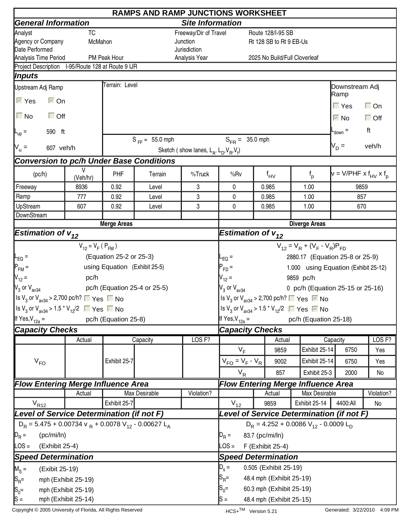|                                                                                                 |                         |                               | <b>RAMPS AND RAMP JUNCTIONS WORKSHEET</b> |                                                     |                                            |  |                          |                                                                                         |                                      |                   |
|-------------------------------------------------------------------------------------------------|-------------------------|-------------------------------|-------------------------------------------|-----------------------------------------------------|--------------------------------------------|--|--------------------------|-----------------------------------------------------------------------------------------|--------------------------------------|-------------------|
| <b>General Information</b>                                                                      |                         |                               |                                           | <b>Site Information</b>                             |                                            |  |                          |                                                                                         |                                      |                   |
| Analyst                                                                                         | <b>TC</b>               |                               |                                           | Freeway/Dir of Travel                               |                                            |  | Route 128/I-95 SB        |                                                                                         |                                      |                   |
| Agency or Company                                                                               | McMahon                 |                               |                                           | Junction                                            |                                            |  | Rt 128 SB to Rt 9 EB-Us  |                                                                                         |                                      |                   |
| Date Performed                                                                                  |                         |                               |                                           | Jurisdiction                                        |                                            |  |                          |                                                                                         |                                      |                   |
| Analysis Time Period                                                                            |                         | PM Peak Hour                  |                                           | Analysis Year                                       |                                            |  |                          | 2025 No Build/Full Cloverleaf                                                           |                                      |                   |
| Project Description I-95/Route 128 at Route 9 IJR                                               |                         |                               |                                           |                                                     |                                            |  |                          |                                                                                         |                                      |                   |
| <i><b>Inputs</b></i>                                                                            |                         | Terrain: Level                |                                           |                                                     |                                            |  |                          |                                                                                         |                                      |                   |
| Upstream Adj Ramp                                                                               |                         |                               |                                           |                                                     |                                            |  |                          |                                                                                         | Downstream Adj<br>Ramp               |                   |
| $\overline{\vee}$ Yes<br>$\overline{\triangleright}$ On                                         |                         |                               |                                           |                                                     |                                            |  |                          |                                                                                         | $\Gamma$ Yes                         | $\Box$ On         |
| $\Box$ No<br>$\Box$ Off                                                                         |                         |                               |                                           |                                                     |                                            |  |                          |                                                                                         | $\overline{\triangledown}$ No        | $\Box$ Off        |
| 590 ft<br>$L_{\text{up}}$ =                                                                     |                         |                               |                                           |                                                     |                                            |  |                          |                                                                                         | $_{\text{down}}$ =                   | ft                |
| $V_u =$<br>607 veh/h                                                                            |                         |                               | $S_{FF} = 55.0$ mph                       | Sketch (show lanes, $L_A$ , $L_D$ , $V_B$ , $V_f$ ) | $S_{FR} = 35.0$ mph                        |  |                          |                                                                                         | $V_D =$                              | veh/h             |
| <b>Conversion to pc/h Under Base Conditions</b>                                                 |                         |                               |                                           |                                                     |                                            |  |                          |                                                                                         |                                      |                   |
| (pc/h)                                                                                          | V<br>(Veh/hr)           | <b>PHF</b>                    | Terrain                                   | %Truck                                              | %Rv                                        |  | $f_{HV}$                 | $f_{p}$                                                                                 | $v = V/PHF \times f_{HV} \times f_p$ |                   |
| Freeway                                                                                         | 8936                    | 0.92                          | Level                                     | 3                                                   | 0                                          |  | 0.985                    | 1.00                                                                                    | 9859                                 |                   |
| Ramp                                                                                            | 777                     | 0.92                          | Level                                     | 3                                                   | $\mathbf{0}$                               |  | 0.985                    | 1.00                                                                                    | 857                                  |                   |
| UpStream                                                                                        | 607                     | 0.92                          | Level                                     | 3                                                   | 0                                          |  | 0.985                    | 1.00                                                                                    | 670                                  |                   |
| DownStream                                                                                      |                         |                               |                                           |                                                     |                                            |  |                          |                                                                                         |                                      |                   |
|                                                                                                 |                         | <b>Merge Areas</b>            |                                           |                                                     |                                            |  |                          | <b>Diverge Areas</b>                                                                    |                                      |                   |
| <b>Estimation of <math>v_{12}</math></b>                                                        |                         |                               |                                           |                                                     | Estimation of $v_{12}$                     |  |                          |                                                                                         |                                      |                   |
|                                                                                                 | $V_{12} = V_F (P_{FM})$ |                               |                                           |                                                     |                                            |  |                          | $V_{12} = V_R + (V_F - V_R)P_{FD}$                                                      |                                      |                   |
| $L_{EQ}$ =                                                                                      |                         | (Equation 25-2 or 25-3)       |                                           |                                                     | $-EQ =$                                    |  |                          | 2880.17 (Equation 25-8 or 25-9)                                                         |                                      |                   |
| $P_{FM}$ =                                                                                      |                         | using Equation (Exhibit 25-5) |                                           |                                                     | $P_{FD} =$                                 |  |                          | 1.000 using Equation (Exhibit 25-12)                                                    |                                      |                   |
| $V_{12} =$                                                                                      | pc/h                    |                               |                                           |                                                     | $V_{12} =$                                 |  |                          | 9859 pc/h                                                                               |                                      |                   |
| $V_3$ or $V_{\text{av34}}$                                                                      |                         |                               | pc/h (Equation 25-4 or 25-5)              |                                                     |                                            |  |                          | 0 pc/h (Equation 25-15 or 25-16)                                                        |                                      |                   |
| $\vert$ is V <sub>3</sub> or V <sub>av34</sub> > 2,700 pc/h? $\vert \vert$ Yes $\vert \vert$ No |                         |                               |                                           |                                                     | $V_3$ or $V_{av34}$                        |  |                          | Is V <sub>3</sub> or V <sub>av34</sub> > 2,700 pc/h? $\Box$ Yes $\Box$ No               |                                      |                   |
|                                                                                                 |                         |                               |                                           |                                                     |                                            |  |                          |                                                                                         |                                      |                   |
| $\left  \frac{1}{3}$ or V <sub>av34</sub> > 1.5 <sup>*</sup> V <sub>12</sub> /2 ■ Yes ■ No      |                         |                               |                                           |                                                     |                                            |  |                          | Is V <sub>3</sub> or V <sub>av34</sub> > 1.5 <sup>*</sup> V <sub>12</sub> /2 ■ Yes ■ No |                                      |                   |
| If Yes, $V_{12a} =$                                                                             |                         | pc/h (Equation 25-8)          |                                           |                                                     | If Yes, $V_{12a} =$                        |  |                          | pc/h (Equation 25-18)                                                                   |                                      |                   |
| <b>Capacity Checks</b>                                                                          |                         |                               |                                           |                                                     | <b>Capacity Checks</b>                     |  |                          |                                                                                         |                                      |                   |
|                                                                                                 | Actual                  |                               | Capacity                                  | LOS <sub>F?</sub>                                   |                                            |  | Actual                   |                                                                                         | Capacity                             | LOS <sub>F?</sub> |
|                                                                                                 |                         |                               |                                           |                                                     | $V_F$                                      |  | 9859                     | Exhibit 25-14                                                                           | 6750                                 | Yes               |
| $V_{FO}$                                                                                        |                         | Exhibit 25-7                  |                                           |                                                     | $V_{FO} = V_F - V_R$                       |  | 9002                     | Exhibit 25-14                                                                           | 6750                                 | Yes               |
|                                                                                                 |                         |                               |                                           |                                                     | $V_R$                                      |  | 857                      | Exhibit 25-3                                                                            | 2000                                 | No                |
| <b>Flow Entering Merge Influence Area</b>                                                       |                         |                               |                                           |                                                     |                                            |  |                          | <b>Flow Entering Merge Influence Area</b>                                               |                                      |                   |
|                                                                                                 | Actual                  |                               | Max Desirable                             | Violation?                                          |                                            |  | Actual                   | Max Desirable                                                                           |                                      | Violation?        |
| $V_{R12}$                                                                                       |                         | Exhibit 25-7                  |                                           |                                                     | $V_{12}$                                   |  | 9859                     | Exhibit 25-14                                                                           | 4400:All                             | No                |
| Level of Service Determination (if not F)                                                       |                         |                               |                                           |                                                     |                                            |  |                          | Level of Service Determination (if not F)                                               |                                      |                   |
| $D_R$ = 5.475 + 0.00734 v $_R$ + 0.0078 V <sub>12</sub> - 0.00627 L <sub>A</sub>                |                         |                               |                                           |                                                     | $D_R = 4.252 + 0.0086 V_{12} - 0.0009 L_D$ |  |                          |                                                                                         |                                      |                   |
| $D_R =$<br>(pc/mi/ln)                                                                           |                         |                               |                                           |                                                     | $D_R =$                                    |  | 83.7 (pc/mi/ln)          |                                                                                         |                                      |                   |
| LOS =<br>(Exhibit 25-4)                                                                         |                         |                               |                                           |                                                     | $\text{LOS} =$                             |  | F (Exhibit 25-4)         |                                                                                         |                                      |                   |
|                                                                                                 |                         |                               |                                           |                                                     |                                            |  |                          |                                                                                         |                                      |                   |
| <b>Speed Determination</b>                                                                      |                         |                               |                                           |                                                     | <b>Speed Determination</b>                 |  |                          |                                                                                         |                                      |                   |
| $M_S =$<br>(Exibit 25-19)                                                                       |                         |                               |                                           |                                                     | $D_s =$                                    |  | 0.505 (Exhibit 25-19)    |                                                                                         |                                      |                   |
| $ S_R =$                                                                                        | mph (Exhibit 25-19)     |                               |                                           |                                                     | $ {\mathsf S}_{\mathsf R}$ =               |  | 48.4 mph (Exhibit 25-19) |                                                                                         |                                      |                   |
| $S_0 =$                                                                                         | mph (Exhibit 25-19)     |                               |                                           |                                                     | $S_0 =$<br>60.3 mph (Exhibit 25-19)        |  |                          |                                                                                         |                                      |                   |
| $ S =$                                                                                          | mph (Exhibit 25-14)     |                               |                                           |                                                     | $ S =$                                     |  | 48.4 mph (Exhibit 25-15) |                                                                                         |                                      |                   |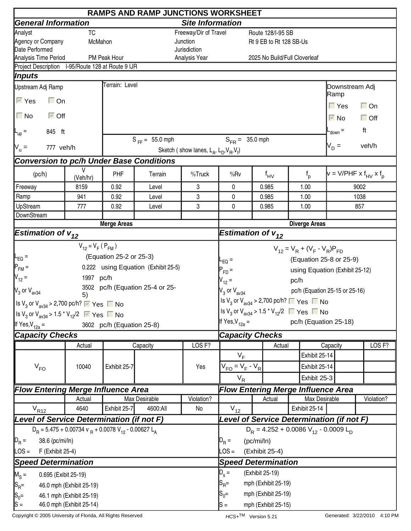| <b>RAMPS AND RAMP JUNCTIONS WORKSHEET</b>                                                                            |                                    |                           |                                 |                                                     |                                                                                         |  |                 |         |               |                                        |            |  |
|----------------------------------------------------------------------------------------------------------------------|------------------------------------|---------------------------|---------------------------------|-----------------------------------------------------|-----------------------------------------------------------------------------------------|--|-----------------|---------|---------------|----------------------------------------|------------|--|
| <b>General Information</b>                                                                                           |                                    | <b>Site Information</b>   |                                 |                                                     |                                                                                         |  |                 |         |               |                                        |            |  |
| Analyst                                                                                                              | <b>TC</b><br>Freeway/Dir of Travel |                           |                                 |                                                     | Route 128/I-95 SB                                                                       |  |                 |         |               |                                        |            |  |
| Agency or Company                                                                                                    | McMahon<br>Junction                |                           |                                 |                                                     | Rt 9 EB to Rt 128 SB-Us                                                                 |  |                 |         |               |                                        |            |  |
| Date Performed                                                                                                       |                                    |                           |                                 | Jurisdiction                                        | 2025 No Build/Full Cloverleaf                                                           |  |                 |         |               |                                        |            |  |
| Analysis Time Period<br>Project Description I-95/Route 128 at Route 9 IJR                                            |                                    | PM Peak Hour              |                                 | Analysis Year                                       |                                                                                         |  |                 |         |               |                                        |            |  |
| Inputs                                                                                                               |                                    |                           |                                 |                                                     |                                                                                         |  |                 |         |               |                                        |            |  |
| Upstream Adj Ramp                                                                                                    |                                    | Terrain: Level            |                                 |                                                     |                                                                                         |  |                 |         |               | Downstream Adj                         |            |  |
| $\overline{\vee}$ Yes<br>$\Box$ On                                                                                   |                                    |                           |                                 |                                                     |                                                                                         |  |                 |         |               | Ramp                                   |            |  |
|                                                                                                                      |                                    |                           |                                 |                                                     |                                                                                         |  |                 |         |               | $\Gamma$ Yes                           | $\Box$ On  |  |
| $\Box$ No<br>$\overline{\triangleright}$ Off                                                                         |                                    |                           |                                 |                                                     |                                                                                         |  |                 |         |               | $\overline{\vee}$ No                   | $\Box$ Off |  |
| 845 ft<br>$\mathsf{L}_{\mathsf{up}} =$                                                                               |                                    |                           |                                 |                                                     |                                                                                         |  |                 |         |               | $-$ <sub>down</sub> $=$                | ft         |  |
| 777 veh/h                                                                                                            |                                    |                           | $S_{FF} = 55.0$ mph             |                                                     | $S_{FR} = 35.0$ mph                                                                     |  |                 |         |               | $V_D =$                                | veh/h      |  |
| $N_u =$                                                                                                              |                                    |                           |                                 | Sketch (show lanes, $L_A$ , $L_D$ , $V_B$ , $V_f$ ) |                                                                                         |  |                 |         |               |                                        |            |  |
| <b>Conversion to pc/h Under Base Conditions</b>                                                                      |                                    |                           |                                 |                                                     |                                                                                         |  |                 |         |               |                                        |            |  |
| (pc/h)                                                                                                               | V<br>(Veh/hr)                      | PHF                       | Terrain                         | %Truck                                              | %Rv                                                                                     |  | $f_{\text{HV}}$ | $f_{p}$ |               | $v = V/PHF \times f_{HV} \times f_{D}$ |            |  |
| Freeway                                                                                                              | 8159                               | 0.92                      | Level                           | 3                                                   | 0                                                                                       |  | 0.985           | 1.00    |               | 9002                                   |            |  |
| Ramp                                                                                                                 | 941                                | 0.92                      | Level                           | 3                                                   | 0                                                                                       |  | 0.985           | 1.00    |               | 1038                                   |            |  |
| UpStream                                                                                                             | 777                                | 0.92                      | Level                           | 3                                                   | 0                                                                                       |  | 0.985           | 1.00    |               |                                        | 857        |  |
| DownStream                                                                                                           |                                    |                           |                                 |                                                     |                                                                                         |  |                 |         |               |                                        |            |  |
| <b>Estimation of <math>v_{12}</math></b>                                                                             |                                    | <b>Merge Areas</b>        |                                 |                                                     | <b>Diverge Areas</b><br>Estimation of $v_{12}$                                          |  |                 |         |               |                                        |            |  |
|                                                                                                                      |                                    |                           |                                 |                                                     |                                                                                         |  |                 |         |               |                                        |            |  |
|                                                                                                                      | $V_{12} = V_F (P_{FM})$            |                           |                                 |                                                     | $V_{12} = V_R + (V_F - V_R)P_{FD}$                                                      |  |                 |         |               |                                        |            |  |
| (Equation 25-2 or 25-3)<br>$\mathsf{I}_{\mathsf{EQ}}$ =                                                              |                                    |                           |                                 |                                                     | (Equation 25-8 or 25-9)<br>$L_{EQ}$ =                                                   |  |                 |         |               |                                        |            |  |
| $P_{FM}$ =<br>0.222 using Equation (Exhibit 25-5)                                                                    |                                    |                           |                                 |                                                     | using Equation (Exhibit 25-12)<br>$P_{FD}$ =                                            |  |                 |         |               |                                        |            |  |
| $V_{12} =$                                                                                                           | 1997 pc/h                          |                           |                                 |                                                     | $V_{12} =$<br>pc/h                                                                      |  |                 |         |               |                                        |            |  |
| $\mathsf{V}_3$ or $\mathsf{V}_{\mathsf{av34}}$                                                                       | 5)                                 |                           | 3502 pc/h (Equation 25-4 or 25- |                                                     | pc/h (Equation 25-15 or 25-16)<br>$V_3$ or $V_{av34}$                                   |  |                 |         |               |                                        |            |  |
| Is $V_3$ or $V_{\text{av34}}$ > 2,700 pc/h? $\triangledown$ Yes $\blacksquare$ No                                    |                                    |                           |                                 |                                                     | Is $V_3$ or $V_{av34}$ > 2,700 pc/h? $\Box$ Yes $\Box$ No                               |  |                 |         |               |                                        |            |  |
| Is V <sub>3</sub> or V <sub>av34</sub> > 1.5 * V <sub>12</sub> /2 $\sqrt{ }$ Yes ■ No                                |                                    |                           |                                 |                                                     | Is V <sub>3</sub> or V <sub>av34</sub> > 1.5 <sup>*</sup> V <sub>12</sub> /2 ■ Yes ■ No |  |                 |         |               |                                        |            |  |
| If Yes, $V_{12a}$ =                                                                                                  |                                    | 3602 pc/h (Equation 25-8) |                                 |                                                     | If Yes, $V_{12a} =$                                                                     |  |                 |         |               | pc/h (Equation 25-18)                  |            |  |
| <b>Capacity Checks</b>                                                                                               |                                    |                           |                                 |                                                     | <b>Capacity Checks</b>                                                                  |  |                 |         |               |                                        |            |  |
|                                                                                                                      | Actual                             |                           | Capacity                        | LOS <sub>F?</sub>                                   | Actual<br>Capacity                                                                      |  |                 |         |               | LOS <sub>F?</sub>                      |            |  |
|                                                                                                                      |                                    |                           |                                 |                                                     | $V_F$                                                                                   |  |                 |         | Exhibit 25-14 |                                        |            |  |
| $V_{FO}$                                                                                                             | 10040                              | Exhibit 25-7              |                                 | Yes                                                 | $V_{FO} = V_F - V_R$                                                                    |  |                 |         | Exhibit 25-14 |                                        |            |  |
|                                                                                                                      |                                    |                           |                                 |                                                     | $V_R$                                                                                   |  |                 |         |               |                                        |            |  |
|                                                                                                                      |                                    |                           |                                 |                                                     | Exhibit 25-3                                                                            |  |                 |         |               |                                        |            |  |
| <b>Flow Entering Merge Influence Area</b>                                                                            | Actual                             |                           | Max Desirable                   | Violation?                                          | <b>Flow Entering Merge Influence Area</b><br>Violation?<br>Max Desirable<br>Actual      |  |                 |         |               |                                        |            |  |
|                                                                                                                      | 4640                               | Exhibit 25-7              | 4600:All                        | No                                                  | $V_{12}$                                                                                |  |                 |         |               |                                        |            |  |
| $V_{R12}$<br>Exhibit 25-14<br>Level of Service Determination (if not F)<br>Level of Service Determination (if not F) |                                    |                           |                                 |                                                     |                                                                                         |  |                 |         |               |                                        |            |  |
|                                                                                                                      |                                    |                           |                                 |                                                     |                                                                                         |  |                 |         |               |                                        |            |  |
| $D_R = 5.475 + 0.00734$ v $_R + 0.0078$ V <sub>12</sub> - 0.00627 L <sub>A</sub><br>38.6 (pc/mi/ln)                  |                                    |                           |                                 | $D_R = 4.252 + 0.0086 V_{12} - 0.0009 L_D$          |                                                                                         |  |                 |         |               |                                        |            |  |
| $D_R =$<br>$\textsf{LOS} =$<br>F (Exhibit 25-4)                                                                      |                                    |                           |                                 | $D_R =$<br>(pc/mi/ln)                               |                                                                                         |  |                 |         |               |                                        |            |  |
|                                                                                                                      |                                    |                           |                                 | $\textsf{LOS} =$<br>(Exhibit 25-4)                  |                                                                                         |  |                 |         |               |                                        |            |  |
| <b>Speed Determination</b>                                                                                           |                                    |                           |                                 | <b>Speed Determination</b>                          |                                                                                         |  |                 |         |               |                                        |            |  |
| $M_S =$<br>0.695 (Exibit 25-19)                                                                                      |                                    |                           |                                 |                                                     | $D_{s} =$<br>(Exhibit 25-19)                                                            |  |                 |         |               |                                        |            |  |
| $ S_{\mathsf{R}}$ =<br>46.0 mph (Exhibit 25-19)                                                                      |                                    |                           |                                 |                                                     | $S_{\sf R}$ =<br>mph (Exhibit 25-19)                                                    |  |                 |         |               |                                        |            |  |
| $S_0 =$<br>46.1 mph (Exhibit 25-19)                                                                                  |                                    |                           |                                 |                                                     | $S_0 =$<br>mph (Exhibit 25-19)                                                          |  |                 |         |               |                                        |            |  |
| $ S =$<br>46.0 mph (Exhibit 25-14)                                                                                   | mph (Exhibit 25-15)<br>lS =        |                           |                                 |                                                     |                                                                                         |  |                 |         |               |                                        |            |  |

Copyright © 2005 University of Florida, All Rights Reserved **HCS+TM** Version 5.21 Generated: 3/22/2010 4:10 PM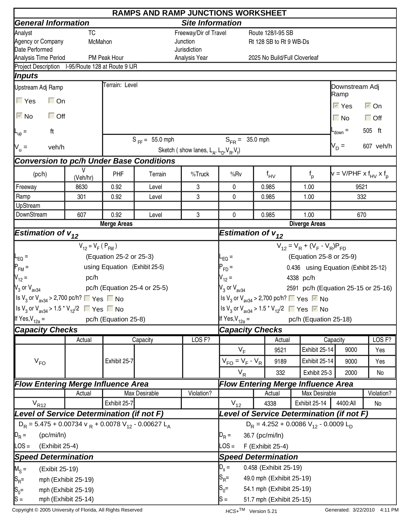| <b>RAMPS AND RAMP JUNCTIONS WORKSHEET</b>                                                              |                         |                               |                              |                                                          |                                                                                                                                         |  |                          |                                                                           |                                        |                      |  |  |
|--------------------------------------------------------------------------------------------------------|-------------------------|-------------------------------|------------------------------|----------------------------------------------------------|-----------------------------------------------------------------------------------------------------------------------------------------|--|--------------------------|---------------------------------------------------------------------------|----------------------------------------|----------------------|--|--|
| <b>General Information</b>                                                                             | <b>Site Information</b> |                               |                              |                                                          |                                                                                                                                         |  |                          |                                                                           |                                        |                      |  |  |
| Analyst                                                                                                | TC                      |                               |                              | Freeway/Dir of Travel                                    | Route 128/I-95 SB                                                                                                                       |  |                          |                                                                           |                                        |                      |  |  |
| Agency or Company                                                                                      | McMahon<br>Junction     |                               |                              |                                                          | Rt 128 SB to Rt 9 WB-Ds                                                                                                                 |  |                          |                                                                           |                                        |                      |  |  |
| Date Performed                                                                                         |                         |                               |                              | Jurisdiction                                             | 2025 No Build/Full Cloverleaf                                                                                                           |  |                          |                                                                           |                                        |                      |  |  |
| Analysis Time Period<br>Project Description I-95/Route 128 at Route 9 IJR                              |                         | PM Peak Hour                  |                              | Analysis Year                                            |                                                                                                                                         |  |                          |                                                                           |                                        |                      |  |  |
| <i><b>Inputs</b></i>                                                                                   |                         |                               |                              |                                                          |                                                                                                                                         |  |                          |                                                                           |                                        |                      |  |  |
|                                                                                                        |                         | Terrain: Level                |                              |                                                          |                                                                                                                                         |  |                          |                                                                           |                                        |                      |  |  |
| Upstream Adj Ramp                                                                                      |                         |                               |                              |                                                          |                                                                                                                                         |  |                          |                                                                           | Downstream Adj<br>Ramp                 |                      |  |  |
| $\Gamma$ Yes<br>$\Box$ On                                                                              |                         |                               |                              |                                                          |                                                                                                                                         |  |                          |                                                                           | $\overline{\vee}$ Yes                  | $\overline{\vee}$ On |  |  |
| $\overline{\triangleright}$ No                                                                         | $\Box$ Off              |                               |                              |                                                          |                                                                                                                                         |  |                          |                                                                           | $\Box$ No                              | $\Box$ Off           |  |  |
| ft<br>$L_{\text{up}} =$                                                                                |                         |                               |                              |                                                          |                                                                                                                                         |  |                          |                                                                           | $-$ <sub>down</sub> $=$                | 505 ft               |  |  |
| veh/h                                                                                                  |                         |                               | $S_{FF} = 55.0$ mph          |                                                          | $S_{FR} = 35.0$ mph                                                                                                                     |  |                          |                                                                           | $V_D =$                                | 607 veh/h            |  |  |
| $V_{u} =$                                                                                              |                         |                               |                              | Sketch (show lanes, $L_A$ , $L_D$ , $V_B$ , $V_f$ )      |                                                                                                                                         |  |                          |                                                                           |                                        |                      |  |  |
| <b>Conversion to pc/h Under Base Conditions</b>                                                        |                         |                               |                              |                                                          |                                                                                                                                         |  |                          |                                                                           |                                        |                      |  |  |
| (pc/h)                                                                                                 | V<br>(Veh/hr)           | PHF                           | Terrain                      | %Truck                                                   | %Rv                                                                                                                                     |  | $f_{\mathsf{HV}}$        | $f_{p}$                                                                   | $v = V/PHF \times f_{HV} \times f_{D}$ |                      |  |  |
| Freeway                                                                                                | 8630                    | 0.92                          | Level                        | 3                                                        | 0                                                                                                                                       |  | 0.985                    | 1.00                                                                      | 9521                                   |                      |  |  |
| Ramp                                                                                                   | 301                     | 0.92                          | Level                        | 3                                                        | 0                                                                                                                                       |  | 0.985                    | 1.00                                                                      | 332                                    |                      |  |  |
| UpStream                                                                                               |                         |                               |                              |                                                          |                                                                                                                                         |  |                          |                                                                           |                                        |                      |  |  |
| DownStream                                                                                             | 607                     | 0.92                          | Level                        | 3                                                        | 0                                                                                                                                       |  | 0.985                    | 1.00                                                                      | 670                                    |                      |  |  |
|                                                                                                        |                         | <b>Merge Areas</b>            |                              |                                                          |                                                                                                                                         |  |                          | <b>Diverge Areas</b>                                                      |                                        |                      |  |  |
| <b>Estimation of <math>v_{12}</math></b>                                                               |                         |                               |                              |                                                          | Estimation of $v_{12}$                                                                                                                  |  |                          |                                                                           |                                        |                      |  |  |
| $V_{12} = V_F (P_{FM})$                                                                                |                         |                               |                              | $V_{12} = V_R + (V_F - V_R)P_{FD}$                       |                                                                                                                                         |  |                          |                                                                           |                                        |                      |  |  |
| $L_{EQ} =$                                                                                             |                         | (Equation 25-2 or 25-3)       |                              |                                                          | (Equation 25-8 or 25-9)<br>$-EQ =$                                                                                                      |  |                          |                                                                           |                                        |                      |  |  |
| $P_{FM}$ =                                                                                             |                         | using Equation (Exhibit 25-5) |                              |                                                          | 0.436 using Equation (Exhibit 25-12)<br>$P_{FD} =$                                                                                      |  |                          |                                                                           |                                        |                      |  |  |
| $V_{12} =$                                                                                             | pc/h                    |                               |                              |                                                          | $V_{12} =$                                                                                                                              |  |                          | 4338 pc/h                                                                 |                                        |                      |  |  |
| $V_3$ or $V_{\text{av34}}$                                                                             |                         |                               | pc/h (Equation 25-4 or 25-5) |                                                          | $V_3$ or $V_{av34}$                                                                                                                     |  |                          | 2591 pc/h (Equation 25-15 or 25-16)                                       |                                        |                      |  |  |
| Set V <sub>3</sub> or V <sub>av34</sub> > 2,700 pc/h? ■ Yes ■ No                                       |                         |                               |                              |                                                          |                                                                                                                                         |  |                          | Is V <sub>3</sub> or V <sub>av34</sub> > 2,700 pc/h? $\Box$ Yes $\Box$ No |                                        |                      |  |  |
| $\left  \frac{\text{ls}}{3}$ or $\text{V}_{\text{av34}}$ > 1.5 $\text{*}$ $\text{V}_{12}/2$ ■ Yes ■ No |                         |                               |                              |                                                          |                                                                                                                                         |  |                          |                                                                           |                                        |                      |  |  |
|                                                                                                        |                         | pc/h (Equation 25-8)          |                              |                                                          | Is V <sub>3</sub> or V <sub>av34</sub> > 1.5 <sup>*</sup> V <sub>12</sub> /2 ■ Yes ■ No<br>If Yes, $V_{12a} =$<br>pc/h (Equation 25-18) |  |                          |                                                                           |                                        |                      |  |  |
| If Yes, $V_{12a}$ =                                                                                    |                         |                               |                              |                                                          |                                                                                                                                         |  |                          |                                                                           |                                        |                      |  |  |
| <b>Capacity Checks</b>                                                                                 |                         |                               |                              | LOS <sub>F?</sub>                                        | <b>Capacity Checks</b><br>Capacity                                                                                                      |  |                          |                                                                           |                                        |                      |  |  |
|                                                                                                        | Actual                  |                               | Capacity                     |                                                          |                                                                                                                                         |  | Actual                   |                                                                           |                                        | LOS <sub>F?</sub>    |  |  |
|                                                                                                        |                         |                               |                              |                                                          | $V_F$                                                                                                                                   |  | 9521                     | Exhibit 25-14                                                             | 9000                                   | Yes                  |  |  |
| $V_{FO}$                                                                                               |                         | Exhibit 25-7                  |                              |                                                          | $V_{FO} = V_F - V_R$                                                                                                                    |  | 9189                     | Exhibit 25-14                                                             | 9000                                   | Yes                  |  |  |
|                                                                                                        |                         |                               |                              |                                                          | $V_R$                                                                                                                                   |  | 332                      | Exhibit 25-3                                                              | 2000                                   | No                   |  |  |
| <b>Flow Entering Merge Influence Area</b>                                                              |                         |                               |                              |                                                          | <b>Flow Entering Merge Influence Area</b>                                                                                               |  |                          |                                                                           |                                        |                      |  |  |
|                                                                                                        | Actual                  |                               | <b>Max Desirable</b>         | Violation?                                               |                                                                                                                                         |  | Actual                   | Max Desirable                                                             |                                        | Violation?           |  |  |
| $V_{R12}$                                                                                              |                         | Exhibit 25-7                  |                              |                                                          | $V_{12}$                                                                                                                                |  | 4338                     | Exhibit 25-14                                                             | 4400:All                               | No                   |  |  |
| Level of Service Determination (if not F)                                                              |                         |                               |                              |                                                          |                                                                                                                                         |  |                          | Level of Service Determination (if not F)                                 |                                        |                      |  |  |
| $D_R$ = 5.475 + 0.00734 v $_R$ + 0.0078 V <sub>12</sub> - 0.00627 L <sub>A</sub>                       |                         |                               |                              |                                                          |                                                                                                                                         |  |                          | $D_R = 4.252 + 0.0086 V_{12} - 0.0009 L_D$                                |                                        |                      |  |  |
| $\mathbb{D}_R =$<br>(pc/mi/ln)                                                                         |                         |                               |                              |                                                          | $D_R =$                                                                                                                                 |  | 36.7 (pc/mi/ln)          |                                                                           |                                        |                      |  |  |
| LOS =<br>(Exhibit 25-4)                                                                                |                         |                               |                              |                                                          | $\textsf{LOS} =$<br>F (Exhibit 25-4)                                                                                                    |  |                          |                                                                           |                                        |                      |  |  |
| <b>Speed Determination</b>                                                                             |                         |                               |                              | <b>Speed Determination</b>                               |                                                                                                                                         |  |                          |                                                                           |                                        |                      |  |  |
|                                                                                                        |                         |                               |                              |                                                          | 0.458 (Exhibit 25-19)                                                                                                                   |  |                          |                                                                           |                                        |                      |  |  |
| $M_S =$<br>(Exibit 25-19)                                                                              |                         |                               |                              |                                                          | $D_s =$                                                                                                                                 |  |                          |                                                                           |                                        |                      |  |  |
| $ S_{R}$ =<br>mph (Exhibit 25-19)                                                                      |                         |                               |                              | $ {\mathsf S}_{\mathsf R}$ =<br>49.0 mph (Exhibit 25-19) |                                                                                                                                         |  |                          |                                                                           |                                        |                      |  |  |
| $S_0 =$                                                                                                | mph (Exhibit 25-19)     |                               |                              |                                                          | $S_0=$<br>54.1 mph (Exhibit 25-19)                                                                                                      |  |                          |                                                                           |                                        |                      |  |  |
| $ S =$<br>mph (Exhibit 25-14)                                                                          |                         |                               |                              |                                                          | $s =$                                                                                                                                   |  | 51.7 mph (Exhibit 25-15) |                                                                           |                                        |                      |  |  |

Copyright © 2005 University of Florida, All Rights Reserved **HCS+TM** Version 5.21 Generated: 3/22/2010 4:11 PM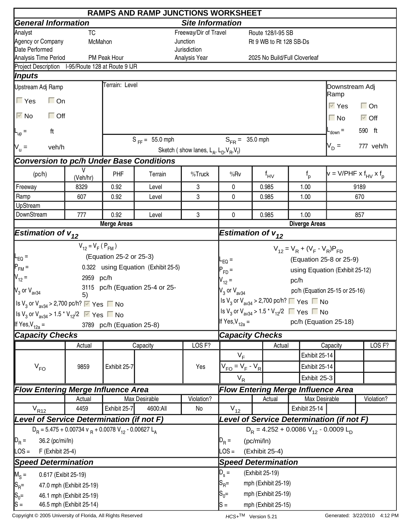| <b>RAMPS AND RAMP JUNCTIONS WORKSHEET</b>                                                                 |                         |                           |                                     |                                                     |                                                                                         |                             |                         |                               |               |                     |                                        |  |  |
|-----------------------------------------------------------------------------------------------------------|-------------------------|---------------------------|-------------------------------------|-----------------------------------------------------|-----------------------------------------------------------------------------------------|-----------------------------|-------------------------|-------------------------------|---------------|---------------------|----------------------------------------|--|--|
| <b>General Information</b>                                                                                |                         | <b>Site Information</b>   |                                     |                                                     |                                                                                         |                             |                         |                               |               |                     |                                        |  |  |
| Analyst                                                                                                   | <b>TC</b>               |                           |                                     | Freeway/Dir of Travel                               |                                                                                         |                             | Route 128/I-95 SB       |                               |               |                     |                                        |  |  |
| Agency or Company                                                                                         | McMahon                 |                           |                                     | Junction                                            |                                                                                         |                             | Rt 9 WB to Rt 128 SB-Ds |                               |               |                     |                                        |  |  |
| Date Performed                                                                                            |                         |                           |                                     | Jurisdiction<br>Analysis Year                       |                                                                                         |                             |                         |                               |               |                     |                                        |  |  |
| Analysis Time Period<br>Project Description I-95/Route 128 at Route 9 IJR                                 |                         | PM Peak Hour              |                                     |                                                     |                                                                                         |                             |                         | 2025 No Build/Full Cloverleaf |               |                     |                                        |  |  |
| Inputs                                                                                                    |                         |                           |                                     |                                                     |                                                                                         |                             |                         |                               |               |                     |                                        |  |  |
| Upstream Adj Ramp                                                                                         |                         | Terrain: Level            |                                     |                                                     |                                                                                         |                             |                         |                               |               | Downstream Adj      |                                        |  |  |
|                                                                                                           |                         |                           |                                     |                                                     |                                                                                         |                             |                         |                               |               | Ramp                |                                        |  |  |
| $\Box$ Yes<br>$\Box$ On                                                                                   |                         |                           |                                     |                                                     |                                                                                         |                             |                         |                               |               | $V$ Yes             | $\Box$ On                              |  |  |
| $\overline{\vee}$ No<br>$\Box$ Off                                                                        |                         |                           |                                     |                                                     |                                                                                         |                             |                         |                               |               | $\Box$ No           | $\overline{\triangleright}$ Off        |  |  |
| ft<br>$\mathsf{L}_{\mathsf{up}}$ =                                                                        |                         |                           |                                     |                                                     |                                                                                         |                             |                         |                               |               | $L_{\text{down}} =$ | 590 ft                                 |  |  |
|                                                                                                           |                         |                           | $S_{FF} = 55.0$ mph                 |                                                     | $S_{FB} = 35.0$ mph                                                                     |                             |                         |                               |               | $V_D =$             | 777 veh/h                              |  |  |
| $V_u =$<br>veh/h                                                                                          |                         |                           |                                     | Sketch (show lanes, $L_A$ , $L_D$ , $V_B$ , $V_f$ ) |                                                                                         |                             |                         |                               |               |                     |                                        |  |  |
| <b>Conversion to pc/h Under Base Conditions</b>                                                           |                         |                           |                                     |                                                     |                                                                                         |                             |                         |                               |               |                     |                                        |  |  |
| (pc/h)                                                                                                    | V<br>(Veh/hr)           | PHF                       | Terrain                             | %Truck                                              | %Rv                                                                                     |                             | $f_{\text{HV}}$         | $f_{p}$                       |               |                     | $v = V/PHF \times f_{HV} \times f_{D}$ |  |  |
| Freeway                                                                                                   | 8329                    | 0.92                      | Level                               | 3                                                   | 0                                                                                       |                             | 0.985                   | 1.00                          |               | 9189                |                                        |  |  |
| Ramp                                                                                                      | 607                     | 0.92                      | Level                               | 3                                                   | $\mathbf{0}$                                                                            |                             | 0.985                   | 1.00                          |               | 670                 |                                        |  |  |
| <b>UpStream</b>                                                                                           |                         |                           |                                     |                                                     |                                                                                         |                             |                         |                               |               |                     |                                        |  |  |
| DownStream                                                                                                | 777                     | 0.92                      | Level                               | 3                                                   | 0                                                                                       |                             | 0.985                   | 1.00                          |               |                     | 857                                    |  |  |
|                                                                                                           |                         | Merge Areas               |                                     |                                                     | <b>Diverge Areas</b>                                                                    |                             |                         |                               |               |                     |                                        |  |  |
| <b>Estimation of <math>v_{12}</math></b>                                                                  |                         |                           |                                     |                                                     | Estimation of $v_{12}$                                                                  |                             |                         |                               |               |                     |                                        |  |  |
|                                                                                                           | $V_{12} = V_F (P_{FM})$ |                           |                                     |                                                     | $V_{12} = V_R + (V_F - V_R)P_{FD}$                                                      |                             |                         |                               |               |                     |                                        |  |  |
| (Equation 25-2 or 25-3)<br>⊩ <sub>EQ</sub> =                                                              |                         |                           |                                     |                                                     | (Equation 25-8 or 25-9)<br>L <sub>EQ</sub> =                                            |                             |                         |                               |               |                     |                                        |  |  |
| $P_{FM}$ =                                                                                                |                         |                           | 0.322 using Equation (Exhibit 25-5) |                                                     | using Equation (Exhibit 25-12)<br>$P_{FD}$ =                                            |                             |                         |                               |               |                     |                                        |  |  |
| $V_{12} =$<br>2959 pc/h                                                                                   |                         |                           |                                     |                                                     |                                                                                         | $V_{12} =$<br>pc/h          |                         |                               |               |                     |                                        |  |  |
| $V_3$ or $V_{\text{av34}}$                                                                                |                         |                           | 3115 pc/h (Equation 25-4 or 25-     |                                                     | pc/h (Equation 25-15 or 25-16)<br>$V_3$ or $V_{av34}$                                   |                             |                         |                               |               |                     |                                        |  |  |
| Is $V_3$ or $V_{\text{av34}}$ > 2,700 pc/h? $\triangledown$ Yes $\blacksquare$ No                         | 5)                      |                           |                                     |                                                     | Is $V_3$ or $V_{av34}$ > 2,700 pc/h? $\Box$ Yes $\Box$ No                               |                             |                         |                               |               |                     |                                        |  |  |
| Is V <sub>3</sub> or V <sub>av34</sub> > 1.5 <sup>*</sup> V <sub>12</sub> /2 $\sqrt{ }$ Yes $\sqrt{ }$ No |                         |                           |                                     |                                                     | Is V <sub>3</sub> or V <sub>av34</sub> > 1.5 <sup>*</sup> V <sub>12</sub> /2 ■ Yes ■ No |                             |                         |                               |               |                     |                                        |  |  |
| If Yes, $V_{12a}$ =                                                                                       |                         | 3789 pc/h (Equation 25-8) |                                     |                                                     | If Yes, $V_{12a} =$                                                                     |                             |                         | pc/h (Equation 25-18)         |               |                     |                                        |  |  |
| <b>Capacity Checks</b>                                                                                    |                         |                           |                                     |                                                     |                                                                                         |                             |                         |                               |               |                     |                                        |  |  |
|                                                                                                           | Actual                  |                           | Capacity                            | LOS <sub>F?</sub>                                   | <b>Capacity Checks</b><br>LOS <sub>F?</sub><br>Actual<br>Capacity                       |                             |                         |                               |               |                     |                                        |  |  |
|                                                                                                           |                         |                           |                                     |                                                     | $V_F$                                                                                   |                             |                         |                               | Exhibit 25-14 |                     |                                        |  |  |
|                                                                                                           | 9859                    | Exhibit 25-7              |                                     | Yes                                                 | $V_{FO} = V_F - V_R$                                                                    |                             |                         |                               | Exhibit 25-14 |                     |                                        |  |  |
| $V_{FO}$                                                                                                  |                         |                           |                                     |                                                     |                                                                                         |                             |                         |                               |               |                     |                                        |  |  |
|                                                                                                           |                         |                           |                                     |                                                     | $V_R$                                                                                   |                             |                         |                               | Exhibit 25-3  |                     |                                        |  |  |
| <b>Flow Entering Merge Influence Area</b>                                                                 |                         |                           |                                     |                                                     | <b>Flow Entering Merge Influence Area</b>                                               |                             |                         |                               |               |                     |                                        |  |  |
|                                                                                                           | Actual                  |                           | Max Desirable                       | Violation?                                          |                                                                                         |                             | Actual                  |                               | Max Desirable |                     | Violation?                             |  |  |
| $V_{R12}$                                                                                                 | 4459                    | Exhibit 25-7              | 4600:All                            | No                                                  | $V_{12}$                                                                                |                             |                         | Exhibit 25-14                 |               |                     |                                        |  |  |
| Level of Service Determination (if not F)                                                                 |                         |                           |                                     |                                                     | Level of Service Determination (if not F)                                               |                             |                         |                               |               |                     |                                        |  |  |
| $D_R = 5.475 + 0.00734$ v $_R + 0.0078$ V <sub>12</sub> - 0.00627 L <sub>A</sub>                          |                         |                           |                                     | $D_R = 4.252 + 0.0086 V_{12} - 0.0009 L_D$          |                                                                                         |                             |                         |                               |               |                     |                                        |  |  |
| $D_R =$<br>36.2 (pc/mi/ln)                                                                                |                         |                           |                                     |                                                     | $D_R =$<br>(pc/mi/ln)                                                                   |                             |                         |                               |               |                     |                                        |  |  |
| $\textsf{LOS} =$<br>F (Exhibit 25-4)                                                                      |                         |                           |                                     | $\textsf{LOS} =$<br>(Exhibit 25-4)                  |                                                                                         |                             |                         |                               |               |                     |                                        |  |  |
| <b>Speed Determination</b>                                                                                |                         |                           |                                     | <b>Speed Determination</b>                          |                                                                                         |                             |                         |                               |               |                     |                                        |  |  |
| $M_S =$<br>0.617 (Exibit 25-19)                                                                           |                         |                           |                                     |                                                     | $D_{s} =$<br>(Exhibit 25-19)                                                            |                             |                         |                               |               |                     |                                        |  |  |
| $ S_{\mathsf{R}}$ =<br>47.0 mph (Exhibit 25-19)                                                           |                         |                           |                                     |                                                     | $S_{\sf R}$ =<br>mph (Exhibit 25-19)                                                    |                             |                         |                               |               |                     |                                        |  |  |
| $S_0 =$<br>46.1 mph (Exhibit 25-19)                                                                       |                         |                           |                                     |                                                     | $S_0 =$<br>mph (Exhibit 25-19)                                                          |                             |                         |                               |               |                     |                                        |  |  |
| $ S =$<br>46.5 mph (Exhibit 25-14)                                                                        |                         |                           |                                     |                                                     |                                                                                         | mph (Exhibit 25-15)<br>lS = |                         |                               |               |                     |                                        |  |  |

Copyright © 2005 University of Florida, All Rights Reserved **HCS+TM** Version 5.21 Generated: 3/22/2010 4:12 PM